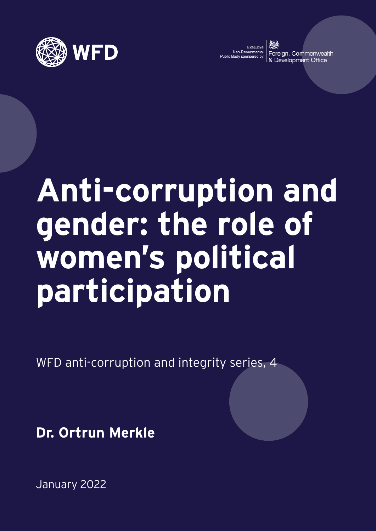

Executive<br>Non-Departmental<br>c Body sponsored by:

Foreign, Commonwealth Development Office

# **Anti-corruption and gender: the role of women's political participation**

WFD anti-corruption and integrity series, 4

**Dr. Ortrun Merkle**

January 2022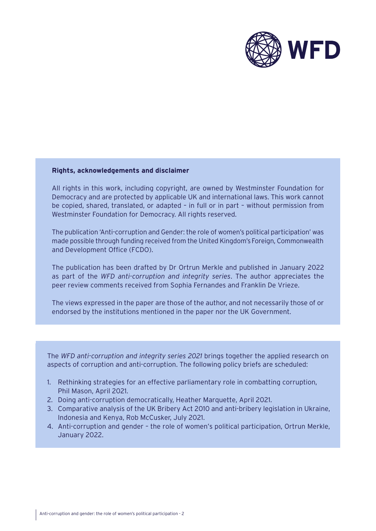

#### **Rights, acknowledgements and disclaimer**

All rights in this work, including copyright, are owned by Westminster Foundation for Democracy and are protected by applicable UK and international laws. This work cannot be copied, shared, translated, or adapted – in full or in part – without permission from Westminster Foundation for Democracy. All rights reserved.

The publication 'Anti-corruption and Gender: the role of women's political participation' was made possible through funding received from the United Kingdom's Foreign, Commonwealth and Development Office (FCDO).

The publication has been drafted by Dr Ortrun Merkle and published in January 2022 as part of the *WFD anti-corruption and integrity series*. The author appreciates the peer review comments received from Sophia Fernandes and Franklin De Vrieze.

The views expressed in the paper are those of the author, and not necessarily those of or endorsed by the institutions mentioned in the paper nor the UK Government.

The *WFD anti-corruption and integrity series 2021* brings together the applied research on aspects of corruption and anti-corruption. The following policy briefs are scheduled:

- 1. Rethinking strategies for an effective parliamentary role in combatting corruption, Phil Mason, April 2021.
- 2. Doing anti-corruption democratically, Heather Marquette, April 2021.
- 3. Comparative analysis of the UK Bribery Act 2010 and anti-bribery legislation in Ukraine, Indonesia and Kenya, Rob McCusker, July 2021.
- 4. Anti-corruption and gender the role of women's political participation, Ortrun Merkle, January 2022.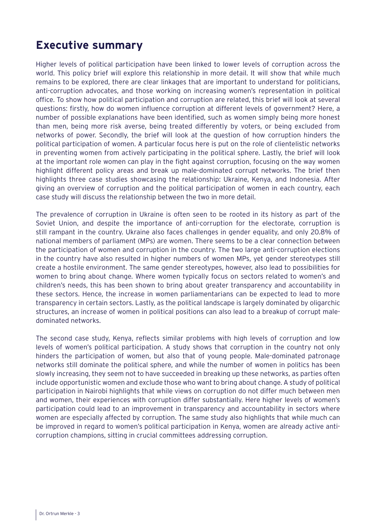## **Executive summary**

Higher levels of political participation have been linked to lower levels of corruption across the world. This policy brief will explore this relationship in more detail. It will show that while much remains to be explored, there are clear linkages that are important to understand for politicians, anti-corruption advocates, and those working on increasing women's representation in political office. To show how political participation and corruption are related, this brief will look at several questions: firstly, how do women influence corruption at different levels of government? Here, a number of possible explanations have been identified, such as women simply being more honest than men, being more risk averse, being treated differently by voters, or being excluded from networks of power. Secondly, the brief will look at the question of how corruption hinders the political participation of women. A particular focus here is put on the role of clientelistic networks in preventing women from actively participating in the political sphere. Lastly, the brief will look at the important role women can play in the fight against corruption, focusing on the way women highlight different policy areas and break up male-dominated corrupt networks. The brief then highlights three case studies showcasing the relationship: Ukraine, Kenya, and Indonesia. After giving an overview of corruption and the political participation of women in each country, each case study will discuss the relationship between the two in more detail.

The prevalence of corruption in Ukraine is often seen to be rooted in its history as part of the Soviet Union, and despite the importance of anti-corruption for the electorate, corruption is still rampant in the country. Ukraine also faces challenges in gender equality, and only 20.8% of national members of parliament (MPs) are women. There seems to be a clear connection between the participation of women and corruption in the country. The two large anti-corruption elections in the country have also resulted in higher numbers of women MPs, yet gender stereotypes still create a hostile environment. The same gender stereotypes, however, also lead to possibilities for women to bring about change. Where women typically focus on sectors related to women's and children's needs, this has been shown to bring about greater transparency and accountability in these sectors. Hence, the increase in women parliamentarians can be expected to lead to more transparency in certain sectors. Lastly, as the political landscape is largely dominated by oligarchic structures, an increase of women in political positions can also lead to a breakup of corrupt maledominated networks.

The second case study, Kenya, reflects similar problems with high levels of corruption and low levels of women's political participation. A study shows that corruption in the country not only hinders the participation of women, but also that of young people. Male-dominated patronage networks still dominate the political sphere, and while the number of women in politics has been slowly increasing, they seem not to have succeeded in breaking up these networks, as parties often include opportunistic women and exclude those who want to bring about change. A study of political participation in Nairobi highlights that while views on corruption do not differ much between men and women, their experiences with corruption differ substantially. Here higher levels of women's participation could lead to an improvement in transparency and accountability in sectors where women are especially affected by corruption. The same study also highlights that while much can be improved in regard to women's political participation in Kenya, women are already active anticorruption champions, sitting in crucial committees addressing corruption.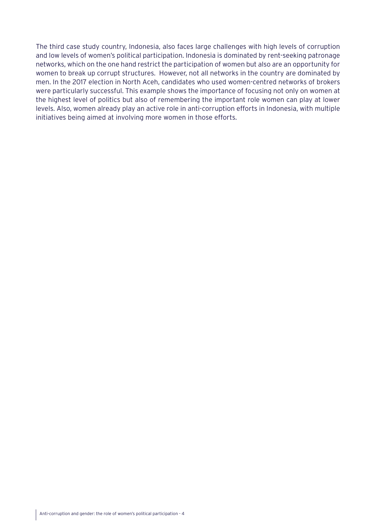The third case study country, Indonesia, also faces large challenges with high levels of corruption and low levels of women's political participation. Indonesia is dominated by rent-seeking patronage networks, which on the one hand restrict the participation of women but also are an opportunity for women to break up corrupt structures. However, not all networks in the country are dominated by men. In the 2017 election in North Aceh, candidates who used women-centred networks of brokers were particularly successful. This example shows the importance of focusing not only on women at the highest level of politics but also of remembering the important role women can play at lower levels. Also, women already play an active role in anti-corruption efforts in Indonesia, with multiple initiatives being aimed at involving more women in those efforts.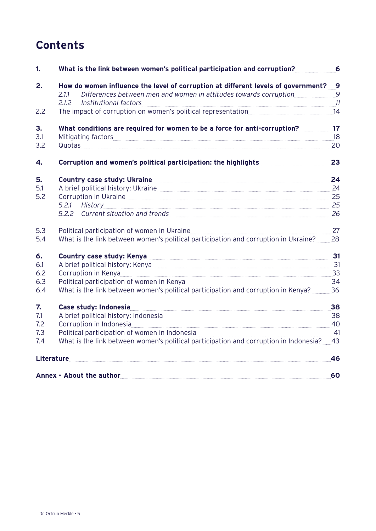## **Contents**

| 1.  | What is the link between women's political participation and corruption?                                                                                                                                                       | 6  |
|-----|--------------------------------------------------------------------------------------------------------------------------------------------------------------------------------------------------------------------------------|----|
| 2.  | How do women influence the level of corruption at different levels of government?__9<br>Differences between men and women in attitudes towards corruption 19<br>2.1.1                                                          |    |
|     | Institutional factors 11<br>2.1.2                                                                                                                                                                                              |    |
| 2.2 | The impact of corruption on women's political representation<br>14                                                                                                                                                             |    |
| 3.  | What conditions are required for women to be a force for anti-corruption?                                                                                                                                                      | 17 |
| 3.1 | Mitigating factors                                                                                                                                                                                                             | 18 |
| 3.2 |                                                                                                                                                                                                                                | 20 |
| 4.  | Corruption and women's political participation: the highlights                                                                                                                                                                 | 23 |
| 5.  | Country case study: Ukraine Country Country Case Study: Ukraine Country Case Study:                                                                                                                                            | 24 |
| 5.1 | A brief political history: Ukraine<br>24                                                                                                                                                                                       |    |
| 5.2 | Corruption in Ukraine                                                                                                                                                                                                          | 25 |
|     | 5.2.1 History 25                                                                                                                                                                                                               |    |
|     | 5.2.2 Current situation and trends 26                                                                                                                                                                                          |    |
| 5.3 |                                                                                                                                                                                                                                | 27 |
| 5.4 | What is the link between women's political participation and corruption in Ukraine? 28                                                                                                                                         |    |
| 6.  | Country case study: Kenya 31                                                                                                                                                                                                   |    |
| 6.1 | A brief political history: Kenya 31                                                                                                                                                                                            |    |
| 6.2 | Corruption in Kenya 33                                                                                                                                                                                                         |    |
| 6.3 | Political participation of women in Kenya [24] Manuscritical participation of women in Kenya [24] Manuscritical Manuscritical District District District District District District District District District District Distri |    |
| 6.4 | What is the link between women's political participation and corruption in Kenya? 36                                                                                                                                           |    |
| 7.  | $\overline{\phantom{a}38}$<br>Case study: Indonesia                                                                                                                                                                            |    |
| 7.1 | A brief political history: Indonesia 38                                                                                                                                                                                        |    |
| 7.2 | Corruption in Indonesia 20                                                                                                                                                                                                     |    |
| 7.3 | Political participation of women in Indonesia 2008 and 2009 and 2010 and 21                                                                                                                                                    |    |
| 7.4 | What is the link between women's political participation and corruption in Indonesia?                                                                                                                                          | 43 |
|     | Literature                                                                                                                                                                                                                     | 46 |
|     | Annex - About the author                                                                                                                                                                                                       | 60 |
|     |                                                                                                                                                                                                                                |    |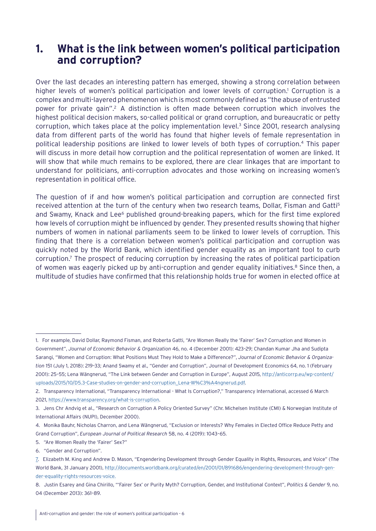## <span id="page-5-0"></span>**1. What is the link between women's political participation and corruption?**

Over the last decades an interesting pattern has emerged, showing a strong correlation between higher levels of women's political participation and lower levels of corruption.<sup>1</sup> Corruption is a complex and multi-layered phenomenon which is most commonly defined as "the abuse of entrusted power for private gain".2 A distinction is often made between corruption which involves the highest political decision makers, so-called political or grand corruption, and bureaucratic or petty corruption, which takes place at the policy implementation level.<sup>3</sup> Since 2001, research analysing data from different parts of the world has found that higher levels of female representation in political leadership positions are linked to lower levels of both types of corruption.4 This paper will discuss in more detail how corruption and the political representation of women are linked. It will show that while much remains to be explored, there are clear linkages that are important to understand for politicians, anti-corruption advocates and those working on increasing women's representation in political office.

The question of if and how women's political participation and corruption are connected first received attention at the turn of the century when two research teams, Dollar, Fisman and Gatti<sup>5</sup> and Swamy, Knack and Lee<sup>6</sup> published ground-breaking papers, which for the first time explored how levels of corruption might be influenced by gender. They presented results showing that higher numbers of women in national parliaments seem to be linked to lower levels of corruption. This finding that there is a correlation between women's political participation and corruption was quickly noted by the World Bank, which identified gender equality as an important tool to curb corruption.7 The prospect of reducing corruption by increasing the rates of political participation of women was eagerly picked up by anti-corruption and gender equality initiatives.<sup>8</sup> Since then, a multitude of studies have confirmed that this relationship holds true for women in elected office at

<sup>1.</sup> For example, David Dollar, Raymond Fisman, and Roberta Gatti, "Are Women Really the 'Fairer' Sex? Corruption and Women in Government", *Journal of Economic Behavior & Organization* 46, no. 4 (December 2001): 423–29; Chandan Kumar Jha and Sudipta Sarangi, "Women and Corruption: What Positions Must They Hold to Make a Difference?", *Journal of Economic Behavior & Organization* 151 (July 1, 2018): 219–33; Anand Swamy et al., "Gender and Corruption", Journal of Development Economics 64, no. 1 (February 2001): 25–55; Lena Wängnerud, "The Link between Gender and Corruption in Europe", August 2015, [http://anticorrp.eu/wp-content/](http://anticorrp.eu/wp-content/uploads/2015/10/D5.3-Case-studies-on-gender-and-corruption_Lena-W%C3%A4ngnerud.pdf) [uploads/2015/10/D5.3-Case-studies-on-gender-and-corruption\\_Lena-W%C3%A4ngnerud.pdf.](http://anticorrp.eu/wp-content/uploads/2015/10/D5.3-Case-studies-on-gender-and-corruption_Lena-W%C3%A4ngnerud.pdf)

<sup>2.</sup> Transparency International, "Transparency International - What Is Corruption?," Transparency International, accessed 6 March 2021, <https://www.transparency.org/what-is-corruption>.

<sup>3.</sup> Jens Chr Andvig et al., "Research on Corruption A Policy Oriented Survey" (Chr. Michelsen Institute (CMI) & Norwegian Institute of International Affairs (NUPI), December 2000).

<sup>4.</sup> Monika Bauhr, Nicholas Charron, and Lena Wängnerud, "Exclusion or Interests? Why Females in Elected Office Reduce Petty and Grand Corruption", *European Journal of Political Research* 58, no. 4 (2019): 1043–65.

<sup>5. &</sup>quot;Are Women Really the 'Fairer' Sex?"

<sup>6. &</sup>quot;Gender and Corruption".

<sup>7.</sup> Elizabeth M. King and Andrew D. Mason, "Engendering Development through Gender Equality in Rights, Resources, and Voice" (The World Bank, 31 January 2001), [http://documents.worldbank.org/curated/en/2001/01/891686/engendering-development-through-gen](http://documents.worldbank.org/curated/en/2001/01/891686/engendering-development-through-gender-equality-rights-resources-voice)[der-equality-rights-resources-voice](http://documents.worldbank.org/curated/en/2001/01/891686/engendering-development-through-gender-equality-rights-resources-voice).

<sup>8.</sup> Justin Esarey and Gina Chirillo, "'Fairer Sex' or Purity Myth? Corruption, Gender, and Institutional Context", *Politics & Gender* 9, no. 04 (December 2013): 361–89.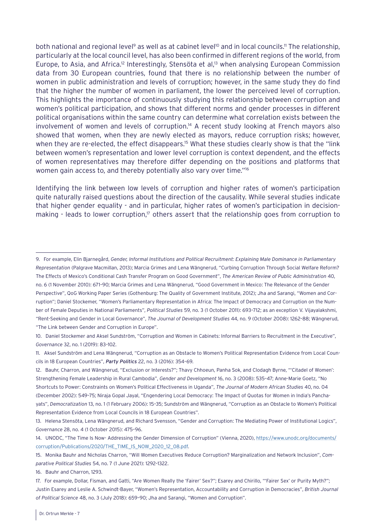both national and regional level<sup>9</sup> as well as at cabinet level<sup>10</sup> and in local councils.<sup>11</sup> The relationship, particularly at the local council level, has also been confirmed in different regions of the world, from Europe, to Asia, and Africa.<sup>12</sup> Interestingly, Stensöta et al,<sup>13</sup> when analysing European Commission data from 30 European countries, found that there is no relationship between the number of women in public administration and levels of corruption; however, in the same study they do find that the higher the number of women in parliament, the lower the perceived level of corruption. This highlights the importance of continuously studying this relationship between corruption and women's political participation, and shows that different norms and gender processes in different political organisations within the same country can determine what correlation exists between the involvement of women and levels of corruption.<sup>14</sup> A recent study looking at French mayors also showed that women, when they are newly elected as mayors, reduce corruption risks; however, when they are re-elected, the effect disappears.<sup>15</sup> What these studies clearly show is that the "link between women's representation and lower level corruption is context dependent, and the effects of women representatives may therefore differ depending on the positions and platforms that women gain access to, and thereby potentially also vary over time."<sup>16</sup>

Identifying the link between low levels of corruption and higher rates of women's participation quite naturally raised questions about the direction of the causality. While several studies indicate that higher gender equality - and in particular, higher rates of women's participation in decisionmaking - leads to lower corruption,<sup>17</sup> others assert that the relationship goes from corruption to

16. Bauhr and Charron, 1293.

<sup>9.</sup> For example, Elin Bjarnegård, *Gender, Informal Institutions and Political Recruitment: Explaining Male Dominance in Parliamentary Representation* (Palgrave Macmillan, 2013); Marcia Grimes and Lena Wängnerud, "Curbing Corruption Through Social Welfare Reform? The Effects of Mexico's Conditional Cash Transfer Program on Good Government", *The American Review of Public Administration* 40, no. 6 (1 November 2010): 671–90; Marcia Grimes and Lena Wängnerud, "Good Government in Mexico: The Relevance of the Gender Perspective", QoG Working Paper Series (Gothenburg: The Quality of Government Institute, 2012); Jha and Sarangi, "Women and Corruption"; Daniel Stockemer, "Women's Parliamentary Representation in Africa: The Impact of Democracy and Corruption on the Number of Female Deputies in National Parliaments", *Political Studies* 59, no. 3 (1 October 2011): 693–712; as an exception V. Vijayalakshmi, "Rent-Seeking and Gender in Local Governance", *The Journal of Development Studies* 44, no. 9 (October 2008): 1262–88; Wängnerud, "The Link between Gender and Corruption in Europe".

<sup>10.</sup> Daniel Stockemer and Aksel Sundström, "Corruption and Women in Cabinets: Informal Barriers to Recruitment in the Executive", *Governance* 32, no. 1 (2019): 83–102.

<sup>11.</sup> Aksel Sundström and Lena Wängnerud, "Corruption as an Obstacle to Women's Political Representation Evidence from Local Councils in 18 European Countries", *Party Politics* 22, no. 3 (2016): 354–69.

<sup>12.</sup> Bauhr, Charron, and Wängnerud, "Exclusion or Interests?"; Thavy Chhoeun, Panha Sok, and Clodagh Byrne, "'Citadel of Women': Strengthening Female Leadership in Rural Cambodia", *Gender and Development* 16, no. 3 (2008): 535–47; Anne-Marie Goetz, "No Shortcuts to Power: Constraints on Women's Political Effectiveness in Uganda", *The Journal of Modern African Studies* 40, no. 04 (December 2002): 549–75; Niraja Gopal Jayal, "Engendering Local Democracy: The Impact of Quotas for Women in India's Panchayats", *Democratization* 13, no. 1 (1 February 2006): 15–35; Sundström and Wängnerud, "Corruption as an Obstacle to Women's Political Representation Evidence from Local Councils in 18 European Countries".

<sup>13.</sup> Helena Stensöta, Lena Wängnerud, and Richard Svensson, "Gender and Corruption: The Mediating Power of Institutional Logics", *Governance* 28, no. 4 (1 October 2015): 475–96.

<sup>14.</sup> UNODC, "The Time Is Now- Addressing the Gender Dimension of Corruption" (Vienna, 2020), [https://www.unodc.org/documents/](https://www.unodc.org/documents/corruption/Publications/2020/THE_TIME_IS_NOW_2020_12_08.pdf) [corruption/Publications/2020/THE\\_TIME\\_IS\\_NOW\\_2020\\_12\\_08.pdf.](https://www.unodc.org/documents/corruption/Publications/2020/THE_TIME_IS_NOW_2020_12_08.pdf)

<sup>15.</sup> Monika Bauhr and Nicholas Charron, "Will Women Executives Reduce Corruption? Marginalization and Network Inclusion", *Comparative Political Studies* 54, no. 7 (1 June 2021): 1292–1322.

<sup>17.</sup> For example, Dollar, Fisman, and Gatti, "Are Women Really the 'Fairer' Sex?"; Esarey and Chirillo, "'Fairer Sex' or Purity Myth?"; Justin Esarey and Leslie A. Schwindt-Bayer, "Women's Representation, Accountability and Corruption in Democracies", *British Journal of Political Science* 48, no. 3 (July 2018): 659–90; Jha and Sarangi, "Women and Corruption".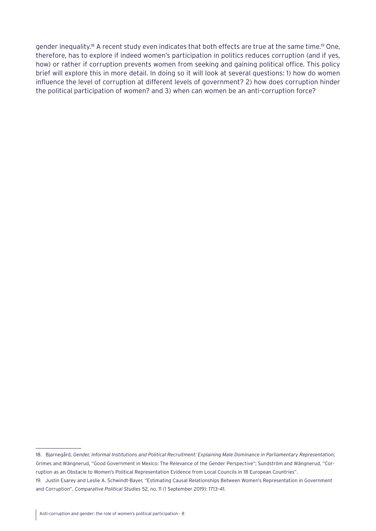gender inequality.<sup>18</sup> A recent study even indicates that both effects are true at the same time.<sup>19</sup> One, therefore, has to explore if indeed women's participation in politics reduces corruption (and if yes, how) or rather if corruption prevents women from seeking and gaining political office. This policy brief will explore this in more detail. In doing so it will look at several questions: 1) how do women influence the level of corruption at different levels of government? 2) how does corruption hinder the political participation of women? and 3) when can women be an anti-corruption force?

<sup>18.</sup> Bjarnegård, *Gender, Informal Institutions and Political Recruitment: Explaining Male Dominance in Parliamentary Representation*; Grimes and Wängnerud, "Good Government in Mexico: The Relevance of the Gender Perspective"; Sundström and Wängnerud, "Corruption as an Obstacle to Women's Political Representation Evidence from Local Councils in 18 European Countries". 19. Justin Esarey and Leslie A. Schwindt-Bayer, "Estimating Causal Relationships Between Women's Representation in Government and Corruption", *Comparative Political Studies* 52, no. 11 (1 September 2019): 1713–41.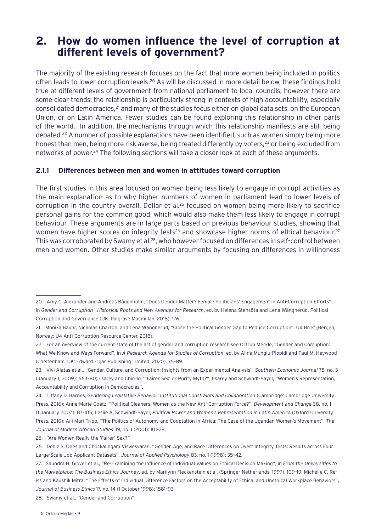## <span id="page-8-0"></span>**2. How do women influence the level of corruption at different levels of government?**

The majority of the existing research focuses on the fact that more women being included in politics often leads to lower corruption levels.<sup>20</sup> As will be discussed in more detail below, these findings hold true at different levels of government from national parliament to local councils; however there are some clear trends: the relationship is particularly strong in contexts of high accountability, especially consolidated democracies,<sup>21</sup> and many of the studies focus either on global data sets, on the European Union, or on Latin America. Fewer studies can be found exploring this relationship in other parts of the world. In addition, the mechanisms through which this relationship manifests are still being debated.<sup>22</sup> A number of possible explanations have been identified, such as women simply being more honest than men, being more risk averse, being treated differently by voters,<sup>23</sup> or being excluded from networks of power.<sup>24</sup> The following sections will take a closer look at each of these arguments.

#### **2.1.1 Differences between men and women in attitudes toward corruption**

The first studies in this area focused on women being less likely to engage in corrupt activities as the main explanation as to why higher numbers of women in parliament lead to lower levels of corruption in the country overall. Dollar et al.<sup>25</sup> focused on women being more likely to sacrifice personal gains for the common good, which would also make them less likely to engage in corrupt behaviour. These arguments are in large parts based on previous behaviour studies, showing that women have higher scores on integrity tests<sup>26</sup> and showcase higher norms of ethical behaviour.<sup>27</sup> This was corroborated by Swamy et al.<sup>28</sup>, who however focused on differences in self-control between men and women. Other studies make similar arguments by focusing on differences in willingness

25. "Are Women Really the 'Fairer' Sex?"

28. Swamy et al., "Gender and Corruption".

<sup>20.</sup> Amy C. Alexander and Andreas Bågenholm, "Does Gender Matter? Female Politicians' Engagement in Anti-Corruption Efforts", in *Gender and Corruption - Historical Roots and New Avenues for Research*, ed. by Helena Stensöta and Lena Wängnerud, Political Corruption and Governance (UK: Palgrave Macmillan, 2018), 176.

<sup>21.</sup> Monika Bauhr, Nicholas Charron, and Lena Wängnerud, "Close the Political Gender Gap to Reduce Corruption", U4 Brief (Bergen, Norway: U4 Anti-Corruption Resource Center, 2018).

<sup>22.</sup> For an overview of the current state of the art of gender and corruption research see Ortrun Merkle, "Gender and Corruption: What We Know and Ways Forward", in *A Research Agenda for Studies of Corruption*, ed. by Alina Mungiu-Pippidi and Paul M. Heywood (Cheltenham, UK: Edward Elgar Publishing Limited, 2020), 75–89.

<sup>23.</sup> Vivi Alatas et al., "Gender, Culture, and Corruption: Insights from an Experimental Analysis", *Southern Economic Journal* 75, no. 3 (January 1, 2009): 663–80; Esarey and Chirillo, "'Fairer Sex' or Purity Myth?"; Esarey and Schwindt-Bayer, "Women's Representation, Accountability and Corruption in Democracies".

<sup>24.</sup> Tiffany D. Barnes, *Gendering Legislative Behavior: Institutional Constraints and Collaboration* (Cambridge: Cambridge University Press, 2016); Anne-Marie Goetz, "Political Cleaners: Women as the New Anti-Corruption Force?", *Development and Change* 38, no. 1 (1 January 2007): 87–105; Leslie A. Schwindt-Bayer, *Political Power and Women's Representation in Latin America* (Oxford University Press, 2010); Aili Mari Tripp, "The Politics of Autonomy and Cooptation in Africa: The Case of the Ugandan Women's Movement", *The Journal of Modern African Studies* 39, no. 1 (2001): 101–28.

<sup>26.</sup> Deniz S. Ones and Chockalingam Viswesvaran, "Gender, Age, and Race Differences on Overt Integrity Tests: Results across Four Large-Scale Job Applicant Datasets", *Journal of Applied Psychology* 83, no. 1 (1998): 35–42.

<sup>27.</sup> Saundra H. Glover et al., "Re-Examining the Influence of Individual Values on Ethical Decision Making", in *From the Universities to the Marketplace: The Business Ethics Journey*, ed. by Marilynn Fleckenstein et al. (Springer Netherlands, 1997), 109–19; Michelle C. Reiss and Kaushik Mitra, "The Effects of Individual Difference Factors on the Acceptability of Ethical and Unethical Workplace Behaviors", *Journal of Business Ethics* 17, no. 14 (1 October 1998): 1581–93.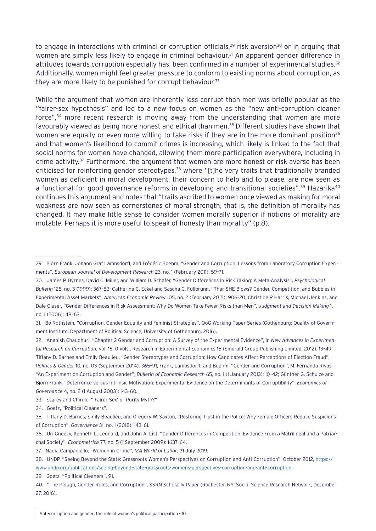to engage in interactions with criminal or corruption officials,<sup>29</sup> risk aversion<sup>30</sup> or in arguing that women are simply less likely to engage in criminal behaviour.<sup>31</sup> An apparent gender difference in attitudes towards corruption especially has been confirmed in a number of experimental studies.<sup>32</sup> Additionally, women might feel greater pressure to conform to existing norms about corruption, as they are more likely to be punished for corrupt behaviour.<sup>33</sup>

While the argument that women are inherently less corrupt than men was briefly popular as the "fairer-sex hypothesis" and led to a new focus on women as the "new anti-corruption cleaner force",34 more recent research is moving away from the understanding that women are more favourably viewed as being more honest and ethical than men.35 Different studies have shown that women are equally or even more willing to take risks if they are in the more dominant position<sup>36</sup> and that women's likelihood to commit crimes is increasing, which likely is linked to the fact that social norms for women have changed, allowing them more participation everywhere, including in crime activity.<sup>37</sup> Furthermore, the argument that women are more honest or risk averse has been criticised for reinforcing gender stereotypes,<sup>38</sup> where "[t]he very traits that traditionally branded women as deficient in moral development, their concern to help and to please, are now seen as a functional for good governance reforms in developing and transitional societies".<sup>39</sup> Hazarika<sup>40</sup> continues this argument and notes that "traits ascribed to women once viewed as making for moral weakness are now seen as cornerstones of moral strength, that is, the definition of morality has changed. It may make little sense to consider women morally superior if notions of morality are mutable. Perhaps it is more useful to speak of honesty than morality" (p.8).

32. Ananish Chaudhuri, "Chapter 2 Gender and Corruption: A Survey of the Experimental Evidence", in *New Advances in Experimental Research on Corruption*, vol. 15, 0 vols., Research in Experimental Economics 15 (Emerald Group Publishing Limited, 2012), 13–49; Tiffany D. Barnes and Emily Beaulieu, "Gender Stereotypes and Corruption: How Candidates Affect Perceptions of Election Fraud", *Politics & Gender* 10, no. 03 (September 2014): 365–91; Frank, Lambsdorff, and Boehm, "Gender and Corruption"; M. Fernanda Rivas, "An Experiment on Corruption and Gender", *Bulletin of Economic Research* 65, no. 1 (1 January 2013): 10–42; Günther G. Schulze and Björn Frank, "Deterrence versus Intrinsic Motivation: Experimental Evidence on the Determinants of Corruptibility", *Economics of Governance* 4, no. 2 (1 August 2003): 143–60.

33. Esarey and Chirillo, "'Fairer Sex' or Purity Myth?"

34. Goetz, "Political Cleaners".

39. Goetz, "Political Cleaners", 91.

<sup>29.</sup> Björn Frank, Johann Graf Lambsdorff, and Frédéric Boehm, "Gender and Corruption: Lessons from Laboratory Corruption Experiments", *European Journal of Development Research* 23, no. 1 (February 2011): 59–71.

<sup>30.</sup> James P. Byrnes, David C. Miller, and William D. Schafer, "Gender Differences in Risk Taking: A Meta-Analysis", *Psychological Bulletin* 125, no. 3 (1999): 367–83; Catherine C. Eckel and Sascha C. Füllbrunn, "Thar SHE Blows? Gender, Competition, and Bubbles in Experimental Asset Markets", *American Economic Review* 105, no. 2 (February 2015): 906–20; Christine R Harris, Michael Jenkins, and Dale Glaser, "Gender Differences in Risk Assessment: Why Do Women Take Fewer Risks than Men", *Judgment and Decision Making* 1, no. 1 (2006): 48–63.

<sup>31.</sup> Bo Rothstein, "Corruption, Gender Equality and Feminist Strategies", QoG Working Paper Series (Gothenburg: Quality of Government Institute, Department of Political Science, University of Gothenburg, 2016).

<sup>35.</sup> Tiffany D. Barnes, Emily Beaulieu, and Gregory W. Saxton, "Restoring Trust in the Police: Why Female Officers Reduce Suspicions of Corruption", *Governance* 31, no. 1 (2018): 143–61.

<sup>36.</sup> Uri Gneezy, Kenneth L. Leonard, and John A. List, "Gender Differences in Competition: Evidence From a Matrilineal and a Patriarchal Society", *Econometrica* 77, no. 5 (1 September 2009): 1637–64.

<sup>37.</sup> Nadia Campaniello, "Women in Crime", *IZA World of Labor*, 31 July 2019.

<sup>38.</sup> UNDP, "Seeing Beyond the State: Grassroots Women's Perspectives on Corruption and Anti-Corruption", October 2012, [https://](https://www.undp.org/publications/seeing-beyond-state-grassroots-womens-perspectives-corruption-and-anti-corruption) [www.undp.org/publications/seeing-beyond-state-grassroots-womens-perspectives-corruption-and-anti-corruption.](https://www.undp.org/publications/seeing-beyond-state-grassroots-womens-perspectives-corruption-and-anti-corruption)

<sup>40. &</sup>quot;The Plough, Gender Roles, and Corruption", SSRN Scholarly Paper (Rochester, NY: Social Science Research Network, December 27, 2016).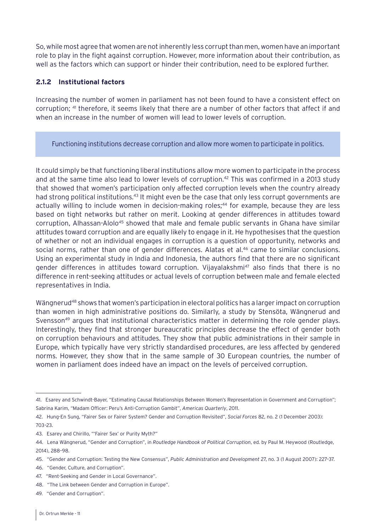<span id="page-10-0"></span>So, while most agree that women are not inherently less corrupt than men, women have an important role to play in the fight against corruption. However, more information about their contribution, as well as the factors which can support or hinder their contribution, need to be explored further.

#### **2.1.2 Institutional factors**

Increasing the number of women in parliament has not been found to have a consistent effect on corruption; 41 therefore, it seems likely that there are a number of other factors that affect if and when an increase in the number of women will lead to lower levels of corruption.

Functioning institutions decrease corruption and allow more women to participate in politics.

It could simply be that functioning liberal institutions allow more women to participate in the process and at the same time also lead to lower levels of corruption.<sup>42</sup> This was confirmed in a 2013 study that showed that women's participation only affected corruption levels when the country already had strong political institutions.<sup>43</sup> It might even be the case that only less corrupt governments are actually willing to include women in decision-making roles;<sup>44</sup> for example, because they are less based on tight networks but rather on merit. Looking at gender differences in attitudes toward corruption, Alhassan-Alolo<sup>45</sup> showed that male and female public servants in Ghana have similar attitudes toward corruption and are equally likely to engage in it. He hypothesises that the question of whether or not an individual engages in corruption is a question of opportunity, networks and social norms, rather than one of gender differences. Alatas et al.<sup>46</sup> came to similar conclusions. Using an experimental study in India and Indonesia, the authors find that there are no significant gender differences in attitudes toward corruption. Vijayalakshmi<sup>47</sup> also finds that there is no difference in rent-seeking attitudes or actual levels of corruption between male and female elected representatives in India.

Wängnerud<sup>48</sup> shows that women's participation in electoral politics has a larger impact on corruption than women in high administrative positions do. Similarly, a study by Stensöta, Wängnerud and Svensson<sup>49</sup> argues that institutional characteristics matter in determining the role gender plays. Interestingly, they find that stronger bureaucratic principles decrease the effect of gender both on corruption behaviours and attitudes. They show that public administrations in their sample in Europe, which typically have very strictly standardised procedures, are less affected by gendered norms. However, they show that in the same sample of 30 European countries, the number of women in parliament does indeed have an impact on the levels of perceived corruption.

<sup>41.</sup> Esarey and Schwindt-Bayer, "Estimating Causal Relationships Between Women's Representation in Government and Corruption"; Sabrina Karim, "Madam Officer: Peru's Anti-Corruption Gambit", *Americas Quarterly*, 2011.

<sup>42.</sup> Hung-En Sung, "Fairer Sex or Fairer System? Gender and Corruption Revisited", *Social Forces* 82, no. 2 (1 December 2003):

<sup>703–23.</sup>

<sup>43.</sup> Esarey and Chirillo, "'Fairer Sex' or Purity Myth?"

<sup>44.</sup> Lena Wängnerud, "Gender and Corruption", in *Routledge Handbook of Political Corruption*, ed. by Paul M. Heywood (Routledge, 2014), 288–98.

<sup>45. &</sup>quot;Gender and Corruption: Testing the New Consensus", *Public Administration and Development* 27, no. 3 (1 August 2007): 227–37.

<sup>46. &</sup>quot;Gender, Culture, and Corruption".

<sup>47. &</sup>quot;Rent-Seeking and Gender in Local Governance".

<sup>48. &</sup>quot;The Link between Gender and Corruption in Europe".

<sup>49. &</sup>quot;Gender and Corruption".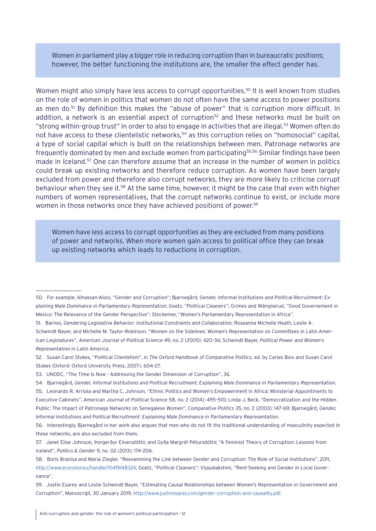Women in parliament play a bigger role in reducing corruption than in bureaucratic positions; however, the better functioning the institutions are, the smaller the effect gender has.

Women might also simply have less access to corrupt opportunities.<sup>50</sup> It is well known from studies on the role of women in politics that women do not often have the same access to power positions as men do.<sup>51</sup> By definition this makes the "abuse of power" that is corruption more difficult. In addition, a network is an essential aspect of corruption<sup>52</sup> and these networks must be built on "strong within-group trust" in order to also to engage in activities that are illegal.<sup>53</sup> Women often do not have access to these clientelistic networks,<sup>54</sup> as this corruption relies on "homosocial" capital, a type of social capital which is built on the relationships between men. Patronage networks are frequently dominated by men and exclude women from participating<sup>55,56.</sup> Similar findings have been made in Iceland.<sup>57</sup> One can therefore assume that an increase in the number of women in politics could break up existing networks and therefore reduce corruption. As women have been largely excluded from power and therefore also corrupt networks, they are more likely to criticise corrupt behaviour when they see it.58 At the same time, however, it might be the case that even with higher numbers of women representatives, that the corrupt networks continue to exist, or include more women in those networks once they have achieved positions of power.<sup>59</sup>

Women have less access to corrupt opportunities as they are excluded from many positions of power and networks. When more women gain access to political office they can break up existing networks which leads to reductions in corruption.

<sup>50.</sup> For example, Alhassan-Alolo, "Gender and Corruption"; Bjarnegård, *Gender, Informal Institutions and Political Recruitment: Explaining Male Dominance in Parliamentary Representation*; Goetz, "Political Cleaners"; Grimes and Wängnerud, "Good Governement in Mexico: The Relevance of the Gender Perspective"; Stockemer, "Women's Parliamentary Representation in Africa".

<sup>51.</sup> Barnes, *Gendering Legislative Behavior: Institutional Constraints and Collaboration*; Roseanna Michelle Heath, Leslie A. Schwindt-Bayer, and Michelle M. Taylor-Robinson, "Women on the Sidelines: Women's Representation on Committees in Latin American Legislatures", *American Journal of Political Science* 49, no. 2 (2005): 420–36; Schwindt-Bayer, *Political Power and Women's Representation in Latin America*.

<sup>52.</sup> Susan Carol Stokes, "Political Clientelism", in *The Oxford Handbook of Comparative Politics*, ed. by Carles Boix and Susan Carol Stokes (Oxford: Oxford University Press, 2007), 604–27.

<sup>53.</sup> UNODC, "The Time Is Now - Addressing the Gender Dimension of Corruption", 36.

<sup>54.</sup> Bjarnegård, *Gender, Informal Institutions and Political Recruitment: Explaining Male Dominance in Parliamentary Representation*.

<sup>55.</sup> Leonardo R. Arriola and Martha C. Johnson, "Ethnic Politics and Women's Empowerment in Africa: Ministerial Appointments to Executive Cabinets", *American Journal of Political Science* 58, no. 2 (2014): 495–510; Linda J. Beck, "Democratization and the Hidden Public: The Impact of Patronage Networks on Senegalese Women", *Comparative Politics* 35, no. 2 (2003): 147–69; Bjarnegård, *Gender, Informal Institutions and Political Recruitment: Explaining Male Dominance in Parliamentary Representation*.

<sup>56.</sup> Interestingly, Bjarnegård in her work also argues that men who do not fit the traditional understanding of masculinity expected in these networks, are also excluded from them.

<sup>57.</sup> Janet Elise Johnson, Þorgerður Einarsdóttir, and Gyða Margrét Pétursdóttir, "A Feminist Theory of Corruption: Lessons from Iceland", *Politics & Gender* 9, no. 02 (2013): 174–206.

<sup>58.</sup> Boris Branisa and Maria Ziegler, "Reexamining the Link between Gender and Corruption: The Role of Social Institutions", 2011, <http://www.econstor.eu/handle/10419/48324>; Goetz, "Political Cleaners"; Vijayalakshmi, "Rent-Seeking and Gender in Local Governance".

<sup>59.</sup> Justin Esarey and Leslie Schwindt-Bayer, "Estimating Causal Relationships between Women's Representation in Government and Corruption", Manuscript, 30 January 2019,<http://www.justinesarey.com/gender-corruption-and-causality.pdf>.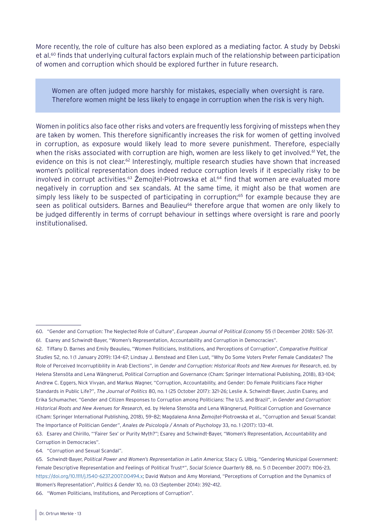More recently, the role of culture has also been explored as a mediating factor. A study by Debski et al.<sup>60</sup> finds that underlying cultural factors explain much of the relationship between participation of women and corruption which should be explored further in future research.

Women are often judged more harshly for mistakes, especially when oversight is rare. Therefore women might be less likely to engage in corruption when the risk is very high.

Women in politics also face other risks and voters are frequently less forgiving of missteps when they are taken by women. This therefore significantly increases the risk for women of getting involved in corruption, as exposure would likely lead to more severe punishment. Therefore, especially when the risks associated with corruption are high, women are less likely to get involved.<sup>61</sup> Yet, the evidence on this is not clear.<sup>62</sup> Interestingly, multiple research studies have shown that increased women's political representation does indeed reduce corruption levels if it especially risky to be involved in corrupt activities.<sup>63</sup> Zemojtel-Piotrowska et al.<sup>64</sup> find that women are evaluated more negatively in corruption and sex scandals. At the same time, it might also be that women are simply less likely to be suspected of participating in corruption;<sup>65</sup> for example because they are seen as political outsiders. Barnes and Beaulieu<sup>66</sup> therefore argue that women are only likely to be judged differently in terms of corrupt behaviour in settings where oversight is rare and poorly institutionalised.

64. "Corruption and Sexual Scandal".

66. "Women Politicians, Institutions, and Perceptions of Corruption".

<sup>60. &</sup>quot;Gender and Corruption: The Neglected Role of Culture", *European Journal of Political Economy* 55 (1 December 2018): 526–37.

<sup>61.</sup> Esarey and Schwindt-Bayer, "Women's Representation, Accountability and Corruption in Democracies".

<sup>62.</sup> Tiffany D. Barnes and Emily Beaulieu, "Women Politicians, Institutions, and Perceptions of Corruption", *Comparative Political Studies* 52, no. 1 (1 January 2019): 134–67; Lindsay J. Benstead and Ellen Lust, "Why Do Some Voters Prefer Female Candidates? The Role of Perceived Incorruptibility in Arab Elections", in *Gender and Corruption: Historical Roots and New Avenues for Research*, ed. by Helena Stensöta and Lena Wängnerud, Political Corruption and Governance (Cham: Springer International Publishing, 2018), 83–104; Andrew C. Eggers, Nick Vivyan, and Markus Wagner, "Corruption, Accountability, and Gender: Do Female Politicians Face Higher Standards in Public Life?", *The Journal of Politics* 80, no. 1 (25 October 2017): 321–26; Leslie A. Schwindt-Bayer, Justin Esarey, and Erika Schumacher, "Gender and Citizen Responses to Corruption among Politicians: The U.S. and Brazil", in *Gender and Corruption: Historical Roots and New Avenues for Research*, ed. by Helena Stensöta and Lena Wängnerud, Political Corruption and Governance (Cham: Springer International Publishing, 2018), 59–82; Magdalena Anna Żemojtel-Piotrowska et al., "Corruption and Sexual Scandal: The Importance of Politician Gender", *Anales de Psicología / Annals of Psychology* 33, no. 1 (2017): 133–41.

<sup>63.</sup> Esarey and Chirillo, "'Fairer Sex' or Purity Myth?"; Esarey and Schwindt-Bayer, "Women's Representation, Accountability and Corruption in Democracies".

<sup>65.</sup> Schwindt-Bayer, *Political Power and Women's Representation in Latin America*; Stacy G. Ulbig, "Gendering Municipal Government: Female Descriptive Representation and Feelings of Political Trust\*", *Social Science Quarterly* 88, no. 5 (1 December 2007): 1106–23, <https://doi.org/10.1111/j.1540-6237.2007.00494.x>; David Watson and Amy Moreland, "Perceptions of Corruption and the Dynamics of Women's Representation", *Politics & Gender* 10, no. 03 (September 2014): 392–412.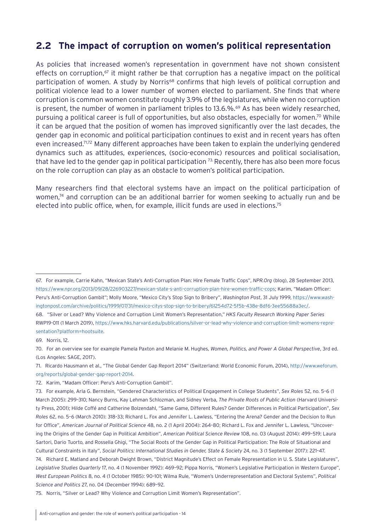### <span id="page-13-0"></span>**2.2 The impact of corruption on women's political representation**

As policies that increased women's representation in government have not shown consistent effects on corruption,<sup> $\sigma$ </sup> it might rather be that corruption has a negative impact on the political participation of women. A study by Norris<sup>68</sup> confirms that high levels of political corruption and political violence lead to a lower number of women elected to parliament. She finds that where corruption is common women constitute roughly 3.9% of the legislatures, while when no corruption is present, the number of women in parliament triples to 13.6.%.<sup>69</sup> As has been widely researched, pursuing a political career is full of opportunities, but also obstacles, especially for women.70 While it can be argued that the position of women has improved significantly over the last decades, the gender gap in economic and political participation continues to exist and in recent years has often even increased.<sup>71,72</sup> Many different approaches have been taken to explain the underlying gendered dynamics such as attitudes, experiences, (socio-economic) resources and political socialisation, that have led to the gender gap in political participation <sup>73.</sup> Recently, there has also been more focus on the role corruption can play as an obstacle to women's political participation.

Many researchers find that electoral systems have an impact on the political participation of women, $74$  and corruption can be an additional barrier for women seeking to actually run and be elected into public office, when, for example, illicit funds are used in elections.75

68. "Silver or Lead? Why Violence and Corruption Limit Women's Representation," *HKS Faculty Research Working Paper Series*  RWP19-011 (1 March 2019), [https://www.hks.harvard.edu/publications/silver-or-lead-why-violence-and-corruption-limit-womens-repre](https://www.hks.harvard.edu/publications/silver-or-lead-why-violence-and-corruption-limit-womens-representation?platform=hootsuite)[sentation?platform=hootsuite](https://www.hks.harvard.edu/publications/silver-or-lead-why-violence-and-corruption-limit-womens-representation?platform=hootsuite).

- 71. Ricardo Hausmann et al., "The Global Gender Gap Report 2014" (Switzerland: World Economic Forum, 2014), [http://www.weforum.](http://www.weforum.org/reports/global-gender-gap-report-2014) [org/reports/global-gender-gap-report-2014](http://www.weforum.org/reports/global-gender-gap-report-2014).
- 72. Karim, "Madam Officer: Peru's Anti-Corruption Gambit".

75. Norris, "Silver or Lead? Why Violence and Corruption Limit Women's Representation".

<sup>67.</sup> For example, Carrie Kahn, "Mexican State's Anti-Corruption Plan: Hire Female Traffic Cops", *NPR.Org* (blog), 28 September 2013, [https://www.npr.org/2013/09/28/226903227/mexican-state-s-anti-corruption-plan-hire-women-traffic-cops;](https://www.npr.org/2013/09/28/226903227/mexican-state-s-anti-corruption-plan-hire-women-traffic-cops) Karim, "Madam Officer: Peru's Anti-Corruption Gambit"; Molly Moore, "Mexico City's Stop Sign to Bribery", *Washington Post*, 31 July 1999, [https://www.wash](https://www.washingtonpost.com/archive/politics/1999/07/31/mexico-citys-stop-sign-to-bribery/61254d72-5f5b-438e-8df6-3ee55688a3ec/)[ingtonpost.com/archive/politics/1999/07/31/mexico-citys-stop-sign-to-bribery/61254d72-5f5b-438e-8df6-3ee55688a3ec/.](https://www.washingtonpost.com/archive/politics/1999/07/31/mexico-citys-stop-sign-to-bribery/61254d72-5f5b-438e-8df6-3ee55688a3ec/)

<sup>69.</sup> Norris, 12.

<sup>70.</sup> For an overview see for example Pamela Paxton and Melanie M. Hughes, *Women, Politics, and Power A Global Perspective*, 3rd ed. (Los Angeles: SAGE, 2017).

<sup>73.</sup> For example, Arla G. Bernstein, "Gendered Characteristics of Political Engagement in College Students", *Sex Roles* 52, no. 5–6 (1 March 2005): 299–310; Nancy Burns, Kay Lehman Schlozman, and Sidney Verba, *The Private Roots of Public Action* (Harvard University Press, 2001); Hilde Coffé and Catherine Bolzendahl, "Same Game, Different Rules? Gender Differences in Political Participation", *Sex Roles* 62, no. 5–6 (March 2010): 318–33; Richard L. Fox and Jennifer L. Lawless, "Entering the Arena? Gender and the Decision to Run for Office", *American Journal of Political Science* 48, no. 2 (1 April 2004): 264–8[0;](https://doi.org/10.2307/1519882;) Richard L. Fox and Jennifer L. Lawless, "Uncovering the Origins of the Gender Gap in Political Ambition", *American Political Science Review* 108, no. 03 (August 2014): 499–519; Laura Sartori, Dario Tuorto, and Rossella Ghigi, "The Social Roots of the Gender Gap in Political Participation: The Role of Situational and Cultural Constraints in Italy", *Social Politics: International Studies in Gender, State & Society* 24, no. 3 (1 September 2017): 221–47. 74. Richard E. Matland and Deborah Dwight Brown, "District Magnitude's Effect on Female Representation in U. S. State Legislatures", *Legislative Studies Quarterly* 17, no. 4 (1 November 1992): 469–92; Pippa Norris, "Women's Legislative Participation in Western Europe", *West European Politics* 8, no. 4 (1 October 1985): 90–101; Wilma Rule, "Women's Underrepresentation and Electoral Systems", *Political Science and Politics* 27, no. 04 (December 1994): 689–92.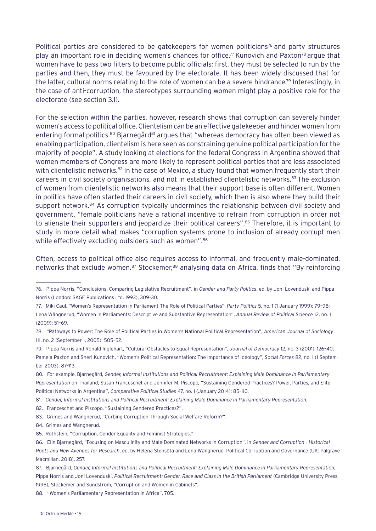Political parties are considered to be gatekeepers for women politicians<sup>76</sup> and party structures play an important role in deciding women's chances for office.77 Kunovich and Paxton78 argue that women have to pass two filters to become public officials; first, they must be selected to run by the parties and then, they must be favoured by the electorate. It has been widely discussed that for the latter, cultural norms relating to the role of women can be a severe hindrance.79 Interestingly, in the case of anti-corruption, the stereotypes surrounding women might play a positive role for the electorate (see section 3.1).

For the selection within the parties, however, research shows that corruption can severely hinder women's access to political office. Clientelism can be an effective gatekeeper and hinder women from entering formal politics.<sup>80</sup> Bjarnegård<sup>81</sup> argues that "whereas democracy has often been viewed as enabling participation, clientelism is here seen as constraining genuine political participation for the majority of people". A study looking at elections for the federal Congress in Argentina showed that women members of Congress are more likely to represent political parties that are less associated with clientelistic networks.<sup>82</sup> In the case of Mexico, a study found that women frequently start their careers in civil society organisations, and not in established clientelistic networks.<sup>83</sup> The exclusion of women from clientelistic networks also means that their support base is often different. Women in politics have often started their careers in civil society, which then is also where they build their support network.<sup>84</sup> As corruption typically undermines the relationship between civil society and government, "female politicians have a rational incentive to refrain from corruption in order not to alienate their supporters and jeopardize their political careers".<sup>85</sup> Therefore, it is important to study in more detail what makes "corruption systems prone to inclusion of already corrupt men while effectively excluding outsiders such as women".<sup>86</sup>

Often, access to political office also requires access to informal, and frequently male-dominated, networks that exclude women.<sup>87</sup> Stockemer,<sup>88</sup> analysing data on Africa, finds that "By reinforcing

80. For example, Bjarnegård, *Gender, Informal Institutions and Political Recruitment: Explaining Male Dominance in Parliamentary Representation* on Thailand; Susan Franceschet and Jennifer M. Piscopo, "Sustaining Gendered Practices? Power, Parties, and Elite Political Networks in Argentina", *Comparative Political Studies* 47, no. 1 (January 2014): 85–110.

88. "Women's Parliamentary Representation in Africa", 705.

<sup>76.</sup> Pippa Norris, "Conclusions: Comparing Legislative Recruitment", in *Gender and Party Politics*, ed. by Joni Lovenduski and Pippa Norris (London: SAGE Publications Ltd, 1993), 309–30.

<sup>77.</sup> Miki Caul, "Women's Representation in Parliament The Role of Political Parties", *Party Politics* 5, no. 1 (1 January 1999): 79–98; Lena Wängnerud, "Women in Parliaments: Descriptive and Substantive Representation", *Annual Review of Political Science* 12, no. 1 (2009): 51–69.

<sup>78. &</sup>quot;Pathways to Power: The Role of Political Parties in Women's National Political Representation", *American Journal of Sociology* 111, no. 2 (September 1, 2005): 505–52.

<sup>79.</sup> Pippa Norris and Ronald Inglehart, "Cultural Obstacles to Equal Representation", *Journal of Democracy* 12, no. 3 (2001): 126–40; Pamela Paxton and Sheri Kunovich, "Women's Political Representation: The Importance of Ideology", *Social Forces* 82, no. 1 (1 September 2003): 87–113.

<sup>81.</sup> *Gender, Informal Institutions and Political Recruitment: Explaining Male Dominance in Parliamentary Representation.*

<sup>82.</sup> Franceschet and Piscopo, "Sustaining Gendered Practices?".

<sup>83.</sup> Grimes and Wängnerud, "Curbing Corruption Through Social Welfare Reform?".

<sup>84.</sup> Grimes and Wängnerud.

<sup>85.</sup> Rothstein, "Corruption, Gender Equality and Feminist Strategies."

<sup>86.</sup> Elin Bjarnegård, "Focusing on Masculinity and Male-Dominated Networks in Corruption", in *Gender and Corruption - Historical Roots and New Avenues for Research*, ed. by Helena Stensöta and Lena Wängnerud, Political Corruption and Governance (UK: Palgrave Macmillan, 2018), 257.

<sup>87.</sup> Bjarnegård, *Gender, Informal Institutions and Political Recruitment: Explaining Male Dominance in Parliamentary Representation*; Pippa Norris and Joni Lovenduski, *Political Recruitment: Gender, Race and Class in the British Parliament* (Cambridge University Press, 1995); Stockemer and Sundström, "Corruption and Women in Cabinets".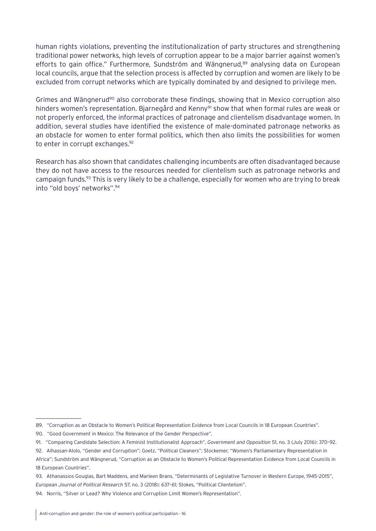human rights violations, preventing the institutionalization of party structures and strengthening traditional power networks, high levels of corruption appear to be a major barrier against women's efforts to gain office." Furthermore, Sundström and Wängnerud,<sup>89</sup> analysing data on European local councils, argue that the selection process is affected by corruption and women are likely to be excluded from corrupt networks which are typically dominated by and designed to privilege men.

Grimes and Wängnerud<sup>90</sup> also corroborate these findings, showing that in Mexico corruption also hinders women's representation. Bjarnegård and Kenny<sup>91</sup> show that when formal rules are weak or not properly enforced, the informal practices of patronage and clientelism disadvantage women. In addition, several studies have identified the existence of male-dominated patronage networks as an obstacle for women to enter formal politics, which then also limits the possibilities for women to enter in corrupt exchanges.<sup>92</sup>

Research has also shown that candidates challenging incumbents are often disadvantaged because they do not have access to the resources needed for clientelism such as patronage networks and campaign funds.<sup>93</sup> This is very likely to be a challenge, especially for women who are trying to break into "old boys' networks".94

<sup>89. &</sup>quot;Corruption as an Obstacle to Women's Political Representation Evidence from Local Councils in 18 European Countries".

<sup>90.</sup> "Good Government in Mexico: The Relevance of the Gender Perspective".

<sup>91. &</sup>quot;Comparing Candidate Selection: A Feminist Institutionalist Approach", *Government and Opposition* 51, no. 3 (July 2016): 370–92.

<sup>92.</sup> Alhassan-Alolo, "Gender and Corruption"; Goetz, "Political Cleaners"; Stockemer, "Women's Parliamentary Representation in Africa"; Sundström and Wängnerud, "Corruption as an Obstacle to Women's Political Representation Evidence from Local Councils in 18 European Countries".

<sup>93.</sup> Athanassios Gouglas, Bart Maddens, and Marleen Brans, "Determinants of Legislative Turnover in Western Europe, 1945–2015", *European Journal of Political Research* 57, no. 3 (2018): 637–61; Stokes, "Political Clientelism".

<sup>94.</sup> Norris, "Silver or Lead? Why Violence and Corruption Limit Women's Representation".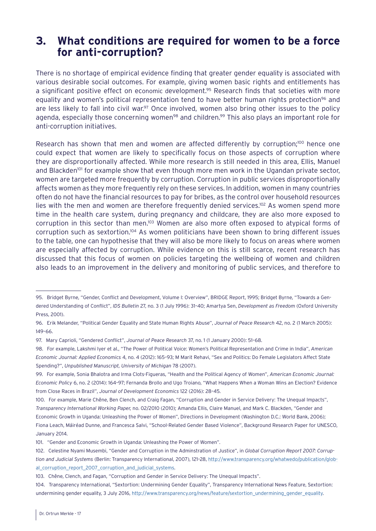## <span id="page-16-0"></span>**3. What conditions are required for women to be a force for anti-corruption?**

There is no shortage of empirical evidence finding that greater gender equality is associated with various desirable social outcomes. For example, giving women basic rights and entitlements has a significant positive effect on economic development.95 Research finds that societies with more equality and women's political representation tend to have better human rights protection<sup>96</sup> and are less likely to fall into civil war.<sup>97</sup> Once involved, women also bring other issues to the policy agenda, especially those concerning women<sup>98</sup> and children.<sup>99</sup> This also plays an important role for anti-corruption initiatives.

Research has shown that men and women are affected differently by corruption;<sup>100</sup> hence one could expect that women are likely to specifically focus on those aspects of corruption where they are disproportionally affected. While more research is still needed in this area, Ellis, Manuel and Blackden<sup>101</sup> for example show that even though more men work in the Ugandan private sector, women are targeted more frequently by corruption. Corruption in public services disproportionally affects women as they more frequently rely on these services. In addition, women in many countries often do not have the financial resources to pay for bribes, as the control over household resources lies with the men and women are therefore frequently denied services.<sup>102</sup> As women spend more time in the health care system, during pregnancy and childcare, they are also more exposed to corruption in this sector than men.103 Women are also more often exposed to atypical forms of corruption such as sextortion.104 As women politicians have been shown to bring different issues to the table, one can hypothesise that they will also be more likely to focus on areas where women are especially affected by corruption. While evidence on this is still scarce, recent research has discussed that this focus of women on policies targeting the wellbeing of women and children also leads to an improvement in the delivery and monitoring of public services, and therefore to

<sup>95.</sup> Bridget Byrne, "Gender, Conflict and Development, Volume I: Overview", BRIDGE Report, 1995; Bridget Byrne, "Towards a Gendered Understanding of Conflict", *IDS Bulletin* 27, no. 3 (1 July 1996): 31–40; Amartya Sen, *Development as Freedom* (Oxford University Press, 2001).

<sup>96.</sup> Erik Melander, "Political Gender Equality and State Human Rights Abuse", *Journal of Peace Research* 42, no. 2 (1 March 2005): 149–66.

<sup>97.</sup> Mary Caprioli, "Gendered Conflict", *Journal of Peace Research* 37, no. 1 (1 January 2000): 51–68.

<sup>98.</sup> For example, Lakshmi Iyer et al., "The Power of Political Voice: Women's Political Representation and Crime in India", *American Economic Journal: Applied Economics* 4, no. 4 (2012): 165–93; M Marit Rehavi, "Sex and Politics: Do Female Legislators Affect State Spending?", *Unpublished Manuscript, University of Michigan* 78 (2007).

<sup>99.</sup> For example, Sonia Bhalotra and Irma Clots-Figueras, "Health and the Political Agency of Women", *American Economic Journal: Economic Policy* 6, no. 2 (2014): 164–97; Fernanda Brollo and Ugo Troiano, "What Happens When a Woman Wins an Election? Evidence from Close Races in Brazil", *Journal of Development Economics* 122 (2016): 28–45.

<sup>100.</sup> For example, Marie Chêne, Ben Clench, and Craig Fagan, "Corruption and Gender in Service Delivery: The Unequal Impacts", *Transparency International Working Paper,* no. 02/2010 (2010); Amanda Ellis, Claire Manuel, and Mark C. Blackden, "Gender and Economic Growth in Uganda: Unleashing the Power of Women", Directions in Development (Washington D.C.: World Bank, 2006); Fiona Leach, Máiréad Dunne, and Francesca Salvi, "School-Related Gender Based Violence", Background Research Paper for UNESCO, January 2014.

<sup>101. &</sup>quot;Gender and Economic Growth in Uganda: Unleashing the Power of Women".

<sup>102.</sup> Celestine Nyami Musembi, "Gender and Corruption in the Adminstration of Justice", in *Global Corruption Report 2007: Corruption and Judicial Systems* (Berlin: Transparency International, 2007), 121–28, [http://www.transparency.org/whatwedo/publication/glob](http://www.transparency.org/whatwedo/publication/global_corruption_report_2007_corruption_and_judicial_systems)[al\\_corruption\\_report\\_2007\\_corruption\\_and\\_judicial\\_systems.](http://www.transparency.org/whatwedo/publication/global_corruption_report_2007_corruption_and_judicial_systems)

<sup>103.</sup> Chêne, Clench, and Fagan, "Corruption and Gender in Service Delivery: The Unequal Impacts".

<sup>104.</sup> Transparency International, "Sextortion: Undermining Gender Equality", Transparency International News Feature, Sextortion: undermining gender equality, 3 July 2016, [http://www.transparency.org/news/feature/sextortion\\_undermining\\_gender\\_equality](http://www.transparency.org/news/feature/sextortion_undermining_gender_equality).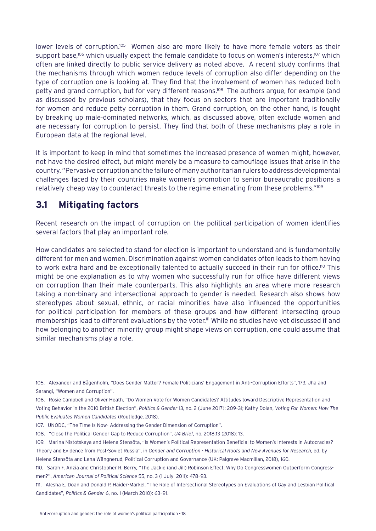<span id="page-17-0"></span>lower levels of corruption.<sup>105</sup> Women also are more likely to have more female voters as their support base,<sup>106</sup> which usually expect the female candidate to focus on women's interests,<sup>107</sup> which often are linked directly to public service delivery as noted above. A recent study confirms that the mechanisms through which women reduce levels of corruption also differ depending on the type of corruption one is looking at. They find that the involvement of women has reduced both petty and grand corruption, but for very different reasons.<sup>108</sup> The authors argue, for example (and as discussed by previous scholars), that they focus on sectors that are important traditionally for women and reduce petty corruption in them. Grand corruption, on the other hand, is fought by breaking up male-dominated networks, which, as discussed above, often exclude women and are necessary for corruption to persist. They find that both of these mechanisms play a role in European data at the regional level.

It is important to keep in mind that sometimes the increased presence of women might, however, not have the desired effect, but might merely be a measure to camouflage issues that arise in the country. "Pervasive corruption and the failure of many authoritarian rulers to address developmental challenges faced by their countries make women's promotion to senior bureaucratic positions a relatively cheap way to counteract threats to the regime emanating from these problems."109

## **3.1 Mitigating factors**

Recent research on the impact of corruption on the political participation of women identifies several factors that play an important role.

How candidates are selected to stand for election is important to understand and is fundamentally different for men and women. Discrimination against women candidates often leads to them having to work extra hard and be exceptionally talented to actually succeed in their run for office.<sup>110</sup> This might be one explanation as to why women who successfully run for office have different views on corruption than their male counterparts. This also highlights an area where more research taking a non-binary and intersectional approach to gender is needed. Research also shows how stereotypes about sexual, ethnic, or racial minorities have also influenced the opportunities for political participation for members of these groups and how different intersecting group memberships lead to different evaluations by the voter.<sup>111</sup> While no studies have yet discussed if and how belonging to another minority group might shape views on corruption, one could assume that similar mechanisms play a role.

<sup>105.</sup> Alexander and Bågenholm, "Does Gender Matter? Female Politicians' Engagement in Anti-Corruption Efforts", 173; Jha and Sarangi, "Women and Corruption".

<sup>106.</sup> Rosie Campbell and Oliver Heath, "Do Women Vote for Women Candidates? Attitudes toward Descriptive Representation and Voting Behavior in the 2010 British Election", *Politics & Gender* 13, no. 2 (June 2017): 209–31; Kathy Dolan, *Voting For Women: How The Public Evaluates Women Candidates* (Routledge, 2018).

<sup>107.</sup> UNODC, "The Time Is Now- Addressing the Gender Dimension of Corruption".

<sup>108. &</sup>quot;Close the Political Gender Gap to Reduce Corruption", *U4 Brief*, no. 2018:13 (2018): 13.

<sup>109.</sup> Marina Nistotskaya and Helena Stensöta, "Is Women's Political Representation Beneficial to Women's Interests in Autocracies? Theory and Evidence from Post-Soviet Russia", in *Gender and Corruption - Historical Roots and New Avenues for Research*, ed. by Helena Stensöta and Lena Wängnerud, Political Corruption and Governance (UK: Palgrave Macmillan, 2018), 160.

<sup>110.</sup> Sarah F. Anzia and Christopher R. Berry, "The Jackie (and Jill) Robinson Effect: Why Do Congresswomen Outperform Congressmen?", *American Journal of Political Science* 55, no. 3 (1 July 2011): 478–93.

<sup>111.</sup> Alesha E. Doan and Donald P. Haider-Markel, "The Role of Intersectional Stereotypes on Evaluations of Gay and Lesbian Political Candidates", *Politics & Gender* 6, no. 1 (March 2010): 63–91.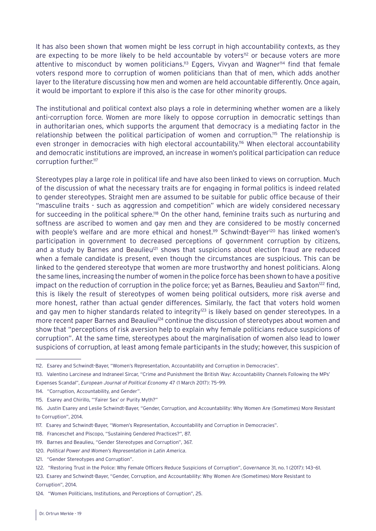It has also been shown that women might be less corrupt in high accountability contexts, as they are expecting to be more likely to be held accountable by voters<sup>112</sup> or because voters are more attentive to misconduct by women politicians.<sup>113</sup> Eggers, Vivyan and Wagner<sup>114</sup> find that female voters respond more to corruption of women politicians than that of men, which adds another layer to the literature discussing how men and women are held accountable differently. Once again, it would be important to explore if this also is the case for other minority groups.

The institutional and political context also plays a role in determining whether women are a likely anti-corruption force. Women are more likely to oppose corruption in democratic settings than in authoritarian ones, which supports the argument that democracy is a mediating factor in the relationship between the political participation of women and corruption.115 The relationship is even stronger in democracies with high electoral accountability.<sup>116</sup> When electoral accountability and democratic institutions are improved, an increase in women's political participation can reduce corruption further.<sup>117</sup>

Stereotypes play a large role in political life and have also been linked to views on corruption. Much of the discussion of what the necessary traits are for engaging in formal politics is indeed related to gender stereotypes. Straight men are assumed to be suitable for public office because of their "masculine traits - such as aggression and competition" which are widely considered necessary for succeeding in the political sphere.<sup>118</sup> On the other hand, feminine traits such as nurturing and softness are ascribed to women and gay men and they are considered to be mostly concerned with people's welfare and are more ethical and honest.<sup>119</sup> Schwindt-Bayer<sup>120</sup> has linked women's participation in government to decreased perceptions of government corruption by citizens, and a study by Barnes and Beaulieu<sup>121</sup> shows that suspicions about election fraud are reduced when a female candidate is present, even though the circumstances are suspicious. This can be linked to the gendered stereotype that women are more trustworthy and honest politicians. Along the same lines, increasing the number of women in the police force has been shown to have a positive impact on the reduction of corruption in the police force; yet as Barnes, Beaulieu and Saxton<sup>122</sup> find, this is likely the result of stereotypes of women being political outsiders, more risk averse and more honest, rather than actual gender differences. Similarly, the fact that voters hold women and gay men to higher standards related to integrity<sup>123</sup> is likely based on gender stereotypes. In a more recent paper Barnes and Beaulieu<sup>124</sup> continue the discussion of stereotypes about women and show that "perceptions of risk aversion help to explain why female politicians reduce suspicions of corruption". At the same time, stereotypes about the marginalisation of women also lead to lower suspicions of corruption, at least among female participants in the study; however, this suspicion of

<sup>112.</sup> Esarey and Schwindt-Bayer, "Women's Representation, Accountability and Corruption in Democracies".

<sup>113.</sup> Valentino Larcinese and Indraneel Sircar, "Crime and Punishment the British Way: Accountability Channels Following the MPs' Expenses Scandal", *European Journal of Political Economy* 47 (1 March 2017): 75–99.

<sup>114. &</sup>quot;Corruption, Accountability, and Gender".

<sup>115.</sup> Esarey and Chirillo, "'Fairer Sex' or Purity Myth?"

<sup>116.</sup> Justin Esarey and Leslie Schwindt-Bayer, "Gender, Corruption, and Accountability: Why Women Are (Sometimes) More Resistant to Corruption", 2014.

<sup>117.</sup> Esarey and Schwindt-Bayer, "Women's Representation, Accountability and Corruption in Democracies".

<sup>118.</sup> Franceschet and Piscopo, "Sustaining Gendered Practices?", 87.

<sup>119.</sup> Barnes and Beaulieu, "Gender Stereotypes and Corruption", 367.

<sup>120.</sup> *Political Power and Women's Representation in Latin America*.

<sup>121. &</sup>quot;Gender Stereotypes and Corruption".

<sup>122. &</sup>quot;Restoring Trust in the Police: Why Female Officers Reduce Suspicions of Corruption", *Governance* 31, no. 1 (2017): 143–61.

<sup>123.</sup> Esarey and Schwindt-Bayer, "Gender, Corruption, and Accountability: Why Women Are (Sometimes) More Resistant to Corruption", 2014.

<sup>124. &</sup>quot;Women Politicians, Institutions, and Perceptions of Corruption", 25.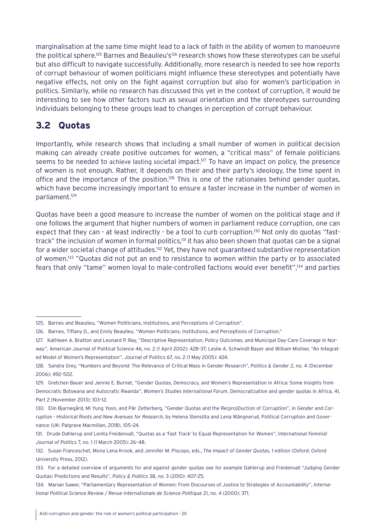<span id="page-19-0"></span>marginalisation at the same time might lead to a lack of faith in the ability of women to manoeuvre the political sphere.<sup>125</sup> Barnes and Beaulieu's<sup>126</sup> research shows how these stereotypes can be useful but also difficult to navigate successfully. Additionally, more research is needed to see how reports of corrupt behaviour of women politicians might influence these stereotypes and potentially have negative effects, not only on the fight against corruption but also for women's participation in politics. Similarly, while no research has discussed this yet in the context of corruption, it would be interesting to see how other factors such as sexual orientation and the stereotypes surrounding individuals belonging to these groups lead to changes in perception of corrupt behaviour.

## **3.2 Quotas**

Importantly, while research shows that including a small number of women in political decision making can already create positive outcomes for women, a "critical mass" of female politicians seems to be needed to achieve lasting societal impact.<sup>127</sup> To have an impact on policy, the presence of women is not enough. Rather, it depends on their and their party's ideology, the time spent in office and the importance of the position.<sup>128</sup> This is one of the rationales behind gender quotas, which have become increasingly important to ensure a faster increase in the number of women in parliament.129

Quotas have been a good measure to increase the number of women on the political stage and if one follows the argument that higher numbers of women in parliament reduce corruption, one can expect that they can - at least indirectly - be a tool to curb corruption.<sup>130</sup> Not only do quotas "fasttrack" the inclusion of women in formal politics,<sup>131</sup> it has also been shown that quotas can be a signal for a wider societal change of attitudes.<sup>132</sup> Yet, they have not guaranteed substantive representation of women.133 "Quotas did not put an end to resistance to women within the party or to associated fears that only "tame" women loyal to male-controlled factions would ever benefit",134 and parties

<sup>125.</sup> Barnes and Beaulieu, "Women Politicians, Institutions, and Perceptions of Corruption".

<sup>126.</sup> Barnes, Tiffany D., and Emily Beaulieu. "Women Politicians, Institutions, and Perceptions of Corruption."

<sup>127.</sup> Kathleen A. Bratton and Leonard P. Ray, "Descriptive Representation, Policy Outcomes, and Municipal Day-Care Coverage in Norway", American Journal of Political Science 46, no. 2 (1 April 2002): 428–37; Leslie A. Schwindt-Bayer and William Mishler, "An Integrated Model of Women's Representation", Journal of Politics 67, no. 2 (1 May 2005): 424.

<sup>128.</sup> Sandra Grey, "Numbers and Beyond: The Relevance of Critical Mass in Gender Research", *Politics & Gender* 2, no. 4 (December 2006): 492–502.

<sup>129.</sup> Gretchen Bauer and Jennie E. Burnet, "Gender Quotas, Democracy, and Women's Representation in Africa: Some Insights from Democratic Botswana and Autocratic Rwanda", *Women's Studies International Forum*, Democratization and gender quotas in Africa, 41, Part 2 (November 2013): 103–12.

<sup>130.</sup> Elin Bjarnegård, Mi Yung Yoon, and Pär Zetterberg, "Gender Quotas and the Re(pro)Duction of Corruption", in *Gender and Corruption - Historical Roots and New Avenues for Research*, by Helena Stensöta and Lena Wängnerud, Political Corruption and Governance (UK: Palgrave Macmillan, 2018), 105–24.

<sup>131.</sup> Drude Dahlerup and Lenita Freidenvall, "Quotas as a 'Fast Track' to Equal Representation for Women", *International Feminist Journal of Politics* 7, no. 1 (1 March 2005): 26–48.

<sup>132.</sup> Susan Franceschet, Mona Lena Krook, and Jennifer M. Piscopo, eds., *The Impact of Gender Quotas*, 1 edition (Oxford: Oxford University Press, 2012).

<sup>133.</sup> For a detailed overview of arguments for and against gender quotas see for example Dahlerup and Freidenvall "Judging Gender Quotas: Predictions and Results", *Policy & Politics* 38, no. 3 (2010): 407–25.

<sup>134.</sup> Marian Sawer, "Parliamentary Representation of Women: From Discourses of Justice to Strategies of Accountability", *International Political Science Review / Revue Internationale de Science Politique* 21, no. 4 (2000): 371.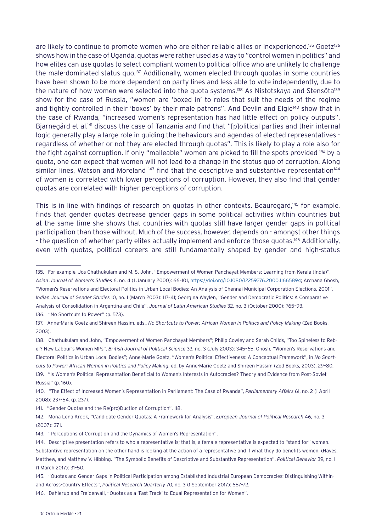are likely to continue to promote women who are either reliable allies or inexperienced.<sup>135</sup> Goetz<sup>136</sup> shows how in the case of Uganda, quotas were rather used as a way to "control women in politics" and how elites can use quotas to select compliant women to political office who are unlikely to challenge the male-dominated status quo.137 Additionally, women elected through quotas in some countries have been shown to be more dependent on party lines and less able to vote independently, due to the nature of how women were selected into the quota systems.<sup>138</sup> As Nistotskaya and Stensöta<sup>139</sup> show for the case of Russia, "women are 'boxed in' to roles that suit the needs of the regime and tightly controlled in their 'boxes' by their male patrons". And Devlin and Elgie<sup>140</sup> show that in the case of Rwanda, "increased women's representation has had little effect on policy outputs". Bjarnegård et al.<sup>141</sup> discuss the case of Tanzania and find that "[p]olitical parties and their internal logic generally play a large role in guiding the behaviours and agendas of elected representatives regardless of whether or not they are elected through quotas". This is likely to play a role also for the fight against corruption. If only "malleable" women are picked to fill the spots provided 142 by a quota, one can expect that women will not lead to a change in the status quo of corruption. Along similar lines, Watson and Moreland <sup>143</sup> find that the descriptive and substantive representation<sup>144</sup> of women is correlated with lower perceptions of corruption. However, they also find that gender quotas are correlated with higher perceptions of corruption.

This is in line with findings of research on quotas in other contexts. Beauregard,<sup>145</sup> for example, finds that gender quotas decrease gender gaps in some political activities within countries but at the same time she shows that countries with quotas still have larger gender gaps in political participation than those without. Much of the success, however, depends on - amongst other things - the question of whether party elites actually implement and enforce those quotas.<sup>146</sup> Additionally, even with quotas, political careers are still fundamentally shaped by gender and high-status

140. "The Effect of Increased Women's Representation in Parliament: The Case of Rwanda", *Parliamentary Affairs* 61, no. 2 (1 April 2008): 237–54, (p. 237).

<sup>135.</sup> For example, Jos Chathukulam and M. S. John, "Empowerment of Women Panchayat Members: Learning from Kerala (India)", *Asian Journal of Women's Studies* 6, no. 4 (1 January 2000): 66–101, [https://doi.org/10.1080/12259276.2000.11665894;](https://doi.org/10.1080/12259276.2000.11665894) Archana Ghosh, "Women's Reservations and Electoral Politics in Urban Local Bodies: An Analysis of Chennai Municipal Corporation Elections, 2001", *Indian Journal of Gender Studies* 10, no. 1 (March 2003): 117–41; Georgina Waylen, "Gender and Democratic Politics: A Comparative Analysis of Consolidation in Argentina and Chile", *Journal of Latin American Studies* 32, no. 3 (October 2000): 765–93. 136. "No Shortcuts to Power" (p. 573).

<sup>137.</sup> Anne-Marie Goetz and Shireen Hassim, eds., *No Shortcuts to Power: African Women in Politics and Policy Making* (Zed Books, 2003).

<sup>138.</sup> Chathukulam and John, "Empowerment of Women Panchayat Members"; Philip Cowley and Sarah Childs, "Too Spineless to Rebel? New Labour's Women MPs", *British Journal of Political Science* 33, no. 3 (July 2003): 345–65; Ghosh, "Women's Reservations and Electoral Politics in Urban Local Bodies"; Anne-Marie Goetz, "Women's Political Effectiveness: A Conceptual Framework", in *No Shortcuts to Power: African Women in Politics and Policy Making*, ed. by Anne-Marie Goetz and Shireen Hassim (Zed Books, 2003), 29–80. 139. "Is Women's Political Representation Beneficial to Women's Interests in Autocracies? Theory and Evidence from Post-Soviet Russia" (p. 160).

<sup>141. &</sup>quot;Gender Quotas and the Re(pro)Duction of Corruption", 118.

<sup>142.</sup> Mona Lena Krook, "Candidate Gender Quotas: A Framework for Analysis", *European Journal of Political Research* 46, no. 3 (2007): 371.

<sup>143. &</sup>quot;Perceptions of Corruption and the Dynamics of Women's Representation".

<sup>144.</sup> Descriptive presentation refers to who a representative is; that is, a female representative is expected to "stand for" women. Substantive representation on the other hand is looking at the action of a representative and if what they do benefits women. (Hayes, Matthew, and Matthew V. Hibbing. "The Symbolic Benefits of Descriptive and Substantive Representation". *Political Behavior* 39, no. 1 (1 March 2017): 31–50.

<sup>145. &</sup>quot;Quotas and Gender Gaps in Political Participation among Established Industrial European Democracies: Distinguishing Withinand Across-Country Effects", *Political Research Quarterly* 70, no. 3 (1 September 2017): 657–72.

<sup>146.</sup> Dahlerup and Freidenvall, "Quotas as a 'Fast Track' to Equal Representation for Women".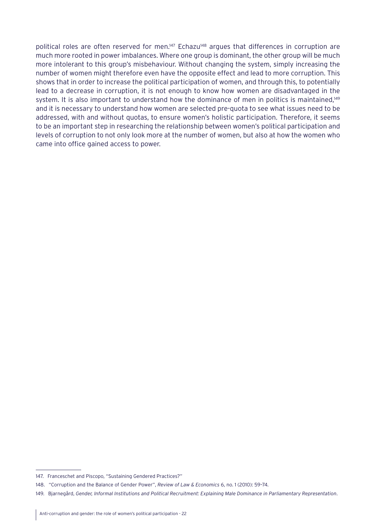political roles are often reserved for men.<sup>147</sup> Echazu<sup>148</sup> argues that differences in corruption are much more rooted in power imbalances. Where one group is dominant, the other group will be much more intolerant to this group's misbehaviour. Without changing the system, simply increasing the number of women might therefore even have the opposite effect and lead to more corruption. This shows that in order to increase the political participation of women, and through this, to potentially lead to a decrease in corruption, it is not enough to know how women are disadvantaged in the system. It is also important to understand how the dominance of men in politics is maintained,<sup>149</sup> and it is necessary to understand how women are selected pre-quota to see what issues need to be addressed, with and without quotas, to ensure women's holistic participation. Therefore, it seems to be an important step in researching the relationship between women's political participation and levels of corruption to not only look more at the number of women, but also at how the women who came into office gained access to power.

<sup>147.</sup> Franceschet and Piscopo, "Sustaining Gendered Practices?"

<sup>148.</sup> "Corruption and the Balance of Gender Power", *Review of Law & Economics* 6, no. 1 (2010): 59–74.

<sup>149.</sup> Bjarnegård, *Gender, Informal Institutions and Political Recruitment: Explaining Male Dominance in Parliamentary Representation*.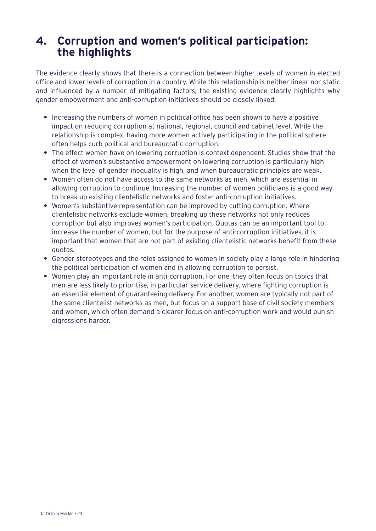## <span id="page-22-0"></span>**4. Corruption and women's political participation: the highlights**

The evidence clearly shows that there is a connection between higher levels of women in elected office and lower levels of corruption in a country. While this relationship is neither linear nor static and influenced by a number of mitigating factors, the existing evidence clearly highlights why gender empowerment and anti-corruption initiatives should be closely linked:

- **•** Increasing the numbers of women in political office has been shown to have a positive impact on reducing corruption at national, regional, council and cabinet level. While the relationship is complex, having more women actively participating in the political sphere often helps curb political and bureaucratic corruption.
- **•** The effect women have on lowering corruption is context dependent. Studies show that the effect of women's substantive empowerment on lowering corruption is particularly high when the level of gender inequality is high, and when bureaucratic principles are weak.
- **•** Women often do not have access to the same networks as men, which are essential in allowing corruption to continue. Increasing the number of women politicians is a good way to break up existing clientelistic networks and foster anti-corruption initiatives.
- **•** Women's substantive representation can be improved by cutting corruption. Where clientelistic networks exclude women, breaking up these networks not only reduces corruption but also improves women's participation. Quotas can be an important tool to increase the number of women, but for the purpose of anti-corruption initiatives, it is important that women that are not part of existing clientelistic networks benefit from these quotas.
- **•** Gender stereotypes and the roles assigned to women in society play a large role in hindering the political participation of women and in allowing corruption to persist.
- **•** Women play an important role in anti-corruption. For one, they often focus on topics that men are less likely to prioritise, in particular service delivery, where fighting corruption is an essential element of guaranteeing delivery. For another, women are typically not part of the same clientelist networks as men, but focus on a support base of civil society members and women, which often demand a clearer focus on anti-corruption work and would punish digressions harder.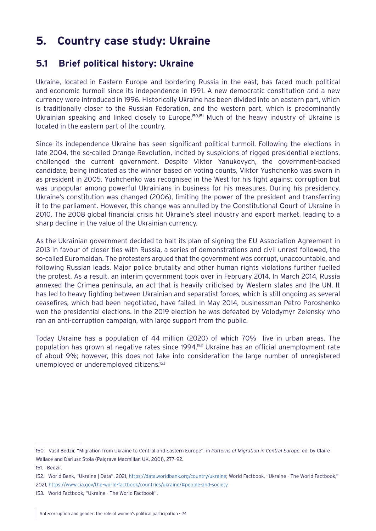## <span id="page-23-0"></span>**5. Country case study: Ukraine**

## **5.1 Brief political history: Ukraine**

Ukraine, located in Eastern Europe and bordering Russia in the east, has faced much political and economic turmoil since its independence in 1991. A new democratic constitution and a new currency were introduced in 1996. Historically Ukraine has been divided into an eastern part, which is traditionally closer to the Russian Federation, and the western part, which is predominantly Ukrainian speaking and linked closely to Europe.<sup>150,151</sup> Much of the heavy industry of Ukraine is located in the eastern part of the country.

Since its independence Ukraine has seen significant political turmoil. Following the elections in late 2004, the so-called Orange Revolution, incited by suspicions of rigged presidential elections, challenged the current government. Despite Viktor Yanukovych, the government-backed candidate, being indicated as the winner based on voting counts, Viktor Yushchenko was sworn in as president in 2005. Yushchenko was recognised in the West for his fight against corruption but was unpopular among powerful Ukrainians in business for his measures. During his presidency, Ukraine's constitution was changed (2006), limiting the power of the president and transferring it to the parliament. However, this change was annulled by the Сonstitutional Сourt of Ukraine in 2010. The 2008 global financial crisis hit Ukraine's steel industry and export market, leading to a sharp decline in the value of the Ukrainian currency.

As the Ukrainian government decided to halt its plan of signing the EU Association Agreement in 2013 in favour of closer ties with Russia, a series of demonstrations and civil unrest followed, the so-called Euromaidan. The protesters argued that the government was corrupt, unaccountable, and following Russian leads. Major police brutality and other human rights violations further fuelled the protest. As a result, an interim government took over in February 2014. In March 2014, Russia annexed the Crimea peninsula, an act that is heavily criticised by Western states and the UN. It has led to heavy fighting between Ukrainian and separatist forces, which is still ongoing as several ceasefires, which had been negotiated, have failed. In May 2014, businessman Petro Poroshenko won the presidential elections. In the 2019 election he was defeated by Volodymyr Zelensky who ran an anti-corruption campaign, with large support from the public.

Today Ukraine has a population of 44 million (2020) of which 70% live in urban areas. The population has grown at negative rates since 1994.152 Ukraine has an official unemployment rate of about 9%; however, this does not take into consideration the large number of unregistered unemployed or underemployed citizens.153

<sup>150.</sup> Vasil Bedzir, "Migration from Ukraine to Central and Eastern Europe", in *Patterns of Migration in Central Europe*, ed. by Claire Wallace and Dariusz Stola (Palgrave Macmillan UK, 2001), 277–92.

<sup>151.</sup> Bedzir.

<sup>152.</sup> World Bank, "Ukraine | Data", 2021,<https://data.worldbank.org/country/ukraine>; World Factbook, "Ukraine - The World Factbook,"

<sup>2021,</sup><https://www.cia.gov/the-world-factbook/countries/ukraine/#people-and-society>.

<sup>153.</sup> World Factbook, "Ukraine - The World Factbook".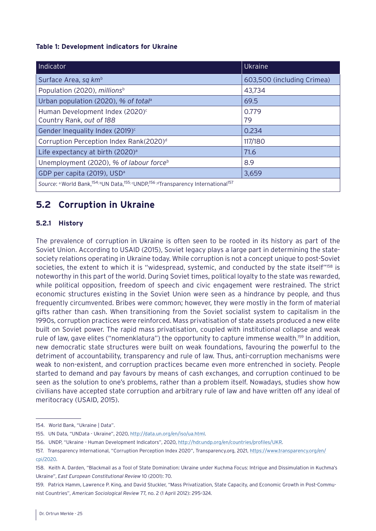#### <span id="page-24-0"></span>**Table 1: Development indicators for Ukraine**

| Indicator                                                                                         | <b>Ukraine</b>             |
|---------------------------------------------------------------------------------------------------|----------------------------|
| Surface Area, sq km <sup>b</sup>                                                                  | 603,500 (including Crimea) |
| Population (2020), millions <sup>b</sup>                                                          | 43,734                     |
| Urban population (2020), % of total <sup>a</sup>                                                  | 69.5                       |
| Human Development Index (2020) <sup>c</sup><br>Country Rank, out of 188                           | 0.779<br>79                |
| Gender Inequality Index (2019) <sup>c</sup>                                                       | 0.234                      |
| Corruption Perception Index Rank(2020) <sup>d</sup>                                               | 117/180                    |
| Life expectancy at birth (2020) <sup>a</sup>                                                      | 71.6                       |
| Unemployment (2020), % of labour force <sup>b</sup>                                               | 8.9                        |
| GDP per capita (2019), USD <sup>a</sup>                                                           | 3,659                      |
| Source: a World Bank, 154; bUN Data, 155; cUNDP, 156; a Transparency International <sup>157</sup> |                            |

## **5.2 Corruption in Ukraine**

#### **5.2.1 History**

The prevalence of corruption in Ukraine is often seen to be rooted in its history as part of the Soviet Union. According to USAID (2015), Soviet legacy plays a large part in determining the statesociety relations operating in Ukraine today. While corruption is not a concept unique to post-Soviet societies, the extent to which it is "widespread, systemic, and conducted by the state itself"<sup>158</sup> is noteworthy in this part of the world. During Soviet times, political loyalty to the state was rewarded, while political opposition, freedom of speech and civic engagement were restrained. The strict economic structures existing in the Soviet Union were seen as a hindrance by people, and thus frequently circumvented. Bribes were common; however, they were mostly in the form of material gifts rather than cash. When transitioning from the Soviet socialist system to capitalism in the 1990s, corruption practices were reinforced. Mass privatisation of state assets produced a new elite built on Soviet power. The rapid mass privatisation, coupled with institutional collapse and weak rule of law, gave elites ("nomenklatura") the opportunity to capture immense wealth.<sup>159</sup> In addition, new democratic state structures were built on weak foundations, favouring the powerful to the detriment of accountability, transparency and rule of law. Thus, anti-corruption mechanisms were weak to non-existent, and corruption practices became even more entrenched in society. People started to demand and pay favours by means of cash exchanges, and corruption continued to be seen as the solution to one's problems, rather than a problem itself. Nowadays, studies show how civilians have accepted state corruption and arbitrary rule of law and have written off any ideal of meritocracy (USAID, 2015).

<sup>154.</sup> World Bank, "Ukraine | Data".

<sup>155.</sup> UN Data, "UNData - Ukraine", 2020, [http://data.un.org/en/iso/ua.html.](http://data.un.org/en/iso/ua.html)

<sup>156.</sup> UNDP, "Ukraine - Human Development Indicators", 2020, [http://hdr.undp.org/en/countries/profiles/UKR.](http://hdr.undp.org/en/countries/profiles/UKR)

<sup>157.</sup> Transparency International, "Corruption Perception Index 2020", Transparency.org, 2021, [https://www.transparency.org/en/](https://www.transparency.org/en/cpi/2020) [cpi/2020.](https://www.transparency.org/en/cpi/2020)

<sup>158.</sup> Keith A. Darden, "Blackmail as a Tool of State Domination: Ukraine under Kuchma Focus: Intrigue and Dissimulation in Kuchma's Ukraine", *East European Constitutional Review* 10 (2001): 70.

<sup>159.</sup> Patrick Hamm, Lawrence P. King, and David Stuckler, "Mass Privatization, State Capacity, and Economic Growth in Post-Communist Countries", *American Sociological Review* 77, no. 2 (1 April 2012): 295–324.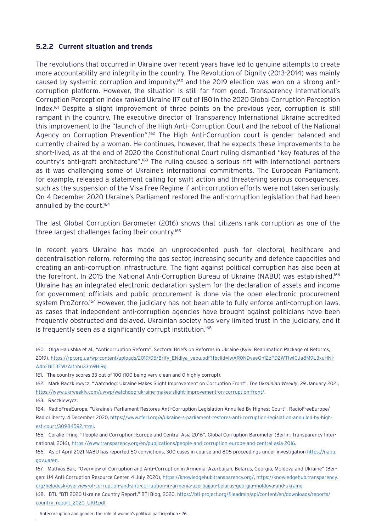#### <span id="page-25-0"></span>**5.2.2 Current situation and trends**

The revolutions that occurred in Ukraine over recent years have led to genuine attempts to create more accountability and integrity in the country. The Revolution of Dignity (2013-2014) was mainly caused by systemic corruption and impunity,160 and the 2019 election was won on a strong anticorruption platform. However, the situation is still far from good. Transparency International's Corruption Perception Index ranked Ukraine 117 out of 180 in the 2020 Global Corruption Perception Index.161 Despite a slight improvement of three points on the previous year, corruption is still rampant in the country. The executive director of Transparency International Ukraine accredited this improvement to the "launch of the High Anti—Corruption Court and the reboot of the National Agency on Corruption Prevention".<sup>162</sup> The High Anti-Corruption court is gender balanced and currently chaired by a woman. He continues, however, that he expects these improvements to be short-lived, as at the end of 2020 the Constitutional Court ruling dismantled "key features of the country's anti-graft architecture".163 The ruling caused a serious rift with international partners as it was challenging some of Ukraine's international commitments. The European Parliament, for example, released a statement calling for swift action and threatening serious consequences, such as the suspension of the Visa Free Regime if anti-corruption efforts were not taken seriously. On 4 December 2020 Ukraine's Parliament restored the anti-corruption legislation that had been annulled by the court.<sup>164</sup>

The last Global Corruption Barometer (2016) shows that citizens rank corruption as one of the three largest challenges facing their country.165

In recent years Ukraine has made an unprecedented push for electoral, healthcare and decentralisation reform, reforming the gas sector, increasing security and defence capacities and creating an anti-corruption infrastructure. The fight against political corruption has also been at the forefront. In 2015 the National Anti-Corruption Bureau of Ukraine (NABU) was established.166 Ukraine has an integrated electronic declaration system for the declaration of assets and income for government officials and public procurement is done via the open electronic procurement system ProZorro.<sup>167</sup> However, the judiciary has not been able to fully enforce anti-corruption laws, as cases that independent anti-corruption agencies have brought against politicians have been frequently obstructed and delayed. Ukrainian society has very limited trust in the judiciary, and it is frequently seen as a significantly corrupt institution.<sup>168</sup>

- 164. RadioFreeEurope, "Ukraine's Parliament Restores Anti-Corruption Legislation Annulled By Highest Court", RadioFreeEurope/ RadioLiberty, 4 December 2020, [https://www.rferl.org/a/ukraine-s-parliament-restores-anti-corruption-legislation-annulled-by-high](https://www.rferl.org/a/ukraine-s-parliament-restores-anti-corruption-legislation-annulled-by-highest-court/30984592.html)[est-court/30984592.html.](https://www.rferl.org/a/ukraine-s-parliament-restores-anti-corruption-legislation-annulled-by-highest-court/30984592.html)
- 165. Coralie Pring, "People and Corruption: Europe and Central Asia 2016", Global Corruption Barometer (Berlin: Transparency International, 2016), <https://www.transparency.org/en/publications/people-and-corruption-europe-and-central-asia-2016>.

168. BTI. "BTI 2020 Ukraine Country Report." BTI Blog, 2020. [https://bti-project.org/fileadmin/api/content/en/downloads/reports/](https://bti-project.org/fileadmin/api/content/en/downloads/reports/country_report_2020_UKR.pdf) [country\\_report\\_2020\\_UKR.pdf](https://bti-project.org/fileadmin/api/content/en/downloads/reports/country_report_2020_UKR.pdf).

<sup>160.</sup> Olga Halushka et al., "Anticorruption Reform", Sectoral Briefs on Reforms in Ukraine (Kyiv: Reanimation Package of Reforms, 2019), [https://rpr.org.ua/wp-content/uploads/2019/05/Brify\\_ENdlya\\_vebu.pdf?fbclid=IwAR0NDveeQn12zPD2WTfwlCJa8M9L3xuHNi-](https://rpr.org.ua/wp-content/uploads/2019/05/Brify_ENdlya_vebu.pdf?fbclid=IwAR0NDveeQn12zPD2WTfwlCJa8M9L3xuHNiA4bFBIT3FWzAIfnhu33m9Hi9g)[A4bFBIT3FWzAIfnhu33m9Hi9g.](https://rpr.org.ua/wp-content/uploads/2019/05/Brify_ENdlya_vebu.pdf?fbclid=IwAR0NDveeQn12zPD2WTfwlCJa8M9L3xuHNiA4bFBIT3FWzAIfnhu33m9Hi9g)

<sup>161.</sup> The country scores 33 out of 100 (100 being very clean and 0 highly corrupt).

<sup>162.</sup> Mark Raczkiewycz, "Watchdog: Ukraine Makes Slight Improvement on Corruption Front", *The Ukrainian Weekly*, 29 January 2021, [https://www.ukrweekly.com/uwwp/watchdog-ukraine-makes-slight-improvement-on-corruption-front/.](https://www.ukrweekly.com/uwwp/watchdog-ukraine-makes-slight-improvement-on-corruption-front/)

<sup>163.</sup> Raczkiewycz.

<sup>166.</sup> As of April 2021 NABU has reported 50 convictions, 300 cases in course and 805 proceedings under investigation [https://nabu.](https://nabu.gov.ua/en) [gov.ua/en](https://nabu.gov.ua/en).

<sup>167.</sup> Mathias Bak, "Overview of Corruption and Anti-Corruption in Armenia, Azerbaijan, Belarus, Georgia, Moldova and Ukraine" (Bergen: U4 Anti-Corruption Resource Center, 4 July 2020), <https://knowledgehub.transparency.org/>, [https://knowledgehub.transparency.](https://knowledgehub.transparency.org/helpdesk/overview-of-corruption-and-anti-corruption-in-armenia-azerbaijan-belarus-georgia-moldova-and-ukraine) [org/helpdesk/overview-of-corruption-and-anti-corruption-in-armenia-azerbaijan-belarus-georgia-moldova-and-ukraine.](https://knowledgehub.transparency.org/helpdesk/overview-of-corruption-and-anti-corruption-in-armenia-azerbaijan-belarus-georgia-moldova-and-ukraine)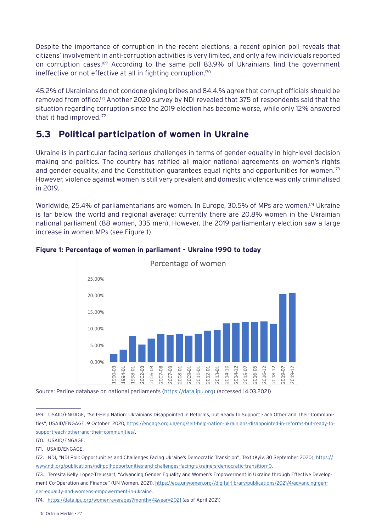<span id="page-26-0"></span>Despite the importance of corruption in the recent elections, a recent opinion poll reveals that citizens' involvement in anti-corruption activities is very limited, and only a few individuals reported on corruption cases.169 According to the same poll 83.9% of Ukrainians find the government ineffective or not effective at all in fighting corruption.<sup>170</sup>

45.2% of Ukrainians do not condone giving bribes and 84.4.% agree that corrupt officials should be removed from office.171 Another 2020 survey by NDI revealed that 375 of respondents said that the situation regarding corruption since the 2019 election has become worse, while only 12% answered that it had improved.172

## **5.3 Political participation of women in Ukraine**

Ukraine is in particular facing serious challenges in terms of gender equality in high-level decision making and politics. The country has ratified all major national agreements on women's rights and gender equality, and the Constitution guarantees equal rights and opportunities for women.<sup>173</sup> However, violence against women is still very prevalent and domestic violence was only criminalised in 2019.

Worldwide, 25.4% of parliamentarians are women. In Europe, 30.5% of MPs are women.<sup>174</sup> Ukraine is far below the world and regional average; currently there are 20.8% women in the Ukrainian national parliament (88 women, 335 men). However, the 2019 parliamentary election saw a large increase in women MPs (see Figure 1).



#### **Figure 1: Percentage of women in parliament - Ukraine 1990 to today**

Source: Parline database on national parliaments [\(https://data.ipu.org\)](https://data.ipu.org) (accessed 14.03.2021)

<sup>169.</sup> USAID/ENGAGE, "Self-Help Nation: Ukrainians Disappointed in Reforms, but Ready to Support Each Other and Their Communities", USAID/ENGAGE, 9 October 2020, [https://engage.org.ua/eng/self-help-nation-ukrainians-disappointed-in-reforms-but-ready-to](https://engage.org.ua/eng/self-help-nation-ukrainians-disappointed-in-reforms-but-ready-to-support-each-other-and-their-communities/)[support-each-other-and-their-communities/.](https://engage.org.ua/eng/self-help-nation-ukrainians-disappointed-in-reforms-but-ready-to-support-each-other-and-their-communities/)

<sup>170.</sup> USAID/ENGAGE.

<sup>171.</sup> USAID/ENGAGE.

<sup>172.</sup> NDI, "NDI Poll: Opportunities and Challenges Facing Ukraine's Democratic Transition", Text (Kyiv, 30 September 2020), [https://](https://www.ndi.org/publications/ndi-poll-opportunities-and-challenges-facing-ukraine-s-democratic-transition-0) [www.ndi.org/publications/ndi-poll-opportunities-and-challenges-facing-ukraine-s-democratic-transition-0](https://www.ndi.org/publications/ndi-poll-opportunities-and-challenges-facing-ukraine-s-democratic-transition-0).

<sup>173.</sup> Teresita Kelly Lopez-Treussart, "Advancing Gender Equality and Women's Empowerment in Ukraine through Effective Development Co-Operation and Finance" (UN Women, 2021), [https://eca.unwomen.org//digital-library/publications/2021/4/advancing-gen](https://eca.unwomen.org//digital-library/publications/2021/4/advancing-gender-equality-and-womens-empowerment-in-ukraine)[der-equality-and-womens-empowerment-in-ukraine](https://eca.unwomen.org//digital-library/publications/2021/4/advancing-gender-equality-and-womens-empowerment-in-ukraine).

<sup>174.</sup> <https://data.ipu.org/women-averages?month=4&year=2021>(as of April 2021)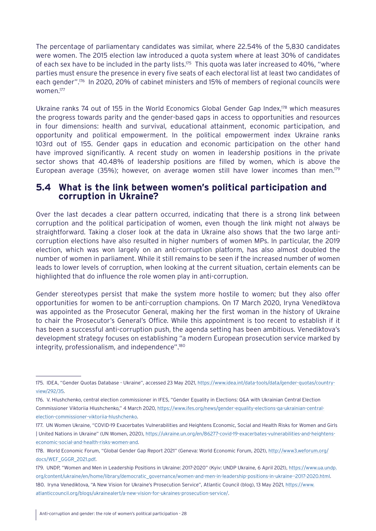<span id="page-27-0"></span>The percentage of parliamentary candidates was similar, where 22.54% of the 5,830 candidates were women. The 2015 election law introduced a quota system where at least 30% of candidates of each sex have to be included in the party lists.<sup>175</sup> This quota was later increased to 40%, "where parties must ensure the presence in every five seats of each electoral list at least two candidates of each gender". 176 In 2020, 20% of cabinet ministers and 15% of members of regional councils were women.177

Ukraine ranks 74 out of 155 in the World Economics Global Gender Gap Index,<sup>178</sup> which measures the progress towards parity and the gender-based gaps in access to opportunities and resources in four dimensions: health and survival, educational attainment, economic participation, and opportunity and political empowerment. In the political empowerment index Ukraine ranks 103rd out of 155. Gender gaps in education and economic participation on the other hand have improved significantly. A recent study on women in leadership positions in the private sector shows that 40.48% of leadership positions are filled by women, which is above the European average (35%); however, on average women still have lower incomes than men.<sup>179</sup>

## **5.4 What is the link between women's political participation and corruption in Ukraine?**

Over the last decades a clear pattern occurred, indicating that there is a strong link between corruption and the political participation of women, even though the link might not always be straightforward. Taking a closer look at the data in Ukraine also shows that the two large anticorruption elections have also resulted in higher numbers of women MPs. In particular, the 2019 election, which was won largely on an anti-corruption platform, has also almost doubled the number of women in parliament. While it still remains to be seen if the increased number of women leads to lower levels of corruption, when looking at the current situation, certain elements can be highlighted that do influence the role women play in anti-corruption.

Gender stereotypes persist that make the system more hostile to women; but they also offer opportunities for women to be anti-corruption champions. On 17 March 2020, Iryna Venediktova was appointed as the Prosecutor General, making her the first woman in the history of Ukraine to chair the Prosecutor's General's Office. While this appointment is too recent to establish if it has been a successful anti-corruption push, the agenda setting has been ambitious. Venediktova's development strategy focuses on establishing "a modern European prosecution service marked by integrity, professionalism, and independence".<sup>180</sup>

179. UNDP, "Women and Men in Leadership Positions in Ukraine: 2017-2020" (Kyiv: UNDP Ukraine, 6 April 2021), [https://www.ua.undp.](https://www.ua.undp.org/content/ukraine/en/home/library/democratic_governance/women-and-men-in-leadership-positions-in-ukraine--2017-2020.html) [org/content/ukraine/en/home/library/democratic\\_governance/women-and-men-in-leadership-positions-in-ukraine--2017-2020.html.](https://www.ua.undp.org/content/ukraine/en/home/library/democratic_governance/women-and-men-in-leadership-positions-in-ukraine--2017-2020.html) 180. Iryna Venediktova, "A New Vision for Ukraine's Prosecution Service", Atlantic Council (blog), 13 May 2021, [https://www.](https://www.atlanticcouncil.org/blogs/ukrainealert/a-new-vision-for-ukraines-prosecution-service/)

[atlanticcouncil.org/blogs/ukrainealert/a-new-vision-for-ukraines-prosecution-service/](https://www.atlanticcouncil.org/blogs/ukrainealert/a-new-vision-for-ukraines-prosecution-service/).

<sup>175.</sup> IDEA, "Gender Quotas Database - Ukraine", accessed 23 May 2021, [https://www.idea.int/data-tools/data/gender-quotas/country](https://www.idea.int/data-tools/data/gender-quotas/country-view/292/35)[view/292/35.](https://www.idea.int/data-tools/data/gender-quotas/country-view/292/35)

<sup>176.</sup> V. Hlushchenko, central election commissioner in IFES, "Gender Equality in Elections: Q&A with Ukrainian Central Election Commissioner Viktoriia Hlushchenko," 4 March 2020, [https://www.ifes.org/news/gender-equality-elections-qa-ukrainian-central](https://www.ifes.org/news/gender-equality-elections-qa-ukrainian-central-election-commissioner-viktoriia-hlushchenko)[election-commissioner-viktoriia-hlushchenko.](https://www.ifes.org/news/gender-equality-elections-qa-ukrainian-central-election-commissioner-viktoriia-hlushchenko)

<sup>177.</sup> UN Women Ukraine, "COVID-19 Exacerbates Vulnerabilities and Heightens Economic, Social and Health Risks for Women and Girls | United Nations in Ukraine" (UN Women, 2020), [https://ukraine.un.org/en/86277-covid-19-exacerbates-vulnerabilities-and-heightens](https://ukraine.un.org/en/86277-covid-19-exacerbates-vulnerabilities-and-heightens-economic-social-and-health-risks-women-and)[economic-social-and-health-risks-women-and](https://ukraine.un.org/en/86277-covid-19-exacerbates-vulnerabilities-and-heightens-economic-social-and-health-risks-women-and).

<sup>178.</sup> World Economic Forum, "Global Gender Gap Report 2021" (Geneva: World Economic Forum, 2021), [http://www3.weforum.org/](http://www3.weforum.org/docs/WEF_GGGR_2021.pdf) [docs/WEF\\_GGGR\\_2021.pdf](http://www3.weforum.org/docs/WEF_GGGR_2021.pdf).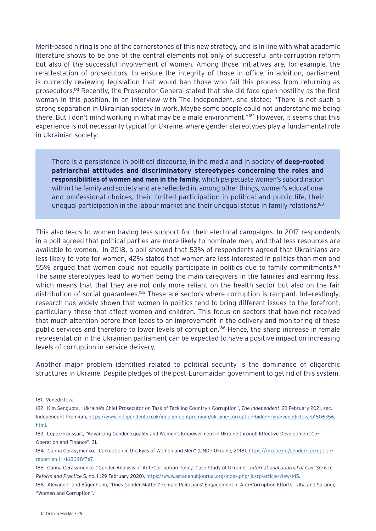Merit-based hiring is one of the cornerstones of this new strategy, and is in line with what academic literature shows to be one of the central elements not only of successful anti-corruption reform but also of the successful involvement of women. Among those initiatives are, for example, the re-attestation of prosecutors, to ensure the integrity of those in office; in addition, parliament is currently reviewing legislation that would ban those who fail this process from returning as prosecutors.181 Recently, the Prosecutor General stated that she did face open hostility as the first woman in this position. In an interview with The Independent, she stated: "There is not such a strong separation in Ukrainian society in work. Maybe some people could not understand me being there. But I don't mind working in what may be a male environment."182 However, it seems that this experience is not necessarily typical for Ukraine, where gender stereotypes play a fundamental role in Ukrainian society:

There is a persistence in political discourse, in the media and in society **of deep-rooted patriarchal attitudes and discriminatory stereotypes concerning the roles and responsibilities of women and men in the family**, which perpetuate women's subordination within the family and society and are reflected in, among other things, women's educational and professional choices, their limited participation in political and public life, their unequal participation in the labour market and their unequal status in family relations.<sup>183</sup>

This also leads to women having less support for their electoral campaigns. In 2017 respondents in a poll agreed that political parties are more likely to nominate men, and that less resources are available to women. In 2018, a poll showed that 53% of respondents agreed that Ukrainians are less likely to vote for women, 42% stated that women are less interested in politics than men and 55% argued that women could not equally participate in politics due to family commitments.<sup>184</sup> The same stereotypes lead to women being the main caregivers in the families and earning less, which means that that they are not only more reliant on the health sector but also on the fair distribution of social guarantees.<sup>185</sup> These are sectors where corruption is rampant. Interestingly, research has widely shown that women in politics tend to bring different issues to the forefront, particularly those that affect women and children. This focus on sectors that have not received that much attention before then leads to an improvement in the delivery and monitoring of these public services and therefore to lower levels of corruption.186 Hence, the sharp increase in female representation in the Ukrainian parliament can be expected to have a positive impact on increasing levels of corruption in service delivery.

Another major problem identified related to political security is the dominance of oligarchic structures in Ukraine. Despite pledges of the post-Euromaidan government to get rid of this system,

<sup>181.</sup> Venediktova.

<sup>182.</sup> Kim Sengupta, "Ukraine's Chief Prosecutor on Task of Tackling Country's Corruption", *The Independent*, 23 February 2021, sec. Independent Premium, [https://www.independent.co.uk/independentpremium/ukraine-corruption-biden-iryna-venediktova-b1806356.](https://www.independent.co.uk/independentpremium/ukraine-corruption-biden-iryna-venediktova-b1806356.html) [html.](https://www.independent.co.uk/independentpremium/ukraine-corruption-biden-iryna-venediktova-b1806356.html)

<sup>183.</sup> Lopez-Treussart, "Advancing Gender Equality and Women's Empowerment in Ukraine through Effective Development Co-Operation and Finance", 31.

<sup>184.</sup> Ganna Gerasymenko, "Corruption in the Eyes of Women and Men" (UNDP Ukraine, 2018), [https://rm.coe.int/gender-corruption](https://rm.coe.int/gender-corruption-report-en-11-/168098f7e7)[report-en-11-/168098f7e7.](https://rm.coe.int/gender-corruption-report-en-11-/168098f7e7)

<sup>185.</sup> Ganna Gerasymenko, "Gender Analysis of Anti-Corruption Policy: Case Study of Ukraine", *International Journal of Civil Service Reform and Practice* 5, no. 1 (29 February 2020), [https://www.astanahubjournal.org/index.php/ijcsrp/article/view/145.](https://www.astanahubjournal.org/index.php/ijcsrp/article/view/145)

<sup>186.</sup> Alexander and Bågenholm, "Does Gender Matter? Female Politicians' Engagement in Anti-Corruption Efforts"; Jha and Sarangi, "Women and Corruption".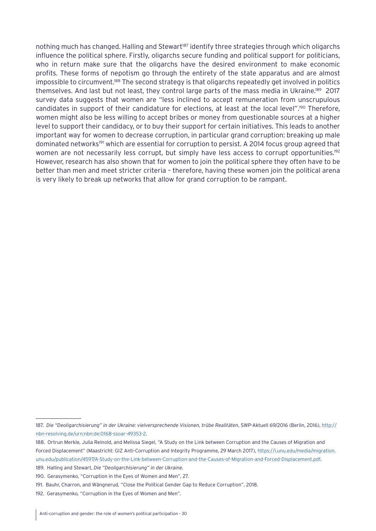nothing much has changed. Halling and Stewart<sup>187</sup> identify three strategies through which oligarchs influence the political sphere. Firstly, oligarchs secure funding and political support for politicians, who in return make sure that the oligarchs have the desired environment to make economic profits. These forms of nepotism go through the entirety of the state apparatus and are almost impossible to circumvent.<sup>188</sup> The second strategy is that oligarchs repeatedly get involved in politics themselves. And last but not least, they control large parts of the mass media in Ukraine.<sup>189</sup> 2017 survey data suggests that women are "less inclined to accept remuneration from unscrupulous candidates in support of their candidature for elections, at least at the local level".<sup>190</sup> Therefore, women might also be less willing to accept bribes or money from questionable sources at a higher level to support their candidacy, or to buy their support for certain initiatives. This leads to another important way for women to decrease corruption, in particular grand corruption: breaking up male dominated networks<sup>191</sup> which are essential for corruption to persist. A 2014 focus group agreed that women are not necessarily less corrupt, but simply have less access to corrupt opportunities.<sup>192</sup> However, research has also shown that for women to join the political sphere they often have to be better than men and meet stricter criteria – therefore, having these women join the political arena is very likely to break up networks that allow for grand corruption to be rampant.

<sup>187.</sup> *Die "Deoligarchisierung" in der Ukraine: vielversprechende Visionen, trübe Realitäten*, SWP-Aktuell 69/2016 (Berlin, 2016), [http://](http://nbn-resolving.de/urn:nbn:de:0168-ssoar-49353-2) [nbn-resolving.de/urn:nbn:de:0168-ssoar-49353-2](http://nbn-resolving.de/urn:nbn:de:0168-ssoar-49353-2).

<sup>188.</sup> Ortrun Merkle, Julia Reinold, and Melissa Siegel, "A Study on the Link between Corruption and the Causes of Migration and Forced Displacement" (Maastricht: GIZ Anti-Corruption and Integrity Programme, 29 March 2017), [https://i.unu.edu/media/migration.](https://i.unu.edu/media/migration.unu.edu/publication/4597/A-Study-on-the-Link-between-Corruption-and-the-Causes-of-Migration-and-Forced-Displacement.pdf) [unu.edu/publication/4597/A-Study-on-the-Link-between-Corruption-and-the-Causes-of-Migration-and-Forced-Displacement.pdf](https://i.unu.edu/media/migration.unu.edu/publication/4597/A-Study-on-the-Link-between-Corruption-and-the-Causes-of-Migration-and-Forced-Displacement.pdf).

<sup>189.</sup> Halling and Stewart, *Die "Deoligarchisierung" in der Ukraine.*

<sup>190.</sup> Gerasymenko, "Corruption in the Eyes of Women and Men", 27.

<sup>191.</sup> Bauhr, Charron, and Wängnerud, "Close the Political Gender Gap to Reduce Corruption", 2018.

<sup>192.</sup> Gerasymenko, "Corruption in the Eyes of Women and Men".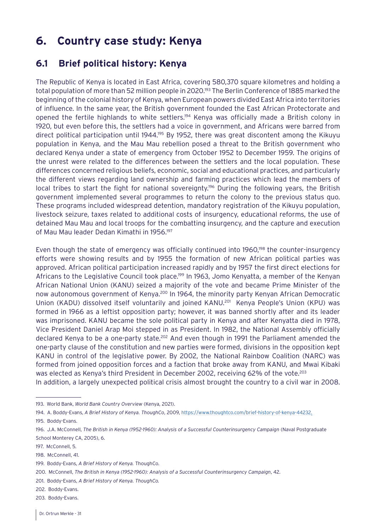## <span id="page-30-0"></span>**6. Country case study: Kenya**

## **6.1 Brief political history: Kenya**

The Republic of Kenya is located in East Africa, covering 580,370 square kilometres and holding a total population of more than 52 million people in 2020.<sup>193</sup> The Berlin Conference of 1885 marked the beginning of the colonial history of Kenya, when European powers divided East Africa into territories of influence. In the same year, the British government founded the East African Protectorate and opened the fertile highlands to white settlers.<sup>194</sup> Kenya was officially made a British colony in 1920, but even before this, the settlers had a voice in government, and Africans were barred from direct political participation until 1944.<sup>195</sup> By 1952, there was great discontent among the Kikuyu population in Kenya, and the Mau Mau rebellion posed a threat to the British government who declared Kenya under a state of emergency from October 1952 to December 1959. The origins of the unrest were related to the differences between the settlers and the local population. These differences concerned religious beliefs, economic, social and educational practices, and particularly the different views regarding land ownership and farming practices which lead the members of local tribes to start the fight for national sovereignty.<sup>196</sup> During the following years, the British government implemented several programmes to return the colony to the previous status quo. These programs included widespread detention, mandatory registration of the Kikuyu population, livestock seizure, taxes related to additional costs of insurgency, educational reforms, the use of detained Mau Mau and local troops for the combatting insurgency, and the capture and execution of Mau Mau leader Dedan Kimathi in 1956.<sup>197</sup>

Even though the state of emergency was officially continued into 1960,<sup>198</sup> the counter-insurgency efforts were showing results and by 1955 the formation of new African political parties was approved. African political participation increased rapidly and by 1957 the first direct elections for Africans to the Legislative Council took place.<sup>199</sup> In 1963, Jomo Kenyatta, a member of the Kenyan African National Union (KANU) seized a majority of the vote and became Prime Minister of the now autonomous government of Kenya.<sup>200</sup> In 1964, the minority party Kenyan African Democratic Union (KADU) dissolved itself voluntarily and joined KANU.<sup>201</sup> Kenya People's Union (KPU) was formed in 1966 as a leftist opposition party; however, it was banned shortly after and its leader was imprisoned. KANU became the sole political party in Kenya and after Kenyatta died in 1978, Vice President Daniel Arap Moi stepped in as President. In 1982, the National Assembly officially declared Kenya to be a one-party state.<sup>202</sup> And even though in 1991 the Parliament amended the one-party clause of the constitution and new parties were formed, divisions in the opposition kept KANU in control of the legislative power. By 2002, the National Rainbow Coalition (NARC) was formed from joined opposition forces and a faction that broke away from KANU, and Mwai Kibaki was elected as Kenya's third President in December 2002, receiving 62% of the vote.<sup>203</sup> In addition, a largely unexpected political crisis almost brought the country to a civil war in 2008.

- 202. Boddy-Evans.
- 203. Boddy-Evans.

<sup>193.</sup> World Bank, *World Bank Country Overview* (Kenya, 2021).

<sup>194.</sup> A. Boddy-Evans, *A Brief History of Kenya. ThoughCo*, 2009, [https://www.thoughtco.com/brief-history-of-kenya-44232.](https://www.thoughtco.com/brief-history-of-kenya-44232) 195. Boddy-Evans.

<sup>196.</sup> J.A. McConnell, *The British in Kenya (1952-1960): Analysis of a Successful Counterinsurgency Campaign* (Naval Postgraduate School Monterey CA, 2005), 6.

<sup>197.</sup> McConnell, 5.

<sup>198.</sup> McConnell, 41.

<sup>199.</sup> Boddy-Evans, *A Brief History of Kenya.* ThoughCo.

<sup>200.</sup> McConnell, *The British in Kenya (1952-1960): Analysis of a Successful Counterinsurgency Campaign*, 42.

<sup>201.</sup> Boddy-Evans, *A Brief History of Kenya. ThoughCo.*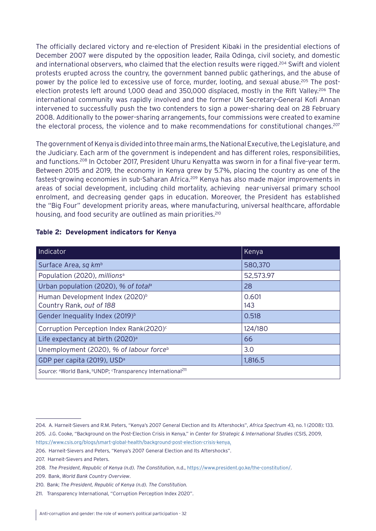The officially declared victory and re-election of President Kibaki in the presidential elections of December 2007 were disputed by the opposition leader, Raila Odinga, civil society, and domestic and international observers, who claimed that the election results were rigged.<sup>204</sup> Swift and violent protests erupted across the country, the government banned public gatherings, and the abuse of power by the police led to excessive use of force, murder, looting, and sexual abuse.<sup>205</sup> The postelection protests left around 1,000 dead and 350,000 displaced, mostly in the Rift Valley.<sup>206</sup> The international community was rapidly involved and the former UN Secretary-General Kofi Annan intervened to successfully push the two contenders to sign a power-sharing deal on 28 February 2008. Additionally to the power-sharing arrangements, four commissions were created to examine the electoral process, the violence and to make recommendations for constitutional changes.<sup>207</sup>

The government of Kenya is divided into three main arms, the National Executive, the Legislature, and the Judiciary. Each arm of the government is independent and has different roles, responsibilities, and functions.208 In October 2017, President Uhuru Kenyatta was sworn in for a final five-year term. Between 2015 and 2019, the economy in Kenya grew by 5.7%, placing the country as one of the fastest-growing economies in sub-Saharan Africa.209 Kenya has also made major improvements in areas of social development, including child mortality, achieving near-universal primary school enrolment, and decreasing gender gaps in education. Moreover, the President has established the "Big Four" development priority areas, where manufacturing, universal healthcare, affordable housing, and food security are outlined as main priorities.<sup>210</sup>

| Indicator                                                               | Kenya        |  |
|-------------------------------------------------------------------------|--------------|--|
| Surface Area, sq km <sup>b</sup>                                        | 580,370      |  |
| Population (2020), millions <sup>a</sup>                                | 52,573.97    |  |
| Urban population (2020), % of total <sup>a</sup>                        | 28           |  |
| Human Development Index (2020) <sup>b</sup><br>Country Rank, out of 188 | 0.601<br>143 |  |
| Gender Inequality Index (2019) <sup>b</sup>                             | 0.518        |  |
| Corruption Perception Index Rank(2020) <sup>c</sup>                     | 124/180      |  |
| Life expectancy at birth (2020) <sup>a</sup>                            | 66           |  |
| Unemployment (2020), % of labour force <sup>b</sup>                     | 3.0          |  |
| GDP per capita (2019), USD <sup>a</sup>                                 | 1,816.5      |  |
| Source: aWorld Bank, bUNDP; 'Transparency International <sup>211</sup>  |              |  |

#### **Table 2: Development indicators for Kenya**

<sup>204.</sup> A. Harneit-Sievers and R.M. Peters, "Kenya's 2007 General Election and Its Aftershocks", *Africa Spectrum* 43, no. 1 (2008): 133. 205. J.G. Cooke, "Background on the Post-Election Crisis in Kenya," in *Center for Strategic & International Studies* (CSIS, 2009,

<https://www.csis.org/blogs/smart-global-health/background-post-election-crisis-kenya>.

<sup>206.</sup> Harneit-Sievers and Peters, "Kenya's 2007 General Election and Its Aftershocks".

<sup>207.</sup> Harneit-Sievers and Peters.

<sup>208.</sup> *The President, Republic of Kenya (n.d). The Constitution*, n.d.,<https://www.president.go.ke/the-constitution/>.

<sup>209.</sup> Bank, *World Bank Country Overview*.

<sup>210.</sup> Bank; *The President, Republic of Kenya (n.d). The Constitution.*

<sup>211.</sup> Transparency International, "Corruption Perception Index 2020".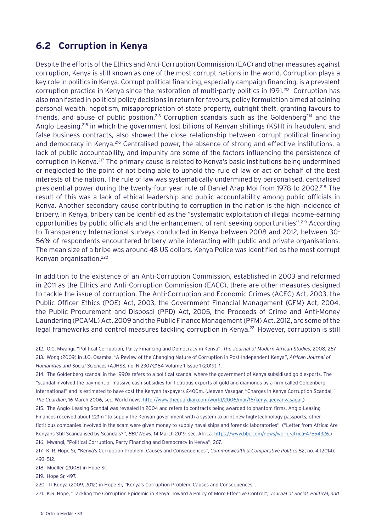## <span id="page-32-0"></span>**6.2 Corruption in Kenya**

Despite the efforts of the Ethics and Anti-Corruption Commission (EAC) and other measures against corruption, Kenya is still known as one of the most corrupt nations in the world. Corruption plays a key role in politics in Kenya. Corrupt political financing, especially campaign financing, is a prevalent corruption practice in Kenya since the restoration of multi-party politics in 1991.<sup>212</sup> Corruption has also manifested in political policy decisions in return for favours, policy formulation aimed at gaining personal wealth, nepotism, misappropriation of state property, outright theft, granting favours to friends, and abuse of public position.<sup>213</sup> Corruption scandals such as the Goldenberg<sup>214</sup> and the Anglo-Leasing,<sup>215</sup> in which the government lost billions of Kenyan shillings (KSH) in fraudulent and false business contracts, also showed the close relationship between corrupt political financing and democracy in Kenya.<sup>216</sup> Centralised power, the absence of strong and effective institutions, a lack of public accountability, and impunity are some of the factors influencing the persistence of corruption in Kenya.217 The primary cause is related to Kenya's basic institutions being undermined or neglected to the point of not being able to uphold the rule of law or act on behalf of the best interests of the nation. The rule of law was systematically undermined by personalised, centralised presidential power during the twenty-four year rule of Daniel Arap Moi from 1978 to 2002.218 The result of this was a lack of ethical leadership and public accountability among public officials in Kenya. Another secondary cause contributing to corruption in the nation is the high incidence of bribery. In Kenya, bribery can be identified as the "systematic exploitation of illegal income-earning opportunities by public officials and the enhancement of rent-seeking opportunities".219 According to Transparency International surveys conducted in Kenya between 2008 and 2012, between 30- 56% of respondents encountered bribery while interacting with public and private organisations. The mean size of a bribe was around 48 US dollars. Kenya Police was identified as the most corrupt Kenyan organisation.220

In addition to the existence of an Anti-Corruption Commission, established in 2003 and reformed in 2011 as the Ethics and Anti-Corruption Commission (EACC), there are other measures designed to tackle the issue of corruption. The Anti-Corruption and Economic Crimes (ACEC) Act, 2003, the Public Officer Ethics (POE) Act, 2003, the Government Financial Management (GFM) Act, 2004, the Public Procurement and Disposal (PPD) Act, 2005, the Proceeds of Crime and Anti-Money Laundering (PCAML) Act, 2009 and the Public Finance Management (PFM) Act, 2012, are some of the legal frameworks and control measures tackling corruption in Kenya.<sup>221</sup> However, corruption is still

218. Mueller (2008) in Hope Sr.

219. Hope Sr, 497.

<sup>212.</sup> O.G. Mwangi, "Political Corruption, Party Financing and Democracy in Kenya", *The Journal of Modern African Studies*, 2008, 267. 213. Wong (2009) in J.O. Osamba, "A Review of the Changing Nature of Corruption in Post-Independent Kenya", *African Journal of Humanities and Social Sciences* (AJHSS, no. N:2307-2164 Volume 1 Issue 1 (2019): 1.

<sup>214.</sup> The Goldenberg scandal in the 1990s refers to a political scandal where the government of Kenya subsidised gold exports. The "scandal involved the payment of massive cash subsidies for fictitious exports of gold and diamonds by a firm called Goldenberg International" and is estimated to have cost the Kenyan taxpayers £400m. (Jeevan Vasagar, "Charges in Kenya Corruption Scandal," *The Guardian*, 16 March 2006, sec. World news, [http://www.theguardian.com/world/2006/mar/16/kenya.jeevanvasagar.\)](http://www.theguardian.com/world/2006/mar/16/kenya.jeevanvasagar.)

<sup>215.</sup> The Anglo-Leasing Scandal was revealed in 2004 and refers to contracts being awarded to phantom firms. Anglo-Leasing Finances received about £21m "to supply the Kenyan government with a system to print new high-technology passports; other fictitious companies involved in the scam were given money to supply naval ships and forensic laboratories". ("Letter from Africa: Are Kenyans Still Scandalised by Scandals?", *BBC News*, 14 March 2019, sec. Africa,<https://www.bbc.com/news/world-africa-47554326>.) 216. Mwangi, "Political Corruption, Party Financing and Democracy in Kenya", 267.

<sup>217.</sup> K. R. Hope Sr, "Kenya's Corruption Problem: Causes and Consequences", *Commonwealth & Comparative Politics* 52, no. 4 (2014): 493–512.

<sup>220.</sup> TI Kenya (2009, 2012) in Hope Sr, "Kenya's Corruption Problem: Causes and Consequences".

<sup>221.</sup> K.R. Hope, "Tackling the Corruption Epidemic in Kenya: Toward a Policy of More Effective Control", *Journal of Social, Political, and*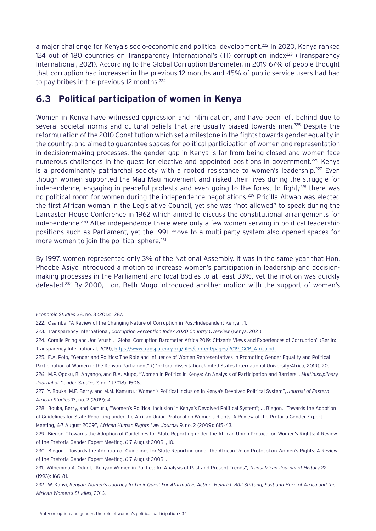<span id="page-33-0"></span>a major challenge for Kenya's socio-economic and political development.<sup>222</sup> In 2020, Kenya ranked 124 out of 180 countries on Transparency International's (TI) corruption index<sup>223</sup> (Transparency International, 2021). According to the Global Corruption Barometer, in 2019 67% of people thought that corruption had increased in the previous 12 months and 45% of public service users had had to pay bribes in the previous 12 months.<sup>224</sup>

## **6.3 Political participation of women in Kenya**

Women in Kenya have witnessed oppression and intimidation, and have been left behind due to several societal norms and cultural beliefs that are usually biased towards men.<sup>225</sup> Despite the reformulation of the 2010 Constitution which set a milestone in the fights towards gender equality in the country, and aimed to guarantee spaces for political participation of women and representation in decision-making processes, the gender gap in Kenya is far from being closed and women face numerous challenges in the quest for elective and appointed positions in government.<sup>226</sup> Kenya is a predominantly patriarchal society with a rooted resistance to women's leadership.<sup>227</sup> Even though women supported the Mau Mau movement and risked their lives during the struggle for independence, engaging in peaceful protests and even going to the forest to fight, $228$  there was no political room for women during the independence negotiations.<sup>229</sup> Pricilla Abwao was elected the first African woman in the Legislative Council, yet she was "not allowed" to speak during the Lancaster House Conference in 1962 which aimed to discuss the constitutional arrangements for independence.<sup>230</sup> After independence there were only a few women serving in political leadership positions such as Parliament, yet the 1991 move to a multi-party system also opened spaces for more women to join the political sphere.<sup>231</sup>

By 1997, women represented only 3% of the National Assembly. It was in the same year that Hon. Phoebe Asiyo introduced a motion to increase women's participation in leadership and decisionmaking processes in the Parliament and local bodies to at least 33%, yet the motion was quickly defeated.232 By 2000, Hon. Beth Mugo introduced another motion with the support of women's

*Economic Studies* 38, no. 3 (2013): 287.

<sup>222.</sup> Osamba, "A Review of the Changing Nature of Corruption in Post-Independent Kenya", 1.

<sup>223.</sup> Transparency International, *Corruption Perception Index 2020 Country Overview* (Kenya, 2021).

<sup>224.</sup> Coralie Pring and Jon Vrushi, "Global Corruption Barometer Africa 2019: Citizen's Views and Experiences of Corruption" (Berlin: Transparency International, 2019), [https://www.transparency.org/files/content/pages/2019\\_GCB\\_Africa.pdf.](https://www.transparency.org/files/content/pages/2019_GCB_Africa.pdf)

<sup>225.</sup> E.A. Polo, "Gender and Politics: The Role and Influence of Women Representatives in Promoting Gender Equality and Political Participation of Women in the Kenyan Parliament" ((Doctoral dissertation, United States International University-Africa, 2019), 20.

<sup>226.</sup> M.P. Opoku, B. Anyango, and B.A. Alupo, "Women in Politics in Kenya: An Analysis of Participation and Barriers", *Multidisciplinary Journal of Gender Studies* 7, no. 1 (2018): 1508.

<sup>227.</sup> Y. Bouka, M.E. Berry, and M.M. Kamuru, "Women's Political Inclusion in Kenya's Devolved Political System", *Journal of Eastern African Studies* 13, no. 2 (2019): 4.

<sup>228.</sup> Bouka, Berry, and Kamuru, "Women's Political Inclusion in Kenya's Devolved Political System"; J. Biegon, "Towards the Adoption of Guidelines for State Reporting under the African Union Protocol on Women's Rights: A Review of the Pretoria Gender Expert Meeting, 6-7 August 2009", *African Human Rights Law Journal* 9, no. 2 (2009): 615–43.

<sup>229.</sup> Biegon, "Towards the Adoption of Guidelines for State Reporting under the African Union Protocol on Women's Rights: A Review of the Pretoria Gender Expert Meeting, 6-7 August 2009", 10.

<sup>230.</sup> Biegon, "Towards the Adoption of Guidelines for State Reporting under the African Union Protocol on Women's Rights: A Review of the Pretoria Gender Expert Meeting, 6-7 August 2009".

<sup>231.</sup> Wilhemina A. Oduol, "Kenyan Women in Politics: An Analysis of Past and Present Trends", *Transafrican Journal of History* 22 (1993): 166–81.

<sup>232.</sup> W. Kanyi, *Kenyan Women's Journey In Their Quest For Affirmative Action. Heinrich Böll Stiftung, East and Horn of Africa and the African Women's Studies*, 2016.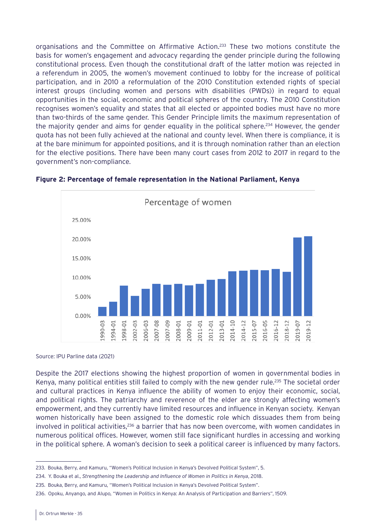organisations and the Committee on Affirmative Action.233 These two motions constitute the basis for women's engagement and advocacy regarding the gender principle during the following constitutional process. Even though the constitutional draft of the latter motion was rejected in a referendum in 2005, the women's movement continued to lobby for the increase of political participation, and in 2010 a reformulation of the 2010 Constitution extended rights of special interest groups (including women and persons with disabilities (PWDs)) in regard to equal opportunities in the social, economic and political spheres of the country. The 2010 Constitution recognises women's equality and states that all elected or appointed bodies must have no more than two-thirds of the same gender. This Gender Principle limits the maximum representation of the majority gender and aims for gender equality in the political sphere.<sup>234</sup> However, the gender quota has not been fully achieved at the national and county level. When there is compliance, it is at the bare minimum for appointed positions, and it is through nomination rather than an election for the elective positions. There have been many court cases from 2012 to 2017 in regard to the government's non-compliance.





Source: IPU Parline data (2021)

Despite the 2017 elections showing the highest proportion of women in governmental bodies in Kenya, many political entities still failed to comply with the new gender rule.235 The societal order and cultural practices in Kenya influence the ability of women to enjoy their economic, social, and political rights. The patriarchy and reverence of the elder are strongly affecting women's empowerment, and they currently have limited resources and influence in Kenyan society. Kenyan women historically have been assigned to the domestic role which dissuades them from being involved in political activities, $236$  a barrier that has now been overcome, with women candidates in numerous political offices. However, women still face significant hurdles in accessing and working in the political sphere. A woman's decision to seek a political career is influenced by many factors.

<sup>233.</sup> Bouka, Berry, and Kamuru, "Women's Political Inclusion in Kenya's Devolved Political System", 5.

<sup>234.</sup> Y. Bouka et al., *Strengthening the Leadership and Influence of Women in Politics in Kenya*, 2018.

<sup>235.</sup> Bouka, Berry, and Kamuru, "Women's Political Inclusion in Kenya's Devolved Political System".

<sup>236.</sup> Opoku, Anyango, and Alupo, "Women in Politics in Kenya: An Analysis of Participation and Barriers", 1509.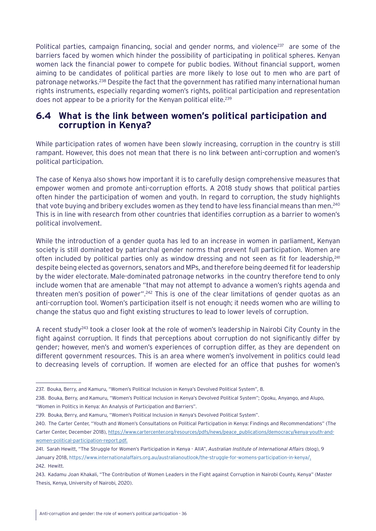<span id="page-35-0"></span>Political parties, campaign financing, social and gender norms, and violence<sup>237</sup> are some of the barriers faced by women which hinder the possibility of participating in political spheres. Kenyan women lack the financial power to compete for public bodies. Without financial support, women aiming to be candidates of political parties are more likely to lose out to men who are part of patronage networks.238 Despite the fact that the government has ratified many international human rights instruments, especially regarding women's rights, political participation and representation does not appear to be a priority for the Kenyan political elite.<sup>239</sup>

## **6.4 What is the link between women's political participation and corruption in Kenya?**

While participation rates of women have been slowly increasing, corruption in the country is still rampant. However, this does not mean that there is no link between anti-corruption and women's political participation.

The case of Kenya also shows how important it is to carefully design comprehensive measures that empower women and promote anti-corruption efforts. A 2018 study shows that political parties often hinder the participation of women and youth. In regard to corruption, the study highlights that vote buying and bribery excludes women as they tend to have less financial means than men.<sup>240</sup> This is in line with research from other countries that identifies corruption as a barrier to women's political involvement.

While the introduction of a gender quota has led to an increase in women in parliament, Kenyan society is still dominated by patriarchal gender norms that prevent full participation. Women are often included by political parties only as window dressing and not seen as fit for leadership,  $241$ despite being elected as governors, senators and MPs, and therefore being deemed fit for leadership by the wider electorate. Male-dominated patronage networks in the country therefore tend to only include women that are amenable "that may not attempt to advance a women's rights agenda and threaten men's position of power".<sup>242</sup> This is one of the clear limitations of gender quotas as an anti-corruption tool. Women's participation itself is not enough; it needs women who are willing to change the status quo and fight existing structures to lead to lower levels of corruption.

A recent study<sup>243</sup> took a closer look at the role of women's leadership in Nairobi City County in the fight against corruption. It finds that perceptions about corruption do not significantly differ by gender; however, men's and women's experiences of corruption differ, as they are dependent on different government resources. This is an area where women's involvement in politics could lead to decreasing levels of corruption. If women are elected for an office that pushes for women's

<sup>237.</sup> Bouka, Berry, and Kamuru, "Women's Political Inclusion in Kenya's Devolved Political System", 8.

<sup>238.</sup> Bouka, Berry, and Kamuru, "Women's Political Inclusion in Kenya's Devolved Political System"; Opoku, Anyango, and Alupo, "Women in Politics in Kenya: An Analysis of Participation and Barriers".

<sup>239.</sup> Bouka, Berry, and Kamuru, "Women's Political Inclusion in Kenya's Devolved Political System".

<sup>240.</sup> The Carter Center, "Youth and Women's Consultations on Political Participation in Kenya: Findings and Recommendations" (The Carter Center, December 2018), https://www.cartercenter.org/resources/pdfs/news/peace\_publications/democracy/kenya-youth-andwomen-political-participation-report.pdf.

<sup>241.</sup> Sarah Hewitt, "The Struggle for Women's Participation in Kenya - AIIA", *Australian Institute of International Affairs* (blog), 9 January 2018, [https://www.internationalaffairs.org.au/australianoutlook/the-struggle-for-womens-participation-in-kenya/.](https://www.internationalaffairs.org.au/australianoutlook/the-struggle-for-womens-participation-in-kenya/) 242 Hewitt

<sup>243.</sup> Kadamu Joan Khakali, "The Contribution of Women Leaders in the Fight against Corruption in Nairobi County, Kenya" (Master Thesis, Kenya, University of Nairobi, 2020).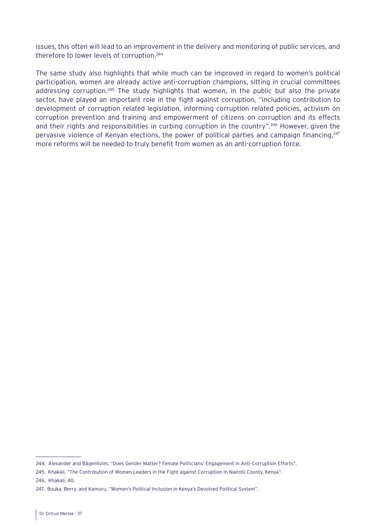issues, this often will lead to an improvement in the delivery and monitoring of public services, and therefore to lower levels of corruption.244

The same study also highlights that while much can be improved in regard to women's political participation, women are already active anti-corruption champions, sitting in crucial committees addressing corruption.<sup>245</sup> The study highlights that women, in the public but also the private sector, have played an important role in the fight against corruption, "including contribution to development of corruption related legislation, informing corruption related policies, activism on corruption prevention and training and empowerment of citizens on corruption and its effects and their rights and responsibilities in curbing corruption in the country".<sup>246</sup> However, given the pervasive violence of Kenyan elections, the power of political parties and campaign financing,  $247$ more reforms will be needed to truly benefit from women as an anti-corruption force.

<sup>244.</sup> Alexander and Bågenholm, "Does Gender Matter? Female Politicians' Engagement in Anti-Corruption Efforts".

<sup>245.</sup> Khakali, "The Contribution of Women Leaders in the Fight against Corruption in Nairobi County, Kenya".

<sup>246.</sup> Khakali, 40.

<sup>247.</sup> Bouka, Berry, and Kamuru, "Women's Political Inclusion in Kenya's Devolved Political System".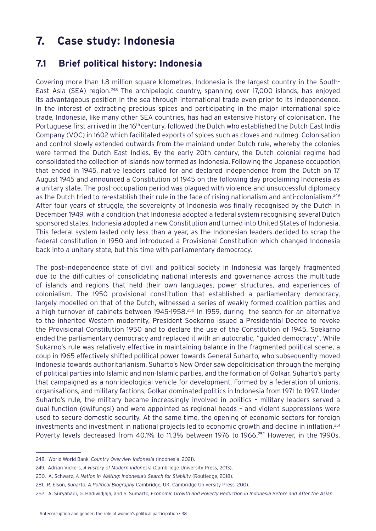## <span id="page-37-0"></span>**7. Case study: Indonesia**

### **7.1 Brief political history: Indonesia**

Covering more than 1.8 million square kilometres, Indonesia is the largest country in the South-East Asia (SEA) region.<sup>248</sup> The archipelagic country, spanning over 17,000 islands, has enjoyed its advantageous position in the sea through international trade even prior to its independence. In the interest of extracting precious spices and participating in the major international spice trade, Indonesia, like many other SEA countries, has had an extensive history of colonisation. The Portuguese first arrived in the 16<sup>th</sup> century, followed the Dutch who established the Dutch-East India Company (VOC) in 1602 which facilitated exports of spices such as cloves and nutmeg. Colonisation and control slowly extended outwards from the mainland under Dutch rule, whereby the colonies were termed the Dutch East Indies. By the early 20th century, the Dutch colonial regime had consolidated the collection of islands now termed as Indonesia. Following the Japanese occupation that ended in 1945, native leaders called for and declared independence from the Dutch on 17 August 1945 and announced a Constitution of 1945 on the following day proclaiming Indonesia as a unitary state. The post-occupation period was plagued with violence and unsuccessful diplomacy as the Dutch tried to re-establish their rule in the face of rising nationalism and anti-colonialism.249 After four years of struggle, the sovereignty of Indonesia was finally recognised by the Dutch in December 1949, with a condition that Indonesia adopted a federal system recognising several Dutch sponsored states. Indonesia adopted a new Constitution and turned into United States of Indonesia. This federal system lasted only less than a year, as the Indonesian leaders decided to scrap the federal constitution in 1950 and introduced a Provisional Constitution which changed Indonesia back into a unitary state, but this time with parliamentary democracy.

The post-independence state of civil and political society in Indonesia was largely fragmented due to the difficulties of consolidating national interests and governance across the multitude of islands and regions that held their own languages, power structures, and experiences of colonialism. The 1950 provisional constitution that established a parliamentary democracy, largely modelled on that of the Dutch, witnessed a series of weakly formed coalition parties and a high turnover of cabinets between 1945-1958.<sup>250</sup> In 1959, during the search for an alternative to the inherited Western modernity, President Soekarno issued a Presidential Decree to revoke the Provisional Constitution 1950 and to declare the use of the Constitution of 1945. Soekarno ended the parliamentary democracy and replaced it with an autocratic, "guided democracy". While Sukarno's rule was relatively effective in maintaining balance in the fragmented political scene, a coup in 1965 effectively shifted political power towards General Suharto, who subsequently moved Indonesia towards authoritarianism. Suharto's New Order saw depoliticisation through the merging of political parties into Islamic and non-Islamic parties, and the formation of Golkar, Suharto's party that campaigned as a non-ideological vehicle for development. Formed by a federation of unions, organisations, and military factions, Golkar dominated politics in Indonesia from 1971 to 1997. Under Suharto's rule, the military became increasingly involved in politics – military leaders served a dual function (dwifungsi) and were appointed as regional heads – and violent suppressions were used to secure domestic security. At the same time, the opening of economic sectors for foreign investments and investment in national projects led to economic growth and decline in inflation.251 Poverty levels decreased from 40.1% to 11.3% between 1976 to 1966.<sup>252</sup> However, in the 1990s,

<sup>248.</sup> World World Bank, *Country Overview Indonesia* (Indonesia, 2021).

<sup>249.</sup> Adrian Vickers, *A History of Modern Indonesia* (Cambridge University Press, 2013).

<sup>250.</sup> A. Schwarz, *A Nation in Waiting: Indonesia's Search for Stability* (Routledge, 2018).

<sup>251.</sup> R. Elson, *Suharto: A Political Biography* Cambridge, UK. Cambridge University Press, 200).

<sup>252.</sup> A. Suryahadi, G. Hadiwidjaja, and S. Sumarto, *Economic Growth and Poverty Reduction in Indonesia Before and After the Asian*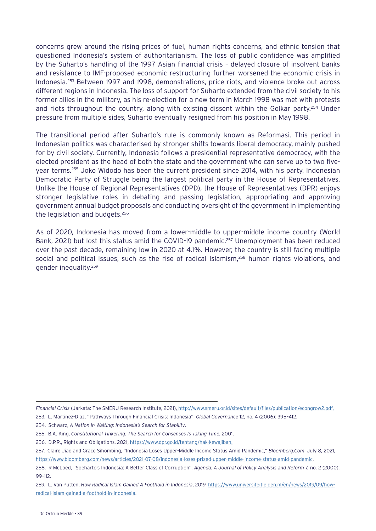concerns grew around the rising prices of fuel, human rights concerns, and ethnic tension that questioned Indonesia's system of authoritarianism. The loss of public confidence was amplified by the Suharto's handling of the 1997 Asian financial crisis – delayed closure of insolvent banks and resistance to IMF-proposed economic restructuring further worsened the economic crisis in Indonesia.253 Between 1997 and 1998, demonstrations, price riots, and violence broke out across different regions in Indonesia. The loss of support for Suharto extended from the civil society to his former allies in the military, as his re-election for a new term in March 1998 was met with protests and riots throughout the country, along with existing dissent within the Golkar party.<sup>254</sup> Under pressure from multiple sides, Suharto eventually resigned from his position in May 1998.

The transitional period after Suharto's rule is commonly known as Reformasi. This period in Indonesian politics was characterised by stronger shifts towards liberal democracy, mainly pushed for by civil society. Currently, Indonesia follows a presidential representative democracy, with the elected president as the head of both the state and the government who can serve up to two fiveyear terms.255 Joko Widodo has been the current president since 2014, with his party, Indonesian Democratic Party of Struggle being the largest political party in the House of Representatives. Unlike the House of Regional Representatives (DPD), the House of Representatives (DPR) enjoys stronger legislative roles in debating and passing legislation, appropriating and approving government annual budget proposals and conducting oversight of the government in implementing the legislation and budgets.256

As of 2020, Indonesia has moved from a lower-middle to upper-middle income country (World Bank, 2021) but lost this status amid the COVID-19 pandemic.<sup>257</sup> Unemployment has been reduced over the past decade, remaining low in 2020 at 4.1%. However, the country is still facing multiple social and political issues, such as the rise of radical Islamism,<sup>258</sup> human rights violations, and gender inequality.259

*Financial Crisis* (Jarkata: The SMERU Research Institute, 2021), [http://www.smeru.or.id/sites/default/files/publication/econgrow2.pdf.](http://www.smeru.or.id/sites/default/files/publication/econgrow2.pdf)

<sup>253.</sup> L. Martinez-Diaz, "Pathways Through Financial Crisis: Indonesia", *Global Governance* 12, no. 4 (2006): 395–412.

<sup>254.</sup> Schwarz, *A Nation in Waiting: Indonesia's Search for Stability*.

<sup>255.</sup> B.A. King, *Constitutional Tinkering: The Search for Consenses Is Taking Time*, 2001.

<sup>256.</sup> D.P.R., Rights and Obligations, 2021, <https://www.dpr.go.id/tentang/hak-kewajiban>.

<sup>257.</sup> Claire Jiao and Grace Sihombing, "Indonesia Loses Upper-Middle Income Status Amid Pandemic," *Bloomberg.Com*, July 8, 2021, <https://www.bloomberg.com/news/articles/2021-07-08/indonesia-loses-prized-upper-middle-income-status-amid-pandemic>.

<sup>258.</sup> R McLoed, "Soeharto's Indonesia: A Better Class of Corruption", *Agenda: A Journal of Policy Analysis and Reform 7,* no. 2 (2000): 99–112.

<sup>259.</sup> L. Van Putten, *How Radical Islam Gained A Foothold in Indonesia*, 2019, [https://www.universiteitleiden.nl/en/news/2019/09/how](https://www.universiteitleiden.nl/en/news/2019/09/how-radical-islam-gained-a-foothold-in-indonesia)[radical-islam-gained-a-foothold-in-indonesia](https://www.universiteitleiden.nl/en/news/2019/09/how-radical-islam-gained-a-foothold-in-indonesia).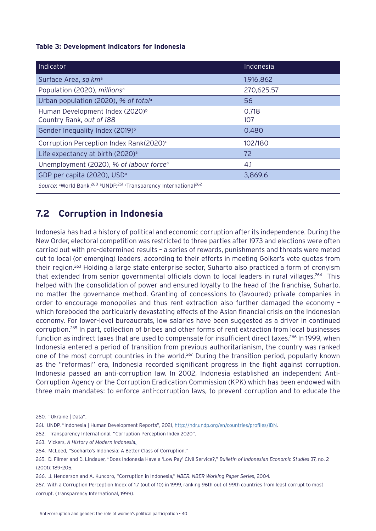#### <span id="page-39-0"></span>**Table 3: Development indicators for Indonesia**

| Indicator                                                                                                       | Indonesia    |  |
|-----------------------------------------------------------------------------------------------------------------|--------------|--|
| Surface Area, sq km <sup>a</sup>                                                                                | 1,916,862    |  |
| Population (2020), millions <sup>a</sup>                                                                        | 270,625.57   |  |
| Urban population (2020), % of total <sup>a</sup>                                                                | 56           |  |
| Human Development Index (2020) <sup>b</sup><br>Country Rank, out of 188                                         | 0.718<br>107 |  |
| Gender Inequality Index (2019) <sup>b</sup>                                                                     | 0.480        |  |
| Corruption Perception Index Rank(2020) <sup>c</sup>                                                             | 102/180      |  |
| Life expectancy at birth (2020) <sup>a</sup>                                                                    | 72           |  |
| Unemployment (2020), % of labour force <sup>a</sup>                                                             | 4.1          |  |
| GDP per capita (2020), USD <sup>a</sup>                                                                         | 3,869.6      |  |
| Source: <sup>a</sup> World Bank, <sup>260</sup> bUNDP, <sup>261</sup> Transparency International <sup>262</sup> |              |  |

## **7.2 Corruption in Indonesia**

Indonesia has had a history of political and economic corruption after its independence. During the New Order, electoral competition was restricted to three parties after 1973 and elections were often carried out with pre-determined results – a series of rewards, punishments and threats were meted out to local (or emerging) leaders, according to their efforts in meeting Golkar's vote quotas from their region.263 Holding a large state enterprise sector, Suharto also practiced a form of cronyism that extended from senior governmental officials down to local leaders in rural villages.264 This helped with the consolidation of power and ensured loyalty to the head of the franchise, Suharto, no matter the governance method. Granting of concessions to (favoured) private companies in order to encourage monopolies and thus rent extraction also further damaged the economy – which foreboded the particularly devastating effects of the Asian financial crisis on the Indonesian economy. For lower-level bureaucrats, low salaries have been suggested as a driver in continued corruption.265 In part, collection of bribes and other forms of rent extraction from local businesses function as indirect taxes that are used to compensate for insufficient direct taxes.<sup>266</sup> In 1999, when Indonesia entered a period of transition from previous authoritarianism, the country was ranked one of the most corrupt countries in the world.<sup>267</sup> During the transition period, popularly known as the "reformasi" era, Indonesia recorded significant progress in the fight against corruption. Indonesia passed an anti-corruption law. In 2002, Indonesia established an independent Anti-Corruption Agency or the Corruption Eradication Commission (KPK) which has been endowed with three main mandates: to enforce anti-corruption laws, to prevent corruption and to educate the

<sup>260.</sup> "Ukraine | Data".

<sup>261.</sup> UNDP, "Indonesia | Human Development Reports", 2021, <http://hdr.undp.org/en/countries/profiles/IDN>.

<sup>262.</sup> Transparency International, "Corruption Perception Index 2020".

<sup>263.</sup> Vickers, *A History of Modern Indonesia.*

<sup>264.</sup> McLoed, "Soeharto's Indonesia: A Better Class of Corruption."

<sup>265.</sup> D. Filmer and D. Lindauer, "Does Indonesia Have a 'Low Pay' Civil Service?," *Bulletin of Indonesian Economic Studies* 37, no. 2 (2001): 189–205.

<sup>266.</sup> J. Henderson and A. Kuncoro, "Corruption in Indonesia," *NBER. NBER Working Paper Series*, 2004.

<sup>267.</sup> With a Corruption Perception Index of 1.7 (out of 10) in 1999, ranking 96th out of 99th countries from least corrupt to most corrupt. (Transparency International, 1999).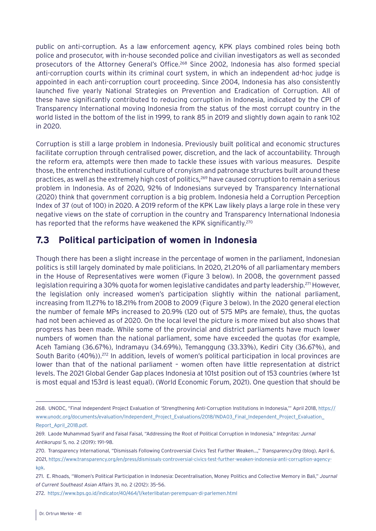<span id="page-40-0"></span>public on anti-corruption. As a law enforcement agency, KPK plays combined roles being both police and prosecutor, with in-house seconded police and civilian investigators as well as seconded prosecutors of the Attorney General's Office.268 Since 2002, Indonesia has also formed special anti-corruption courts within its criminal court system, in which an independent ad-hoc judge is appointed in each anti-corruption court proceeding. Since 2004, Indonesia has also consistently launched five yearly National Strategies on Prevention and Eradication of Corruption. All of these have significantly contributed to reducing corruption in Indonesia, indicated by the CPI of Transparency International moving Indonesia from the status of the most corrupt country in the world listed in the bottom of the list in 1999, to rank 85 in 2019 and slightly down again to rank 102 in 2020.

Corruption is still a large problem in Indonesia. Previously built political and economic structures facilitate corruption through centralised power, discretion, and the lack of accountability. Through the reform era, attempts were then made to tackle these issues with various measures. Despite those, the entrenched institutional culture of cronyism and patronage structures built around these practices, as well as the extremely high cost of politics,<sup>269</sup> have caused corruption to remain a serious problem in Indonesia. As of 2020, 92% of Indonesians surveyed by Transparency International (2020) think that government corruption is a big problem. Indonesia held a Corruption Perception Index of 37 (out of 100) in 2020. A 2019 reform of the KPK Law likely plays a large role in these very negative views on the state of corruption in the country and Transparency International Indonesia has reported that the reforms have weakened the KPK significantly.<sup>270</sup>

## **7.3 Political participation of women in Indonesia**

Though there has been a slight increase in the percentage of women in the parliament, Indonesian politics is still largely dominated by male politicians. In 2020, 21.20% of all parliamentary members in the House of Representatives were women (Figure 3 below). In 2008, the government passed legislation requiring a 30% quota for women legislative candidates and party leadership.<sup>271</sup> However, the legislation only increased women's participation slightly within the national parliament, increasing from 11.27% to 18.21% from 2008 to 2009 (Figure 3 below). In the 2020 general election the number of female MPs increased to 20.9% (120 out of 575 MPs are female), thus, the quotas had not been achieved as of 2020. On the local level the picture is more mixed but also shows that progress has been made. While some of the provincial and district parliaments have much lower numbers of women than the national parliament, some have exceeded the quotas (for example, Aceh Tamiang (36.67%), Indramayu (34.69%), Temanggung (33.33%), Kediri City (36.67%), and South Barito (40%)).<sup>272</sup> In addition, levels of women's political participation in local provinces are lower than that of the national parliament – women often have little representation at district levels. The 2021 Global Gender Gap places Indonesia at 101st position out of 153 countries (where 1st is most equal and 153rd is least equal). (World Economic Forum, 2021). One question that should be

<sup>268.</sup> UNODC, "Final Independent Project Evaluation of 'Strengthening Anti-Corruption Institutions in Indonesia,'" April 2018, [https://](https://www.unodc.org/documents/evaluation/Independent_Project_Evaluations/2018/INDA03_Final_Independent_Project_Evaluation_Report_April_2018.pdf) [www.unodc.org/documents/evaluation/Independent\\_Project\\_Evaluations/2018/INDA03\\_Final\\_Independent\\_Project\\_Evaluation\\_](https://www.unodc.org/documents/evaluation/Independent_Project_Evaluations/2018/INDA03_Final_Independent_Project_Evaluation_Report_April_2018.pdf) [Report\\_April\\_2018.pdf](https://www.unodc.org/documents/evaluation/Independent_Project_Evaluations/2018/INDA03_Final_Independent_Project_Evaluation_Report_April_2018.pdf).

<sup>269.</sup> Laode Muhammad Syarif and Faisal Faisal, "Addressing the Root of Political Corruption in Indonesia," *Integritas: Jurnal Antikorupsi* 5, no. 2 (2019): 191–98.

<sup>270.</sup> Transparency International, "Dismissals Following Controversial Civics Test Further Weaken…," *Transparency.Org* (blog), April 6, 2021, [https://www.transparency.org/en/press/dismissals-controversial-civics-test-further-weaken-indonesia-anti-corruption-agency](https://www.transparency.org/en/press/dismissals-controversial-civics-test-further-weaken-indonesia-anti-corruption-agency-kpk)[kpk](https://www.transparency.org/en/press/dismissals-controversial-civics-test-further-weaken-indonesia-anti-corruption-agency-kpk).

<sup>271.</sup> E. Rhoads, "Women's Political Participation in Indonesia: Decentralisation, Money Politics and Collective Memory in Bali," *Journal of Current Southeast Asian Affairs* 31, no. 2 (2012): 35–56.

<sup>272.</sup> <https://www.bps.go.id/indicator/40/464/1/keterlibatan-perempuan-di-parlemen.html>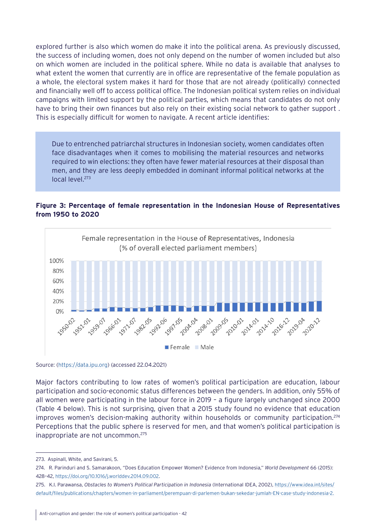explored further is also which women do make it into the political arena. As previously discussed, the success of including women, does not only depend on the number of women included but also on which women are included in the political sphere. While no data is available that analyses to what extent the women that currently are in office are representative of the female population as a whole, the electoral system makes it hard for those that are not already (politically) connected and financially well off to access political office. The Indonesian political system relies on individual campaigns with limited support by the political parties, which means that candidates do not only have to bring their own finances but also rely on their existing social network to gather support . This is especially difficult for women to navigate. A recent article identifies:

Due to entrenched patriarchal structures in Indonesian society, women candidates often face disadvantages when it comes to mobilising the material resources and networks required to win elections: they often have fewer material resources at their disposal than men, and they are less deeply embedded in dominant informal political networks at the local level.273

#### **Figure 3: Percentage of female representation in the Indonesian House of Representatives from 1950 to 2020**



Source: [\(https://data.ipu.org](https://data.ipu.org)) (accessed 22.04.2021)

Major factors contributing to low rates of women's political participation are education, labour participation and socio-economic status differences between the genders. In addition, only 55% of all women were participating in the labour force in 2019 – a figure largely unchanged since 2000 (Table 4 below). This is not surprising, given that a 2015 study found no evidence that education improves women's decision-making authority within households or community participation.274 Perceptions that the public sphere is reserved for men, and that women's political participation is inappropriate are not uncommon.275

<sup>273.</sup> Aspinall, White, and Savirani, 5.

<sup>274.</sup> R. Parinduri and S. Samarakoon, "Does Education Empower Women? Evidence from Indonesia," *World Development* 66 (2015): 428–42, [https://doi.org/10.1016/j.worlddev.2014.09.002.](https://doi.org/10.1016/j.worlddev.2014.09.002)

<sup>275.</sup> K.I. Parawansa, *Obstacles to Women's Political Participation in Indonesia* (International IDEA, 2002), [https://www.idea.int/sites/](https://www.idea.int/sites/default/files/publications/chapters/women-in-parliament/perempuan-di-parlemen-bukan-sekedar-jumlah-EN-case-study-indonesia-2.pdf) [default/files/publications/chapters/women-in-parliament/perempuan-di-parlemen-bukan-sekedar-jumlah-EN-case-study-indonesia-2.](https://www.idea.int/sites/default/files/publications/chapters/women-in-parliament/perempuan-di-parlemen-bukan-sekedar-jumlah-EN-case-study-indonesia-2.pdf)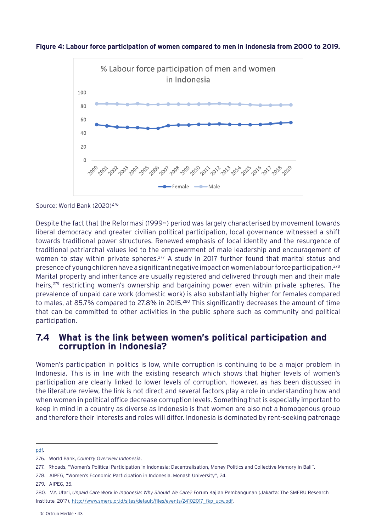<span id="page-42-0"></span>



Source: World Bank (2020)<sup>276</sup>

Despite the fact that the Reformasi (1999~) period was largely characterised by movement towards liberal democracy and greater civilian political participation, local governance witnessed a shift towards traditional power structures. Renewed emphasis of local identity and the resurgence of traditional patriarchal values led to the empowerment of male leadership and encouragement of women to stay within private spheres.<sup>277</sup> A study in 2017 further found that marital status and presence of young children have a significant negative impact on women labour force participation.278 Marital property and inheritance are usually registered and delivered through men and their male heirs,<sup>279</sup> restricting women's ownership and bargaining power even within private spheres. The prevalence of unpaid care work (domestic work) is also substantially higher for females compared to males, at 85.7% compared to 27.8% in 2015.<sup>280</sup> This significantly decreases the amount of time that can be committed to other activities in the public sphere such as community and political participation.

## **7.4 What is the link between women's political participation and corruption in Indonesia?**

Women's participation in politics is low, while corruption is continuing to be a major problem in Indonesia. This is in line with the existing research which shows that higher levels of women's participation are clearly linked to lower levels of corruption. However, as has been discussed in the literature review, the link is not direct and several factors play a role in understanding how and when women in political office decrease corruption levels. Something that is especially important to keep in mind in a country as diverse as Indonesia is that women are also not a homogenous group and therefore their interests and roles will differ. Indonesia is dominated by rent-seeking patronage

[pdf](https://www.idea.int/sites/default/files/publications/chapters/women-in-parliament/perempuan-di-parlemen-bukan-sekedar-jumlah-EN-case-study-indonesia-2.pdf).

278. AIPEG, "Women's Economic Participation in Indonesia. Monash University", 24.

<sup>276.</sup> World Bank, *Country Overview Indonesia*.

<sup>277.</sup> Rhoads, "Women's Political Participation in Indonesia: Decentralisation, Money Politics and Collective Memory in Bali".

<sup>279.</sup> AIPEG, 35.

<sup>280.</sup> V.Y. Utari, *Unpaid Care Work in Indonesia: Why Should We Care?* Forum Kajian Pembangunan (Jakarta: The SMERU Research Institute, 2017), [http://www.smeru.or.id/sites/default/files/events/24102017\\_fkp\\_ucw.pdf](http://www.smeru.or.id/sites/default/files/events/24102017_fkp_ucw.pdf).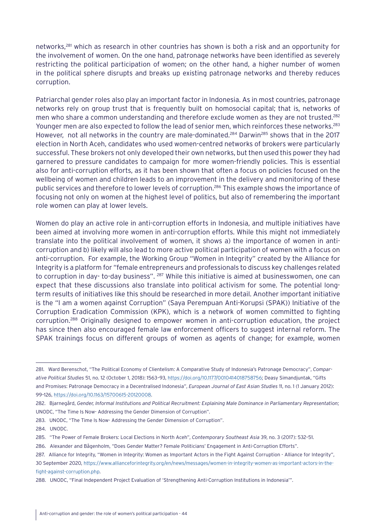networks,281 which as research in other countries has shown is both a risk and an opportunity for the involvement of women. On the one hand, patronage networks have been identified as severely restricting the political participation of women; on the other hand, a higher number of women in the political sphere disrupts and breaks up existing patronage networks and thereby reduces corruption.

Patriarchal gender roles also play an important factor in Indonesia. As in most countries, patronage networks rely on group trust that is frequently built on homosocial capital; that is, networks of men who share a common understanding and therefore exclude women as they are not trusted.<sup>282</sup> Younger men are also expected to follow the lead of senior men, which reinforces these networks.<sup>283</sup> However, not all networks in the country are male-dominated.<sup>284</sup> Darwin<sup>285</sup> shows that in the 2017 election in North Aceh, candidates who used women-centred networks of brokers were particularly successful. These brokers not only developed their own networks, but then used this power they had garnered to pressure candidates to campaign for more women-friendly policies. This is essential also for anti-corruption efforts, as it has been shown that often a focus on policies focused on the wellbeing of women and children leads to an improvement in the delivery and monitoring of these public services and therefore to lower levels of corruption.<sup>286</sup> This example shows the importance of focusing not only on women at the highest level of politics, but also of remembering the important role women can play at lower levels.

Women do play an active role in anti-corruption efforts in Indonesia, and multiple initiatives have been aimed at involving more women in anti-corruption efforts. While this might not immediately translate into the political involvement of women, it shows a) the importance of women in anticorruption and b) likely will also lead to more active political participation of women with a focus on anti-corruption. For example, the Working Group "Women in Integrity" created by the Alliance for Integrity is a platform for "female entrepreneurs and professionals to discuss key challenges related to corruption in day- to-day business". <sup>287</sup> While this initiative is aimed at businesswomen, one can expect that these discussions also translate into political activism for some. The potential longterm results of initiatives like this should be researched in more detail. Another important initiative is the "I am a women against Corruption" (Saya Perempuan Anti-Korupsi (SPAK)) Initiative of the Corruption Eradication Commission (KPK), which is a network of women committed to fighting corruption.288 Originally designed to empower women in anti-corruption education, the project has since then also encouraged female law enforcement officers to suggest internal reform. The SPAK trainings focus on different groups of women as agents of change; for example, women

283. UNODC, "The Time Is Now- Addressing the Gender Dimension of Corruption".

<sup>281.</sup> Ward Berenschot, "The Political Economy of Clientelism: A Comparative Study of Indonesia's Patronage Democracy", *Comparative Political Studies* 51, no. 12 (October 1, 2018): 1563–93, [https://doi.org/10.1177/0010414018758756;](https://doi.org/10.1177/0010414018758756) Deasy Simandjuntak, "Gifts and Promises: Patronage Democracy in a Decentralised Indonesia", *European Journal of East Asian Studies* 11, no. 1 (1 January 2012): 99–126,<https://doi.org/10.1163/15700615-20120008>.

<sup>282.</sup> Bjarnegård, *Gender, Informal Institutions and Political Recruitment: Explaining Male Dominance in Parliamentary Representation*; UNODC, "The Time Is Now- Addressing the Gender Dimension of Corruption".

<sup>284.</sup> UNODC.

<sup>285. &</sup>quot;The Power of Female Brokers: Local Elections in North Aceh", *Contemporary Southeast Asia* 39, no. 3 (2017): 532–51.

<sup>286.</sup> Alexander and Bågenholm, "Does Gender Matter? Female Politicians' Engagement in Anti-Corruption Efforts".

<sup>287.</sup> Alliance for Integrity, "Women in Integrity: Women as Important Actors in the Fight Against Corruption - Alliance for Integrity", 30 September 2020, [https://www.allianceforintegrity.org/en/news/messages/women-in-integrity-women-as-important-actors-in-the](https://www.allianceforintegrity.org/en/news/messages/women-in-integrity-women-as-important-actors-in-the-fight-against-corruption.php)[fight-against-corruption.php.](https://www.allianceforintegrity.org/en/news/messages/women-in-integrity-women-as-important-actors-in-the-fight-against-corruption.php)

<sup>288.</sup> UNODC, "Final Independent Project Evaluation of 'Strengthening Anti-Corruption Institutions in Indonesia'".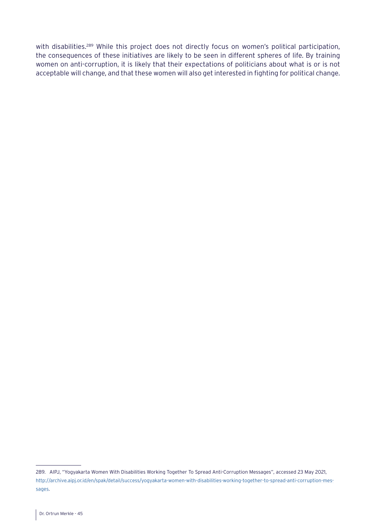with disabilities.<sup>289</sup> While this project does not directly focus on women's political participation, the consequences of these initiatives are likely to be seen in different spheres of life. By training women on anti-corruption, it is likely that their expectations of politicians about what is or is not acceptable will change, and that these women will also get interested in fighting for political change.

<sup>289.</sup> AIPJ, "Yogyakarta Women With Disabilities Working Together To Spread Anti-Corruption Messages", accessed 23 May 2021, [http://archive.aipj.or.id/en/spak/detail/success/yogyakarta-women-with-disabilities-working-together-to-spread-anti-corruption-mes](http://archive.aipj.or.id/en/spak/detail/success/yogyakarta-women-with-disabilities-working-together-to-spread-anti-corruption-messages)[sages](http://archive.aipj.or.id/en/spak/detail/success/yogyakarta-women-with-disabilities-working-together-to-spread-anti-corruption-messages).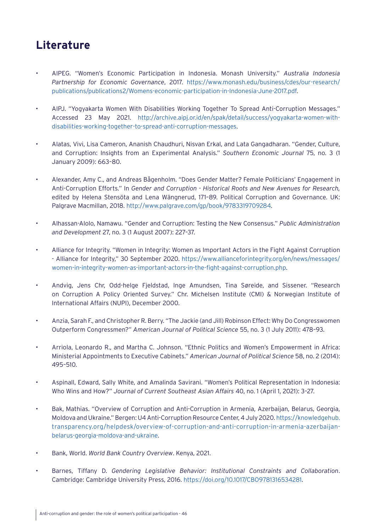## <span id="page-45-0"></span>**Literature**

- AIPEG. "Women's Economic Participation in Indonesia. Monash University." *Australia Indonesia Partnership for Economic Governance*, 2017. [https://www.monash.edu/business/cdes/our-research/](https://www.monash.edu/business/cdes/our-research/publications/publications2/Womens-economic-participation-in-Indonesia-June-2017.pdf) [publications/publications2/Womens-economic-participation-in-Indonesia-June-2017.pdf.](https://www.monash.edu/business/cdes/our-research/publications/publications2/Womens-economic-participation-in-Indonesia-June-2017.pdf)
- AIPJ. "Yogyakarta Women With Disabilities Working Together To Spread Anti-Corruption Messages." Accessed 23 May 2021. [http://archive.aipj.or.id/en/spak/detail/success/yogyakarta-women-with](http://archive.aipj.or.id/en/spak/detail/success/yogyakarta-women-with-disabilities-working-together-to-spread-anti-corruption-messages)[disabilities-working-together-to-spread-anti-corruption-messages](http://archive.aipj.or.id/en/spak/detail/success/yogyakarta-women-with-disabilities-working-together-to-spread-anti-corruption-messages).
- Alatas, Vivi, Lisa Cameron, Ananish Chaudhuri, Nisvan Erkal, and Lata Gangadharan. "Gender, Culture, and Corruption: Insights from an Experimental Analysis." *Southern Economic Journal* 75, no. 3 (1 January 2009): 663–80.
- Alexander, Amy C., and Andreas Bågenholm. "Does Gender Matter? Female Politicians' Engagement in Anti-Corruption Efforts." In *Gender and Corruption - Historical Roots and New Avenues for Research,* edited by Helena Stensöta and Lena Wängnerud, 171–89. Political Corruption and Governance. UK: Palgrave Macmillan, 2018.<http://www.palgrave.com/gp/book/9783319709284>.
- Alhassan-Alolo, Namawu. "Gender and Corruption: Testing the New Consensus." *Public Administration and Development* 27, no. 3 (1 August 2007): 227–37.
- Alliance for Integrity. "Women in Integrity: Women as Important Actors in the Fight Against Corruption - Alliance for Integrity," 30 September 2020. [https://www.allianceforintegrity.org/en/news/messages/](https://www.allianceforintegrity.org/en/news/messages/women-in-integrity-women-as-important-actors-in-the-fight-against-corruption.php) [women-in-integrity-women-as-important-actors-in-the-fight-against-corruption.php.](https://www.allianceforintegrity.org/en/news/messages/women-in-integrity-women-as-important-actors-in-the-fight-against-corruption.php)
- Andvig, Jens Chr, Odd-helge Fjeldstad, Inge Amundsen, Tina Søreide, and Sissener. "Research on Corruption A Policy Oriented Survey." Chr. Michelsen Institute (CMI) & Norwegian Institute of International Affairs (NUPI), December 2000.
- Anzia, Sarah F., and Christopher R. Berry. "The Jackie (and Jill) Robinson Effect: Why Do Congresswomen Outperform Congressmen?" *American Journal of Political Science* 55, no. 3 (1 July 2011): 478–93.
- Arriola, Leonardo R., and Martha C. Johnson. "Ethnic Politics and Women's Empowerment in Africa: Ministerial Appointments to Executive Cabinets." *American Journal of Political Science* 58, no. 2 (2014): 495–510.
- Aspinall, Edward, Sally White, and Amalinda Savirani. "Women's Political Representation in Indonesia: Who Wins and How?" *Journal of Current Southeast Asian Affairs* 40, no. 1 (April 1, 2021): 3–27.
- Bak, Mathias. "Overview of Corruption and Anti-Corruption in Armenia, Azerbaijan, Belarus, Georgia, Moldova and Ukraine." Bergen: U4 Anti-Corruption Resource Center, 4 July 2020. [https://knowledgehub.](https://knowledgehub.transparency.org/helpdesk/overview-of-corruption-and-anti-corruption-in-armenia-azerbaijan-belarus-georgia-moldova-and-ukraine) [transparency.org/helpdesk/overview-of-corruption-and-anti-corruption-in-armenia-azerbaijan](https://knowledgehub.transparency.org/helpdesk/overview-of-corruption-and-anti-corruption-in-armenia-azerbaijan-belarus-georgia-moldova-and-ukraine)[belarus-georgia-moldova-and-ukraine.](https://knowledgehub.transparency.org/helpdesk/overview-of-corruption-and-anti-corruption-in-armenia-azerbaijan-belarus-georgia-moldova-and-ukraine)
- Bank, World. *World Bank Country Overview*. Kenya, 2021.
- Barnes, Tiffany D. *Gendering Legislative Behavior: Institutional Constraints and Collaboration*. Cambridge: Cambridge University Press, 2016. [https://doi.org/10.1017/CBO9781316534281.](https://doi.org/10.1017/CBO9781316534281)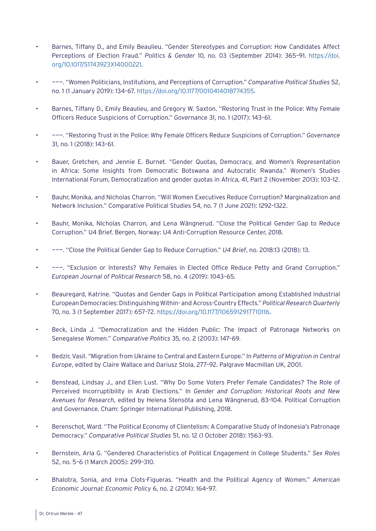- Barnes, Tiffany D., and Emily Beaulieu. "Gender Stereotypes and Corruption: How Candidates Affect Perceptions of Election Fraud." *Politics & Gender* 10, no. 03 (September 2014): 365–91. [https://doi.](https://doi.org/10.1017/S1743923X14000221) [org/10.1017/S1743923X14000221.](https://doi.org/10.1017/S1743923X14000221)
- ———. "Women Politicians, Institutions, and Perceptions of Corruption." *Comparative Political Studies* 52, no. 1 (1 January 2019): 134–67. <https://doi.org/10.1177/0010414018774355>.
- Barnes, Tiffany D., Emily Beaulieu, and Gregory W. Saxton. "Restoring Trust in the Police: Why Female Officers Reduce Suspicions of Corruption." *Governance* 31, no. 1 (2017): 143–61.
- ———. "Restoring Trust in the Police: Why Female Officers Reduce Suspicions of Corruption." *Governance* 31, no. 1 (2018): 143–61.
- Bauer, Gretchen, and Jennie E. Burnet. "Gender Quotas, Democracy, and Women's Representation in Africa: Some Insights from Democratic Botswana and Autocratic Rwanda." Women's Studies International Forum, Democratization and gender quotas in Africa, 41, Part 2 (November 2013): 103–12.
- Bauhr, Monika, and Nicholas Charron. "Will Women Executives Reduce Corruption? Marginalization and Network Inclusion." Comparative Political Studies 54, no. 7 (1 June 2021): 1292–1322.
- Bauhr, Monika, Nicholas Charron, and Lena Wängnerud. "Close the Political Gender Gap to Reduce Corruption." U4 Brief. Bergen, Norway: U4 Anti-Corruption Resource Center, 2018.
- ———. "Close the Political Gender Gap to Reduce Corruption." *U4 Brief*, no. 2018:13 (2018): 13.
- ———. "Exclusion or Interests? Why Females in Elected Office Reduce Petty and Grand Corruption." *European Journal of Political Research* 58, no. 4 (2019): 1043–65.
- Beauregard, Katrine. "Quotas and Gender Gaps in Political Participation among Established Industrial European Democracies: Distinguishing Within- and Across-Country Effects." *Political Research Quarterly* 70, no. 3 (1 September 2017): 657–72. [https://doi.org/10.1177/1065912917710116.](https://doi.org/10.1177/1065912917710116)
- Beck, Linda J. "Democratization and the Hidden Public: The Impact of Patronage Networks on Senegalese Women." *Comparative Politics* 35, no. 2 (2003): 147–69.
- Bedzir, Vasil. "Migration from Ukraine to Central and Eastern Europe." In *Patterns of Migration in Central Europe*, edited by Claire Wallace and Dariusz Stola, 277–92. Palgrave Macmillan UK, 2001.
- Benstead, Lindsay J., and Ellen Lust. "Why Do Some Voters Prefer Female Candidates? The Role of Perceived Incorruptibility in Arab Elections." In *Gender and Corruption: Historical Roots and New Avenues for Research*, edited by Helena Stensöta and Lena Wängnerud, 83–104. Political Corruption and Governance. Cham: Springer International Publishing, 2018.
- Berenschot, Ward. "The Political Economy of Clientelism: A Comparative Study of Indonesia's Patronage Democracy." *Comparative Political Studies* 51, no. 12 (1 October 2018): 1563–93.
- Bernstein, Arla G. "Gendered Characteristics of Political Engagement in College Students." *Sex Roles* 52, no. 5–6 (1 March 2005): 299–310.
- Bhalotra, Sonia, and Irma Clots-Figueras. "Health and the Political Agency of Women." *American Economic Journal: Economic Policy* 6, no. 2 (2014): 164–97.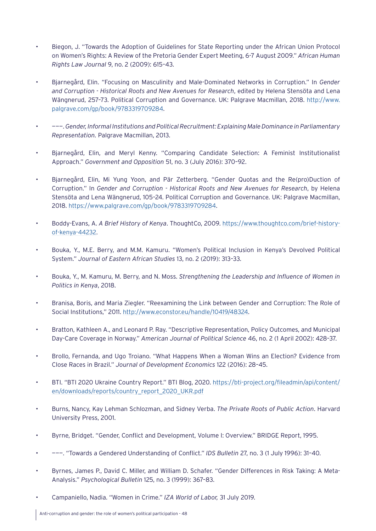- Biegon, J. "Towards the Adoption of Guidelines for State Reporting under the African Union Protocol on Women's Rights: A Review of the Pretoria Gender Expert Meeting, 6-7 August 2009." *African Human Rights Law Journal* 9, no. 2 (2009): 615–43.
- Bjarnegård, Elin. "Focusing on Masculinity and Male-Dominated Networks in Corruption." In *Gender and Corruption - Historical Roots and New Avenues for Research*, edited by Helena Stensöta and Lena Wängnerud, 257–73. Political Corruption and Governance. UK: Palgrave Macmillan, 2018. [http://www.](http://www.palgrave.com/gp/book/9783319709284) [palgrave.com/gp/book/9783319709284](http://www.palgrave.com/gp/book/9783319709284).
- ———. *Gender, Informal Institutions and Political Recruitment: Explaining Male Dominance in Parliamentary Representation.* Palgrave Macmillan, 2013.
- Bjarnegård, Elin, and Meryl Kenny. "Comparing Candidate Selection: A Feminist Institutionalist Approach." *Government and Opposition* 51, no. 3 (July 2016): 370–92.
- Bjarnegård, Elin, Mi Yung Yoon, and Pär Zetterberg. "Gender Quotas and the Re(pro)Duction of Corruption." In *Gender and Corruption - Historical Roots and New Avenues for Research*, by Helena Stensöta and Lena Wängnerud, 105–24. Political Corruption and Governance. UK: Palgrave Macmillan, 2018. [https://www.palgrave.com/gp/book/9783319709284.](https://www.palgrave.com/gp/book/9783319709284)
- Boddy-Evans, A. *A Brief History of Kenya*. ThoughtCo, 2009. [https://www.thoughtco.com/brief-history](https://www.thoughtco.com/brief-history-of-kenya-44232)[of-kenya-44232](https://www.thoughtco.com/brief-history-of-kenya-44232).
- Bouka, Y., M.E. Berry, and M.M. Kamuru. "Women's Political Inclusion in Kenya's Devolved Political System." *Journal of Eastern African Studies* 13, no. 2 (2019): 313–33.
- Bouka, Y., M. Kamuru, M. Berry, and N. Moss. *Strengthening the Leadership and Influence of Women in Politics in Kenya*, 2018.
- Branisa, Boris, and Maria Ziegler. "Reexamining the Link between Gender and Corruption: The Role of Social Institutions," 2011. [http://www.econstor.eu/handle/10419/48324.](http://www.econstor.eu/handle/10419/48324)
- Bratton, Kathleen A., and Leonard P. Ray. "Descriptive Representation, Policy Outcomes, and Municipal Day-Care Coverage in Norway." *American Journal of Political Science* 46, no. 2 (1 April 2002): 428–37.
- Brollo, Fernanda, and Ugo Troiano. "What Happens When a Woman Wins an Election? Evidence from Close Races in Brazil." *Journal of Development Economics* 122 (2016): 28–45.
- BTI. "BTI 2020 Ukraine Country Report." BTI Blog, 2020. [https://bti-project.org/fileadmin/api/content/](https://bti-project.org/fileadmin/api/content/en/downloads/reports/country_report_2020_UKR.pdf) [en/downloads/reports/country\\_report\\_2020\\_UKR.pdf](https://bti-project.org/fileadmin/api/content/en/downloads/reports/country_report_2020_UKR.pdf)
- Burns, Nancy, Kay Lehman Schlozman, and Sidney Verba. *The Private Roots of Public Action*. Harvard University Press, 2001.
- Byrne, Bridget. "Gender, Conflict and Development, Volume I: Overview." BRIDGE Report, 1995.
- ———. "Towards a Gendered Understanding of Conflict." *IDS Bulletin* 27, no. 3 (1 July 1996): 31–40.
- Byrnes, James P., David C. Miller, and William D. Schafer. "Gender Differences in Risk Taking: A Meta-Analysis." *Psychological Bulletin* 125, no. 3 (1999): 367–83.
- Campaniello, Nadia. "Women in Crime." *IZA World of Labor,* 31 July 2019.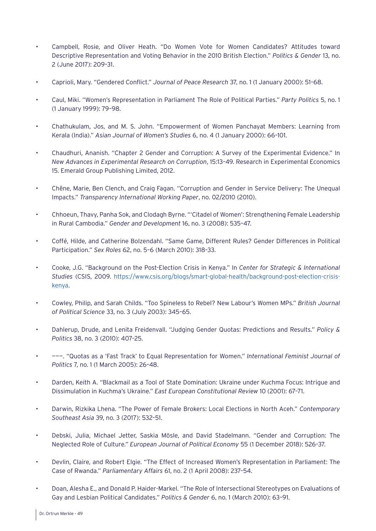- Campbell, Rosie, and Oliver Heath. "Do Women Vote for Women Candidates? Attitudes toward Descriptive Representation and Voting Behavior in the 2010 British Election." *Politics & Gender* 13, no. 2 (June 2017): 209–31.
- Caprioli, Mary. "Gendered Conflict." *Journal of Peace Research* 37, no. 1 (1 January 2000): 51–68.
- Caul, Miki. "Women's Representation in Parliament The Role of Political Parties." *Party Politics* 5, no. 1 (1 January 1999): 79–98.
- Chathukulam, Jos, and M. S. John. "Empowerment of Women Panchayat Members: Learning from Kerala (India)." *Asian Journal of Women's Studies* 6, no. 4 (1 January 2000): 66–101.
- Chaudhuri, Ananish. "Chapter 2 Gender and Corruption: A Survey of the Experimental Evidence." In *New Advances in Experimental Research on Corruption*, 15:13–49. Research in Experimental Economics 15. Emerald Group Publishing Limited, 2012.
- Chêne, Marie, Ben Clench, and Craig Fagan. "Corruption and Gender in Service Delivery: The Unequal Impacts." *Transparency International Working Paper*, no. 02/2010 (2010).
- Chhoeun, Thavy, Panha Sok, and Clodagh Byrne. "'Citadel of Women': Strengthening Female Leadership in Rural Cambodia." *Gender and Development* 16, no. 3 (2008): 535–47.
- Coffé, Hilde, and Catherine Bolzendahl. "Same Game, Different Rules? Gender Differences in Political Participation." *Sex Roles* 62, no. 5–6 (March 2010): 318–33.
- Cooke, J.G. "Background on the Post-Election Crisis in Kenya." In *Center for Strategic & International Studies* (CSIS, 2009. [https://www.csis.org/blogs/smart-global-health/background-post-election-crisis](https://www.csis.org/blogs/smart-global-health/background-post-election-crisis-kenya)[kenya](https://www.csis.org/blogs/smart-global-health/background-post-election-crisis-kenya).
- Cowley, Philip, and Sarah Childs. "Too Spineless to Rebel? New Labour's Women MPs." *British Journal of Political Science* 33, no. 3 (July 2003): 345–65.
- Dahlerup, Drude, and Lenita Freidenvall. "Judging Gender Quotas: Predictions and Results." *Policy & Politics* 38, no. 3 (2010): 407–25.
- ———. "Quotas as a 'Fast Track' to Equal Representation for Women." *International Feminist Journal of Politics* 7, no. 1 (1 March 2005): 26–48.
- Darden, Keith A. "Blackmail as a Tool of State Domination: Ukraine under Kuchma Focus: Intrigue and Dissimulation in Kuchma's Ukraine." *East European Constitutional Review* 10 (2001): 67–71.
- Darwin, Rizkika Lhena. "The Power of Female Brokers: Local Elections in North Aceh." *Contemporary Southeast Asia* 39, no. 3 (2017): 532–51.
- Debski, Julia, Michael Jetter, Saskia Mösle, and David Stadelmann. "Gender and Corruption: The Neglected Role of Culture." *European Journal of Political Economy* 55 (1 December 2018): 526–37.
- Devlin, Claire, and Robert Elgie. "The Effect of Increased Women's Representation in Parliament: The Case of Rwanda." *Parliamentary Affairs* 61, no. 2 (1 April 2008): 237–54.
- Doan, Alesha E., and Donald P. Haider-Markel. "The Role of Intersectional Stereotypes on Evaluations of Gay and Lesbian Political Candidates." *Politics & Gender* 6, no. 1 (March 2010): 63–91.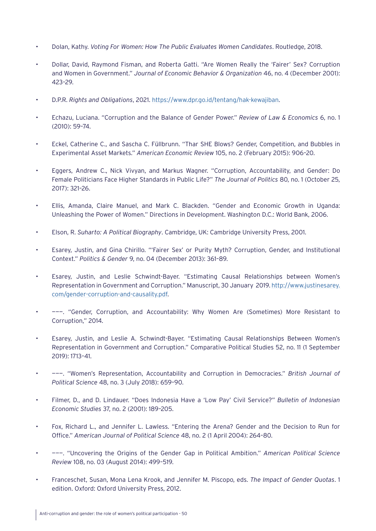- Dolan, Kathy. *Voting For Women: How The Public Evaluates Women Candidates*. Routledge, 2018.
- Dollar, David, Raymond Fisman, and Roberta Gatti. "Are Women Really the 'Fairer' Sex? Corruption and Women in Government." *Journal of Economic Behavior & Organization* 46, no. 4 (December 2001): 423–29.
- D.P.R. *Rights and Obligations*, 2021. <https://www.dpr.go.id/tentang/hak-kewajiban>.
- Echazu, Luciana. "Corruption and the Balance of Gender Power." *Review of Law & Economics* 6, no. 1 (2010): 59–74.
- Eckel, Catherine C., and Sascha C. Füllbrunn. "Thar SHE Blows? Gender, Competition, and Bubbles in Experimental Asset Markets." *American Economic Review* 105, no. 2 (February 2015): 906–20.
- Eggers, Andrew C., Nick Vivyan, and Markus Wagner. "Corruption, Accountability, and Gender: Do Female Politicians Face Higher Standards in Public Life?" *The Journal of Politics* 80, no. 1 (October 25, 2017): 321–26.
- Ellis, Amanda, Claire Manuel, and Mark C. Blackden. "Gender and Economic Growth in Uganda: Unleashing the Power of Women." Directions in Development. Washington D.C.: World Bank, 2006.
- Elson, R. *Suharto: A Political Biography*. Cambridge, UK: Cambridge University Press, 2001.
- Esarey, Justin, and Gina Chirillo. "'Fairer Sex' or Purity Myth? Corruption, Gender, and Institutional Context." *Politics & Gender* 9, no. 04 (December 2013): 361–89.
- Esarey, Justin, and Leslie Schwindt-Bayer. "Estimating Causal Relationships between Women's Representation in Government and Corruption." Manuscript, 30 January 2019. [http://www.justinesarey.](http://www.justinesarey.com/gender-corruption-and-causality.pdf) [com/gender-corruption-and-causality.pdf](http://www.justinesarey.com/gender-corruption-and-causality.pdf).
- ———. "Gender, Corruption, and Accountability: Why Women Are (Sometimes) More Resistant to Corruption," 2014.
- Esarey, Justin, and Leslie A. Schwindt-Bayer. "Estimating Causal Relationships Between Women's Representation in Government and Corruption." Comparative Political Studies 52, no. 11 (1 September 2019): 1713–41.
- ———. "Women's Representation, Accountability and Corruption in Democracies." *British Journal of Political Science* 48, no. 3 (July 2018): 659–90.
- Filmer, D., and D. Lindauer. "Does Indonesia Have a 'Low Pay' Civil Service?" *Bulletin of Indonesian Economic Studies* 37, no. 2 (2001): 189–205.
- Fox, Richard L., and Jennifer L. Lawless. "Entering the Arena? Gender and the Decision to Run for Office." *American Journal of Political Science* 48, no. 2 (1 April 2004): 264–80.
- ———. "Uncovering the Origins of the Gender Gap in Political Ambition." *American Political Science Review* 108, no. 03 (August 2014): 499–519.
- Franceschet, Susan, Mona Lena Krook, and Jennifer M. Piscopo, eds. *The Impact of Gender Quotas*. 1 edition. Oxford: Oxford University Press, 2012.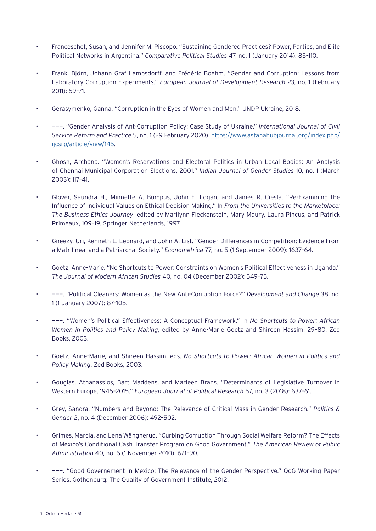- Franceschet, Susan, and Jennifer M. Piscopo. "Sustaining Gendered Practices? Power, Parties, and Elite Political Networks in Argentina." *Comparative Political Studies* 47, no. 1 (January 2014): 85–110.
- Frank, Björn, Johann Graf Lambsdorff, and Frédéric Boehm. "Gender and Corruption: Lessons from Laboratory Corruption Experiments." *European Journal of Development Research* 23, no. 1 (February 2011): 59–71.
- Gerasymenko, Ganna. "Corruption in the Eyes of Women and Men." UNDP Ukraine, 2018.
- ———. "Gender Analysis of Ant-Corruption Policy: Case Study of Ukraine." *International Journal of Civil Service Reform and Practice* 5, no. 1 (29 February 2020). [https://www.astanahubjournal.org/index.php/](https://www.astanahubjournal.org/index.php/ijcsrp/article/view/145) [ijcsrp/article/view/145.](https://www.astanahubjournal.org/index.php/ijcsrp/article/view/145)
- Ghosh, Archana. "Women's Reservations and Electoral Politics in Urban Local Bodies: An Analysis of Chennai Municipal Corporation Elections, 2001." *Indian Journal of Gender Studies* 10, no. 1 (March 2003): 117–41.
- Glover, Saundra H., Minnette A. Bumpus, John E. Logan, and James R. Ciesla. "Re-Examining the Influence of Individual Values on Ethical Decision Making." In *From the Universities to the Marketplace: The Business Ethics Journey*, edited by Marilynn Fleckenstein, Mary Maury, Laura Pincus, and Patrick Primeaux, 109–19. Springer Netherlands, 1997.
- Gneezy, Uri, Kenneth L. Leonard, and John A. List. "Gender Differences in Competition: Evidence From a Matrilineal and a Patriarchal Society." *Econometrica* 77, no. 5 (1 September 2009): 1637–64.
- Goetz, Anne-Marie. "No Shortcuts to Power: Constraints on Women's Political Effectiveness in Uganda." *The Journal of Modern African Studies* 40, no. 04 (December 2002): 549–75.
- ———. "Political Cleaners: Women as the New Anti-Corruption Force?" *Development and Change* 38, no. 1 (1 January 2007): 87–105.
- ———. "Women's Political Effectiveness: A Conceptual Framework." In *No Shortcuts to Power: African Women in Politics and Policy Making*, edited by Anne-Marie Goetz and Shireen Hassim, 29–80. Zed Books, 2003.
- Goetz, Anne-Marie, and Shireen Hassim, eds. *No Shortcuts to Power: African Women in Politics and Policy Making*. Zed Books, 2003.
- Gouglas, Athanassios, Bart Maddens, and Marleen Brans. "Determinants of Legislative Turnover in Western Europe, 1945–2015." *European Journal of Political Research* 57, no. 3 (2018): 637–61.
- Grey, Sandra. "Numbers and Beyond: The Relevance of Critical Mass in Gender Research." *Politics & Gender* 2, no. 4 (December 2006): 492–502.
- Grimes, Marcia, and Lena Wängnerud. "Curbing Corruption Through Social Welfare Reform? The Effects of Mexico's Conditional Cash Transfer Program on Good Government." *The American Review of Public Administration* 40, no. 6 (1 November 2010): 671–90.
- ———. "Good Governement in Mexico: The Relevance of the Gender Perspective." QoG Working Paper Series. Gothenburg: The Quality of Government Institute, 2012.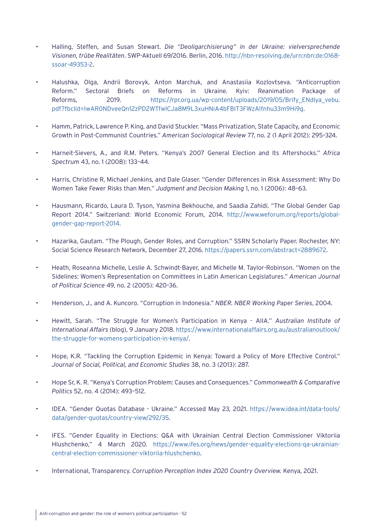- Halling, Steffen, and Susan Stewart. *Die "Deoligarchisierung" in der Ukraine: vielversprechende Visionen, trübe Realitäten*. SWP-Aktuell 69/2016. Berlin, 2016. [http://nbn-resolving.de/urn:nbn:de:0168](http://nbn-resolving.de/urn:nbn:de:0168-ssoar-49353-2) [ssoar-49353-2.](http://nbn-resolving.de/urn:nbn:de:0168-ssoar-49353-2)
- Halushka, Olga, Andrii Borovyk, Anton Marchuk, and Anastasiia Kozlovtseva. "Anticorruption Reform." Sectoral Briefs on Reforms in Ukraine. Kyiv: Reanimation Package of Reforms, 2019. [https://rpr.org.ua/wp-content/uploads/2019/05/Brify\\_ENdlya\\_vebu.](https://rpr.org.ua/wp-content/uploads/2019/05/Brify_ENdlya_vebu.pdf?fbclid=IwAR0NDveeQn12zPD2WTfwlCJa8M9L3xuHNiA4bFBIT3FWzAIfnhu33m9Hi9g) [pdf?fbclid=IwAR0NDveeQn12zPD2WTfwlCJa8M9L3xuHNiA4bFBIT3FWzAIfnhu33m9Hi9g.](https://rpr.org.ua/wp-content/uploads/2019/05/Brify_ENdlya_vebu.pdf?fbclid=IwAR0NDveeQn12zPD2WTfwlCJa8M9L3xuHNiA4bFBIT3FWzAIfnhu33m9Hi9g)
- Hamm, Patrick, Lawrence P. King, and David Stuckler. "Mass Privatization, State Capacity, and Economic Growth in Post-Communist Countries." *American Sociological Review* 77, no. 2 (1 April 2012): 295–324.
- Harneit-Sievers, A., and R.M. Peters. "Kenya's 2007 General Election and Its Aftershocks." *Africa Spectrum* 43, no. 1 (2008): 133–44.
- Harris, Christine R, Michael Jenkins, and Dale Glaser. "Gender Differences in Risk Assessment: Why Do Women Take Fewer Risks than Men." *Judgment and Decision Making* 1, no. 1 (2006): 48–63.
- Hausmann, Ricardo, Laura D. Tyson, Yasmina Bekhouche, and Saadia Zahidi. "The Global Gender Gap Report 2014." Switzerland: World Economic Forum, 2014. [http://www.weforum.org/reports/global](http://www.weforum.org/reports/global-gender-gap-report-2014)[gender-gap-report-2014](http://www.weforum.org/reports/global-gender-gap-report-2014).
- Hazarika, Gautam. "The Plough, Gender Roles, and Corruption." SSRN Scholarly Paper. Rochester, NY: Social Science Research Network, December 27, 2016. [https://papers.ssrn.com/abstract=2889672.](https://papers.ssrn.com/abstract=2889672)
- Heath, Roseanna Michelle, Leslie A. Schwindt-Bayer, and Michelle M. Taylor-Robinson. "Women on the Sidelines: Women's Representation on Committees in Latin American Legislatures." *American Journal of Political Science* 49, no. 2 (2005): 420–36.
- Henderson, J., and A. Kuncoro. "Corruption in Indonesia." *NBER. NBER Working Paper Series*, 2004.
- Hewitt, Sarah. "The Struggle for Women's Participation in Kenya AIIA." *Australian Institute of International Affairs* (blog), 9 January 2018. [https://www.internationalaffairs.org.au/australianoutlook/](https://www.internationalaffairs.org.au/australianoutlook/the-struggle-for-womens-participation-in-kenya/) [the-struggle-for-womens-participation-in-kenya/.](https://www.internationalaffairs.org.au/australianoutlook/the-struggle-for-womens-participation-in-kenya/)
- Hope, K.R. "Tackling the Corruption Epidemic in Kenya: Toward a Policy of More Effective Control." *Journal of Social, Political, and Economic Studies* 38, no. 3 (2013): 287.
- Hope Sr, K. R. "Kenya's Corruption Problem: Causes and Consequences." *Commonwealth & Comparative Politics* 52, no. 4 (2014): 493–512.
- IDEA. "Gender Quotas Database Ukraine." Accessed May 23, 2021. [https://www.idea.int/data-tools/](https://www.idea.int/data-tools/data/gender-quotas/country-view/292/35) [data/gender-quotas/country-view/292/35](https://www.idea.int/data-tools/data/gender-quotas/country-view/292/35).
- IFES. "Gender Equality in Elections: Q&A with Ukrainian Central Election Commissioner Viktoriia Hlushchenko," 4 March 2020. [https://www.ifes.org/news/gender-equality-elections-qa-ukrainian](https://www.ifes.org/news/gender-equality-elections-qa-ukrainian-central-election-commissioner-viktoriia-hlushchenko)[central-election-commissioner-viktoriia-hlushchenko.](https://www.ifes.org/news/gender-equality-elections-qa-ukrainian-central-election-commissioner-viktoriia-hlushchenko)
- International, Transparency. *Corruption Perception Index 2020 Country Overview.* Kenya, 2021.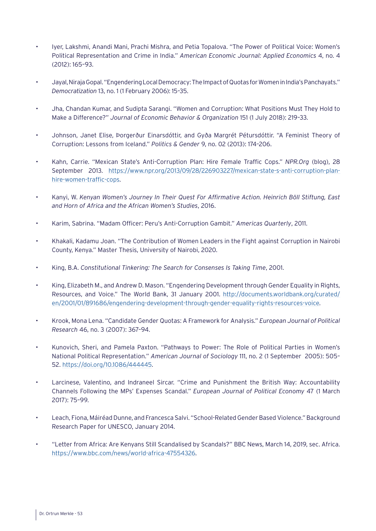- Iyer, Lakshmi, Anandi Mani, Prachi Mishra, and Petia Topalova. "The Power of Political Voice: Women's Political Representation and Crime in India." *American Economic Journal: Applied Economics* 4, no. 4 (2012): 165–93.
- Jayal, Niraja Gopal. "Engendering Local Democracy: The Impact of Quotas for Women in India's Panchayats." *Democratization* 13, no. 1 (1 February 2006): 15–35.
- Jha, Chandan Kumar, and Sudipta Sarangi. "Women and Corruption: What Positions Must They Hold to Make a Difference?" *Journal of Economic Behavior & Organization* 151 (1 July 2018): 219–33.
- Johnson, Janet Elise, Þorgerður Einarsdóttir, and Gyða Margrét Pétursdóttir. "A Feminist Theory of Corruption: Lessons from Iceland." *Politics & Gender* 9, no. 02 (2013): 174–206.
- Kahn, Carrie. "Mexican State's Anti-Corruption Plan: Hire Female Traffic Cops." *NPR.Org* (blog), 28 September 2013. [https://www.npr.org/2013/09/28/226903227/mexican-state-s-anti-corruption-plan](https://www.npr.org/2013/09/28/226903227/mexican-state-s-anti-corruption-plan-hire-women-traffic-cops)[hire-women-traffic-cops](https://www.npr.org/2013/09/28/226903227/mexican-state-s-anti-corruption-plan-hire-women-traffic-cops).
- Kanyi, W. *Kenyan Women's Journey In Their Quest For Affirmative Action. Heinrich Böll Stiftung, East and Horn of Africa and the African Women's Studies*, 2016.
- Karim, Sabrina. "Madam Officer: Peru's Anti-Corruption Gambit." *Americas Quarterly*, 2011.
- Khakali, Kadamu Joan. "The Contribution of Women Leaders in the Fight against Corruption in Nairobi County, Kenya." Master Thesis, University of Nairobi, 2020.
- King, B.A. *Constitutional Tinkering: The Search for Consenses Is Taking Time*, 2001.
- King, Elizabeth M., and Andrew D. Mason. "Engendering Development through Gender Equality in Rights, Resources, and Voice." The World Bank, 31 January 2001. [http://documents.worldbank.org/curated/](http://documents.worldbank.org/curated/en/2001/01/891686/engendering-development-through-gender-equality-rights-resources-voice) [en/2001/01/891686/engendering-development-through-gender-equality-rights-resources-voice.](http://documents.worldbank.org/curated/en/2001/01/891686/engendering-development-through-gender-equality-rights-resources-voice)
- Krook, Mona Lena. "Candidate Gender Quotas: A Framework for Analysis." *European Journal of Political Research* 46, no. 3 (2007): 367–94.
- Kunovich, Sheri, and Pamela Paxton. "Pathways to Power: The Role of Political Parties in Women's National Political Representation." *American Journal of Sociology* 111, no. 2 (1 September 2005): 505– 52. <https://doi.org/10.1086/444445>.
- Larcinese, Valentino, and Indraneel Sircar. "Crime and Punishment the British Way: Accountability Channels Following the MPs' Expenses Scandal." *European Journal of Political Economy* 47 (1 March 2017): 75–99.
- Leach, Fiona, Máiréad Dunne, and Francesca Salvi. "School-Related Gender Based Violence." Background Research Paper for UNESCO, January 2014.
- "Letter from Africa: Are Kenyans Still Scandalised by Scandals?" BBC News, March 14, 2019, sec. Africa. <https://www.bbc.com/news/world-africa-47554326>.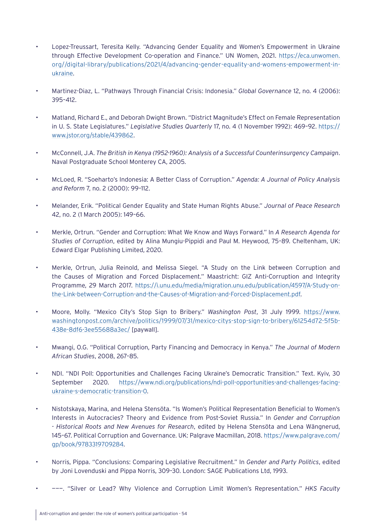- Lopez-Treussart, Teresita Kelly. "Advancing Gender Equality and Women's Empowerment in Ukraine through Effective Development Co-operation and Finance." UN Women, 2021. [https://eca.unwomen.](https://eca.unwomen.org//digital-library/publications/2021/4/advancing-gender-equality-and-womens-empowerment-in-ukraine) [org//digital-library/publications/2021/4/advancing-gender-equality-and-womens-empowerment-in](https://eca.unwomen.org//digital-library/publications/2021/4/advancing-gender-equality-and-womens-empowerment-in-ukraine)[ukraine](https://eca.unwomen.org//digital-library/publications/2021/4/advancing-gender-equality-and-womens-empowerment-in-ukraine).
- Martinez-Diaz, L. "Pathways Through Financial Crisis: Indonesia." *Global Governance* 12, no. 4 (2006): 395–412.
- Matland, Richard E., and Deborah Dwight Brown. "District Magnitude's Effect on Female Representation in U. S. State Legislatures." *Legislative Studies Quarterly* 17, no. 4 (1 November 1992): 469–92. [https://](https://www.jstor.org/stable/439862) www.jstor.org/stable/439862.
- McConnell, J.A. *The British in Kenya (1952-1960): Analysis of a Successful Counterinsurgency Campaign*. Naval Postgraduate School Monterey CA, 2005.
- McLoed, R. "Soeharto's Indonesia: A Better Class of Corruption." *Agenda: A Journal of Policy Analysis and Reform* 7, no. 2 (2000): 99–112.
- Melander, Erik. "Political Gender Equality and State Human Rights Abuse." *Journal of Peace Research*  42, no. 2 (1 March 2005): 149–66.
- Merkle, Ortrun. "Gender and Corruption: What We Know and Ways Forward." In *A Research Agenda for Studies of Corruption*, edited by Alina Mungiu-Pippidi and Paul M. Heywood, 75–89. Cheltenham, UK: Edward Elgar Publishing Limited, 2020.
- Merkle, Ortrun, Julia Reinold, and Melissa Siegel. "A Study on the Link between Corruption and the Causes of Migration and Forced Displacement." Maastricht: GIZ Anti-Corruption and Integrity Programme, 29 March 2017. [https://i.unu.edu/media/migration.unu.edu/publication/4597/A-Study-on](https://i.unu.edu/media/migration.unu.edu/publication/4597/A-Study-on-the-Link-between-Corruption-and-the-Causes-of-Migration-and-Forced-Displacement.pdf)[the-Link-between-Corruption-and-the-Causes-of-Migration-and-Forced-Displacement.pdf.](https://i.unu.edu/media/migration.unu.edu/publication/4597/A-Study-on-the-Link-between-Corruption-and-the-Causes-of-Migration-and-Forced-Displacement.pdf)
- Moore, Molly. "Mexico City's Stop Sign to Bribery." *Washington Post*, 31 July 1999. [https://www.](https://www.washingtonpost.com/archive/politics/1999/07/31/mexico-citys-stop-sign-to-bribery/61254d72-5f5b-438e-8df6-3ee55688a3ec/) [washingtonpost.com/archive/politics/1999/07/31/mexico-citys-stop-sign-to-bribery/61254d72-5f5b-](https://www.washingtonpost.com/archive/politics/1999/07/31/mexico-citys-stop-sign-to-bribery/61254d72-5f5b-438e-8df6-3ee55688a3ec/)[438e-8df6-3ee55688a3ec/](https://www.washingtonpost.com/archive/politics/1999/07/31/mexico-citys-stop-sign-to-bribery/61254d72-5f5b-438e-8df6-3ee55688a3ec/) [paywall].
- Mwangi, O.G. "Political Corruption, Party Financing and Democracy in Kenya." *The Journal of Modern African Studies*, 2008, 267–85.
- NDI. "NDI Poll: Opportunities and Challenges Facing Ukraine's Democratic Transition." Text. Kyiv, 30 September 2020. [https://www.ndi.org/publications/ndi-poll-opportunities-and-challenges-facing](https://www.ndi.org/publications/ndi-poll-opportunities-and-challenges-facing-ukraine-s-democratic-transition-0)[ukraine-s-democratic-transition-0.](https://www.ndi.org/publications/ndi-poll-opportunities-and-challenges-facing-ukraine-s-democratic-transition-0)
- Nistotskaya, Marina, and Helena Stensöta. "Is Women's Political Representation Beneficial to Women's Interests in Autocracies? Theory and Evidence from Post-Soviet Russia." In *Gender and Corruption - Historical Roots and New Avenues for Research*, edited by Helena Stensöta and Lena Wängnerud, 145–67. Political Corruption and Governance. UK: Palgrave Macmillan, 2018. [https://www.palgrave.com/](https://www.palgrave.com/gp/book/9783319709284) [gp/book/9783319709284.](https://www.palgrave.com/gp/book/9783319709284)
- Norris, Pippa. "Conclusions: Comparing Legislative Recruitment." In *Gender and Party Politics*, edited by Joni Lovenduski and Pippa Norris, 309–30. London: SAGE Publications Ltd, 1993.
- ———. "Silver or Lead? Why Violence and Corruption Limit Women's Representation." *HKS Faculty*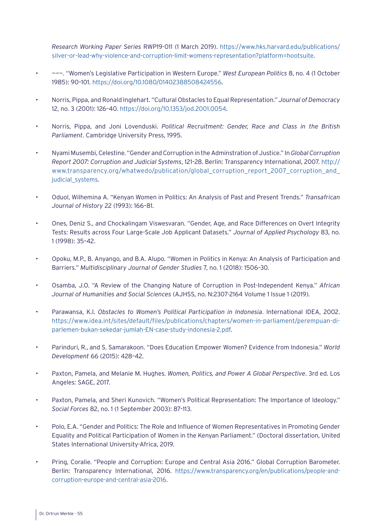*Research Working Paper Series* RWP19-011 (1 March 2019). [https://www.hks.harvard.edu/publications/](https://www.hks.harvard.edu/publications/silver-or-lead-why-violence-and-corruption-limit-womens-representation?platform=hootsuite) [silver-or-lead-why-violence-and-corruption-limit-womens-representation?platform=hootsuite](https://www.hks.harvard.edu/publications/silver-or-lead-why-violence-and-corruption-limit-womens-representation?platform=hootsuite).

- ———. "Women's Legislative Participation in Western Europe." *West European Politics* 8, no. 4 (1 October 1985): 90–101. [https://doi.org/10.1080/01402388508424556.](https://doi.org/10.1080/01402388508424556)
- Norris, Pippa, and Ronald Inglehart. "Cultural Obstacles to Equal Representation." *Journal of Democracy*  12, no. 3 (2001): 126–40. <https://doi.org/10.1353/jod.2001.0054>.
- Norris, Pippa, and Joni Lovenduski. *Political Recruitment: Gender, Race and Class in the British Parliament*. Cambridge University Press, 1995.
- Nyami Musembi, Celestine. "Gender and Corruption in the Adminstration of Justice." In *Global Corruption Report 2007: Corruption and Judicial Systems*, 121–28. Berlin: Transparency International, 2007. [http://](http://www.transparency.org/whatwedo/publication/global_corruption_report_2007_corruption_and_judicial_systems) [www.transparency.org/whatwedo/publication/global\\_corruption\\_report\\_2007\\_corruption\\_and\\_](http://www.transparency.org/whatwedo/publication/global_corruption_report_2007_corruption_and_judicial_systems) [judicial\\_systems.](http://www.transparency.org/whatwedo/publication/global_corruption_report_2007_corruption_and_judicial_systems)
- Oduol, Wilhemina A. "Kenyan Women in Politics: An Analysis of Past and Present Trends." *Transafrican Journal of History* 22 (1993): 166–81.
- Ones, Deniz S., and Chockalingam Viswesvaran. "Gender, Age, and Race Differences on Overt Integrity Tests: Results across Four Large-Scale Job Applicant Datasets." *Journal of Applied Psychology* 83, no. 1 (1998): 35–42.
- Opoku, M.P., B. Anyango, and B.A. Alupo. "Women in Politics in Kenya: An Analysis of Participation and Barriers." *Multidisciplinary Journal of Gender Studies* 7, no. 1 (2018): 1506–30.
- Osamba, J.O. "A Review of the Changing Nature of Corruption in Post-Independent Kenya." *African Journal of Humanities and Social Sciences* (AJHSS, no. N:2307-2164 Volume 1 Issue 1 (2019).
- Parawansa, K.I. *Obstacles to Women's Political Participation in Indonesia*. International IDEA, 2002. [https://www.idea.int/sites/default/files/publications/chapters/women-in-parliament/perempuan-di](https://www.idea.int/sites/default/files/publications/chapters/women-in-parliament/perempuan-di-parlemen-bukan-sekedar-jumlah-EN-case-study-indonesia-2.pdf)[parlemen-bukan-sekedar-jumlah-EN-case-study-indonesia-2.pdf](https://www.idea.int/sites/default/files/publications/chapters/women-in-parliament/perempuan-di-parlemen-bukan-sekedar-jumlah-EN-case-study-indonesia-2.pdf).
- Parinduri, R., and S. Samarakoon. "Does Education Empower Women? Evidence from Indonesia." *World Development* 66 (2015): 428–42.
- Paxton, Pamela, and Melanie M. Hughes. *Women, Politics, and Power A Global Perspective*. 3rd ed. Los Angeles: SAGE, 2017.
- Paxton, Pamela, and Sheri Kunovich. "Women's Political Representation: The Importance of Ideology." *Social Forces* 82, no. 1 (1 September 2003): 87–113.
- Polo, E.A. "Gender and Politics: The Role and Influence of Women Representatives in Promoting Gender Equality and Political Participation of Women in the Kenyan Parliament." (Doctoral dissertation, United States International University-Africa, 2019.
- Pring, Coralie. "People and Corruption: Europe and Central Asia 2016." Global Corruption Barometer. Berlin: Transparency International, 2016. [https://www.transparency.org/en/publications/people-and](https://www.transparency.org/en/publications/people-and-corruption-europe-and-central-asia-2016)[corruption-europe-and-central-asia-2016](https://www.transparency.org/en/publications/people-and-corruption-europe-and-central-asia-2016).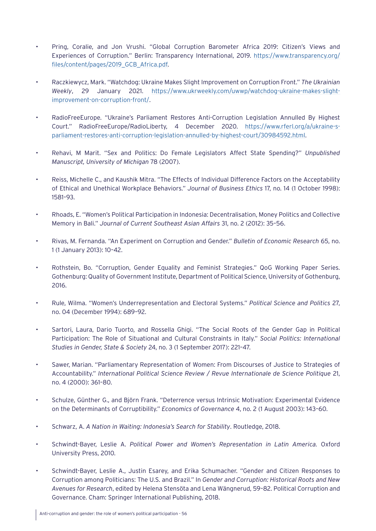- Pring, Coralie, and Jon Vrushi. "Global Corruption Barometer Africa 2019: Citizen's Views and Experiences of Corruption." Berlin: Transparency International, 2019. [https://www.transparency.org/](https://www.transparency.org/files/content/pages/2019_GCB_Africa.pdf) [files/content/pages/2019\\_GCB\\_Africa.pdf](https://www.transparency.org/files/content/pages/2019_GCB_Africa.pdf).
- Raczkiewycz, Mark. "Watchdog: Ukraine Makes Slight Improvement on Corruption Front." *The Ukrainian Weekly*, 29 January 2021. [https://www.ukrweekly.com/uwwp/watchdog-ukraine-makes-slight](https://www.ukrweekly.com/uwwp/watchdog-ukraine-makes-slight-improvement-on-corruption-front/)[improvement-on-corruption-front/](https://www.ukrweekly.com/uwwp/watchdog-ukraine-makes-slight-improvement-on-corruption-front/).
- RadioFreeEurope. "Ukraine's Parliament Restores Anti-Corruption Legislation Annulled By Highest Court." RadioFreeEurope/RadioLiberty, 4 December 2020. [https://www.rferl.org/a/ukraine-s](https://www.rferl.org/a/ukraine-s-parliament-restores-anti-corruption-legislation-annulled-by-highest-court/30984592.html)[parliament-restores-anti-corruption-legislation-annulled-by-highest-court/30984592.html](https://www.rferl.org/a/ukraine-s-parliament-restores-anti-corruption-legislation-annulled-by-highest-court/30984592.html).
- Rehavi, M Marit. "Sex and Politics: Do Female Legislators Affect State Spending?" *Unpublished Manuscript, University of Michigan* 78 (2007).
- Reiss, Michelle C., and Kaushik Mitra. "The Effects of Individual Difference Factors on the Acceptability of Ethical and Unethical Workplace Behaviors." *Journal of Business Ethics* 17, no. 14 (1 October 1998): 1581–93.
- Rhoads, E. "Women's Political Participation in Indonesia: Decentralisation, Money Politics and Collective Memory in Bali." *Journal of Current Southeast Asian Affairs* 31, no. 2 (2012): 35–56.
- Rivas, M. Fernanda. "An Experiment on Corruption and Gender." *Bulletin of Economic Research* 65, no. 1 (1 January 2013): 10–42.
- Rothstein, Bo. "Corruption, Gender Equality and Feminist Strategies." QoG Working Paper Series. Gothenburg: Quality of Government Institute, Department of Political Science, University of Gothenburg, 2016.
- Rule, Wilma. "Women's Underrepresentation and Electoral Systems." *Political Science and Politics* 27, no. 04 (December 1994): 689–92.
- Sartori, Laura, Dario Tuorto, and Rossella Ghigi. "The Social Roots of the Gender Gap in Political Participation: The Role of Situational and Cultural Constraints in Italy." *Social Politics: International Studies in Gender, State & Society* 24, no. 3 (1 September 2017): 221–47.
- Sawer, Marian. "Parliamentary Representation of Women: From Discourses of Justice to Strategies of Accountability." *International Political Science Review / Revue Internationale de Science Politique* 21, no. 4 (2000): 361–80.
- Schulze, Günther G., and Björn Frank. "Deterrence versus Intrinsic Motivation: Experimental Evidence on the Determinants of Corruptibility." *Economics of Governance* 4, no. 2 (1 August 2003): 143–60.
- Schwarz, A. *A Nation in Waiting: Indonesia's Search for Stability*. Routledge, 2018.
- Schwindt-Bayer, Leslie A. *Political Power and Women's Representation in Latin America.* Oxford University Press, 2010.
- Schwindt-Bayer, Leslie A., Justin Esarey, and Erika Schumacher. "Gender and Citizen Responses to Corruption among Politicians: The U.S. and Brazil." In *Gender and Corruption: Historical Roots and New Avenues for Research*, edited by Helena Stensöta and Lena Wängnerud, 59–82. Political Corruption and Governance. Cham: Springer International Publishing, 2018.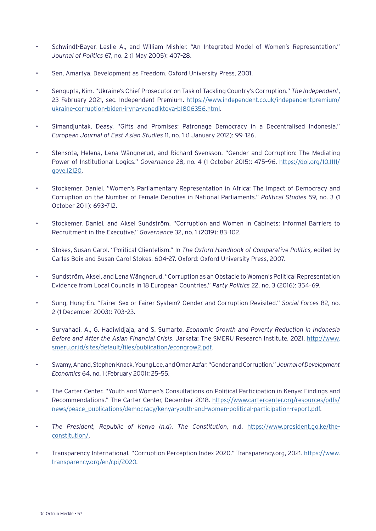- Schwindt-Bayer, Leslie A., and William Mishler. "An Integrated Model of Women's Representation." *Journal of Politics* 67, no. 2 (1 May 2005): 407–28.
- Sen, Amartya. Development as Freedom. Oxford University Press, 2001.
- Sengupta, Kim. "Ukraine's Chief Prosecutor on Task of Tackling Country's Corruption." *The Independent*, 23 February 2021, sec. Independent Premium. [https://www.independent.co.uk/independentpremium/](https://www.independent.co.uk/independentpremium/ukraine-corruption-biden-iryna-venediktova-b1806356.html) [ukraine-corruption-biden-iryna-venediktova-b1806356.html](https://www.independent.co.uk/independentpremium/ukraine-corruption-biden-iryna-venediktova-b1806356.html).
- Simandjuntak, Deasy. "Gifts and Promises: Patronage Democracy in a Decentralised Indonesia." *European Journal of East Asian Studies* 11, no. 1 (1 January 2012): 99–126.
- Stensöta, Helena, Lena Wängnerud, and Richard Svensson. "Gender and Corruption: The Mediating Power of Institutional Logics." *Governance* 28, no. 4 (1 October 2015): 475–96. [https://doi.org/10.1111/](https://doi.org/10.1111/gove.12120) [gove.12120](https://doi.org/10.1111/gove.12120).
- Stockemer, Daniel. "Women's Parliamentary Representation in Africa: The Impact of Democracy and Corruption on the Number of Female Deputies in National Parliaments." *Political Studies* 59, no. 3 (1 October 2011): 693–712.
- Stockemer, Daniel, and Aksel Sundström. "Corruption and Women in Cabinets: Informal Barriers to Recruitment in the Executive." *Governance* 32, no. 1 (2019): 83–102.
- Stokes, Susan Carol. "Political Clientelism." In *The Oxford Handbook of Comparative Politics,* edited by Carles Boix and Susan Carol Stokes, 604–27. Oxford: Oxford University Press, 2007.
- Sundström, Aksel, and Lena Wängnerud. "Corruption as an Obstacle to Women's Political Representation Evidence from Local Councils in 18 European Countries." *Party Politics* 22, no. 3 (2016): 354–69.
- Sung, Hung-En. "Fairer Sex or Fairer System? Gender and Corruption Revisited." *Social Forces* 82, no. 2 (1 December 2003): 703–23.
- Suryahadi, A., G. Hadiwidjaja, and S. Sumarto. *Economic Growth and Poverty Reduction in Indonesia Before and After the Asian Financial Crisis*. Jarkata: The SMERU Research Institute, 2021. [http://www.](http://www.smeru.or.id/sites/default/files/publication/econgrow2.pdf) [smeru.or.id/sites/default/files/publication/econgrow2.pdf](http://www.smeru.or.id/sites/default/files/publication/econgrow2.pdf).
- Swamy, Anand, Stephen Knack, Young Lee, and Omar Azfar. "Gender and Corruption." *Journal of Development Economics* 64, no. 1 (February 2001): 25–55.
- The Carter Center. "Youth and Women's Consultations on Political Participation in Kenya: Findings and Recommendations." The Carter Center, December 2018. [https://www.cartercenter.org/resources/pdfs/](https://www.cartercenter.org/resources/pdfs/news/peace_publications/democracy/kenya-youth-and-women-political-participation-report.pdf) [news/peace\\_publications/democracy/kenya-youth-and-women-political-participation-report.pdf](https://www.cartercenter.org/resources/pdfs/news/peace_publications/democracy/kenya-youth-and-women-political-participation-report.pdf).
- *• The President, Republic of Kenya (n.d). The Constitution*, n.d. [https://www.president.go.ke/the](https://www.president.go.ke/the-constitution/)[constitution/](https://www.president.go.ke/the-constitution/).
- Transparency International. "Corruption Perception Index 2020." Transparency.org, 2021. [https://www.](https://www.transparency.org/en/cpi/2020) [transparency.org/en/cpi/2020.](https://www.transparency.org/en/cpi/2020)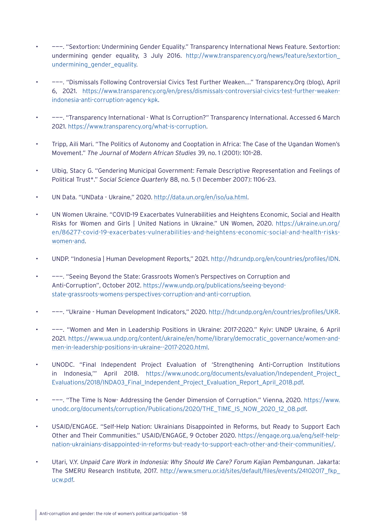- ———. "Sextortion: Undermining Gender Equality." Transparency International News Feature. Sextortion: undermining gender equality, 3 July 2016. [http://www.transparency.org/news/feature/sextortion\\_](http://www.transparency.org/news/feature/sextortion_undermining_gender_equality) [undermining\\_gender\\_equality.](http://www.transparency.org/news/feature/sextortion_undermining_gender_equality)
- ———. "Dismissals Following Controversial Civics Test Further Weaken…." Transparency.Org (blog), April 6, 2021. [https://www.transparency.org/en/press/dismissals-controversial-civics-test-further-weaken](https://www.transparency.org/en/press/dismissals-controversial-civics-test-further-weaken-indonesia-anti-corruption-agency-kpk)[indonesia-anti-corruption-agency-kpk](https://www.transparency.org/en/press/dismissals-controversial-civics-test-further-weaken-indonesia-anti-corruption-agency-kpk).
- ———. "Transparency International What Is Corruption?" Transparency International. Accessed 6 March 2021. [https://www.transparency.org/what-is-corruption.](https://www.transparency.org/what-is-corruption)
- Tripp, Aili Mari. "The Politics of Autonomy and Cooptation in Africa: The Case of the Ugandan Women's Movement." *The Journal of Modern African Studies* 39, no. 1 (2001): 101–28.
- Ulbig, Stacy G. "Gendering Municipal Government: Female Descriptive Representation and Feelings of Political Trust\*." *Social Science Quarterly* 88, no. 5 (1 December 2007): 1106–23.
- UN Data. "UNData Ukraine," 2020. [http://data.un.org/en/iso/ua.html.](http://data.un.org/en/iso/ua.html)
- UN Women Ukraine. "COVID-19 Exacerbates Vulnerabilities and Heightens Economic, Social and Health Risks for Women and Girls | United Nations in Ukraine." UN Women, 2020. [https://ukraine.un.org/](https://ukraine.un.org/en/86277-covid-19-exacerbates-vulnerabilities-and-heightens-economic-social-and-health-risks-women-and) [en/86277-covid-19-exacerbates-vulnerabilities-and-heightens-economic-social-and-health-risks](https://ukraine.un.org/en/86277-covid-19-exacerbates-vulnerabilities-and-heightens-economic-social-and-health-risks-women-and)[women-and](https://ukraine.un.org/en/86277-covid-19-exacerbates-vulnerabilities-and-heightens-economic-social-and-health-risks-women-and).
- UNDP. "Indonesia | Human Development Reports," 2021.<http://hdr.undp.org/en/countries/profiles/IDN>.
- ———. "Seeing Beyond the State: Grassroots Women's Perspectives on Corruption and Anti-Corruption", October 2012. [https://www.undp.org/publications/seeing-beyond](https://www.undp.org/publications/seeing-beyond-state-grassroots-womens-perspectives-corruption-and-anti-corruption)[state-grassroots-womens-perspectives-corruption-and-anti-corruption.](https://www.undp.org/publications/seeing-beyond-state-grassroots-womens-perspectives-corruption-and-anti-corruption)
- ———. "Ukraine Human Development Indicators," 2020. <http://hdr.undp.org/en/countries/profiles/UKR>.
- ———. "Women and Men in Leadership Positions in Ukraine: 2017-2020." Kyiv: UNDP Ukraine, 6 April 2021. [https://www.ua.undp.org/content/ukraine/en/home/library/democratic\\_governance/women-and](https://www.ua.undp.org/content/ukraine/en/home/library/democratic_governance/women-and-men-in-leadership-positions-in-ukraine--2017-2020.html)[men-in-leadership-positions-in-ukraine--2017-2020.html](https://www.ua.undp.org/content/ukraine/en/home/library/democratic_governance/women-and-men-in-leadership-positions-in-ukraine--2017-2020.html).
- UNODC. "Final Independent Project Evaluation of 'Strengthening Anti-Corruption Institutions in Indonesia,"" April 2018. [https://www.unodc.org/documents/evaluation/Independent\\_Project\\_](https://www.unodc.org/documents/evaluation/Independent_Project_Evaluations/2018/INDA03_Final_Independent_Project_Evaluation_Report_April_2018.pdf) [Evaluations/2018/INDA03\\_Final\\_Independent\\_Project\\_Evaluation\\_Report\\_April\\_2018.pdf.](https://www.unodc.org/documents/evaluation/Independent_Project_Evaluations/2018/INDA03_Final_Independent_Project_Evaluation_Report_April_2018.pdf)
- ———. "The Time Is Now- Addressing the Gender Dimension of Corruption." Vienna, 2020. [https://www.](https://www.unodc.org/documents/corruption/Publications/2020/THE_TIME_IS_NOW_2020_12_08.pdf) [unodc.org/documents/corruption/Publications/2020/THE\\_TIME\\_IS\\_NOW\\_2020\\_12\\_08.pdf](https://www.unodc.org/documents/corruption/Publications/2020/THE_TIME_IS_NOW_2020_12_08.pdf).
- USAID/ENGAGE. "Self-Help Nation: Ukrainians Disappointed in Reforms, but Ready to Support Each Other and Their Communities." USAID/ENGAGE, 9 October 2020. [https://engage.org.ua/eng/self-help](https://engage.org.ua/eng/self-help-nation-ukrainians-disappointed-in-reforms-but-ready-to-support-each-other-and-their-communities/)[nation-ukrainians-disappointed-in-reforms-but-ready-to-support-each-other-and-their-communities/](https://engage.org.ua/eng/self-help-nation-ukrainians-disappointed-in-reforms-but-ready-to-support-each-other-and-their-communities/).
- Utari, V.Y. *Unpaid Care Work in Indonesia: Why Should We Care? Forum Kajian Pembangunan*. Jakarta: The SMERU Research Institute, 2017. [http://www.smeru.or.id/sites/default/files/events/24102017\\_fkp\\_](http://www.smeru.or.id/sites/default/files/events/24102017_fkp_ucw.pdf) [ucw.pdf.](http://www.smeru.or.id/sites/default/files/events/24102017_fkp_ucw.pdf)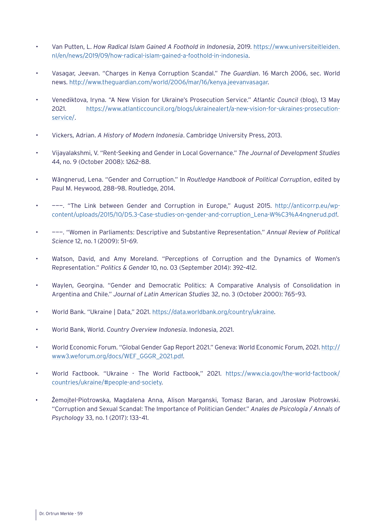- Van Putten, L. *How Radical Islam Gained A Foothold in Indonesia*, 2019. [https://www.universiteitleiden.](https://www.universiteitleiden.nl/en/news/2019/09/how-radical-islam-gained-a-foothold-in-indonesia) [nl/en/news/2019/09/how-radical-islam-gained-a-foothold-in-indonesia](https://www.universiteitleiden.nl/en/news/2019/09/how-radical-islam-gained-a-foothold-in-indonesia).
- Vasagar, Jeevan. "Charges in Kenya Corruption Scandal." *The Guardian*. 16 March 2006, sec. World news. [http://www.theguardian.com/world/2006/mar/16/kenya.jeevanvasagar.](http://www.theguardian.com/world/2006/mar/16/kenya.jeevanvasagar)
- Venediktova, Iryna. "A New Vision for Ukraine's Prosecution Service." *Atlantic Council* (blog), 13 May 2021. [https://www.atlanticcouncil.org/blogs/ukrainealert/a-new-vision-for-ukraines-prosecution](https://www.atlanticcouncil.org/blogs/ukrainealert/a-new-vision-for-ukraines-prosecution-service/)[service/](https://www.atlanticcouncil.org/blogs/ukrainealert/a-new-vision-for-ukraines-prosecution-service/).
- Vickers, Adrian. *A History of Modern Indonesia*. Cambridge University Press, 2013.
- Vijayalakshmi, V. "Rent-Seeking and Gender in Local Governance." *The Journal of Development Studies*  44, no. 9 (October 2008): 1262–88.
- Wängnerud, Lena. "Gender and Corruption." In *Routledge Handbook of Political Corruption*, edited by Paul M. Heywood, 288–98. Routledge, 2014.
- ———. "The Link between Gender and Corruption in Europe," August 2015. [http://anticorrp.eu/wp](http://anticorrp.eu/wp-content/uploads/2015/10/D5.3-Case-studies-on-gender-and-corruption_Lena-W%C3%A4ngnerud.pdf)[content/uploads/2015/10/D5.3-Case-studies-on-gender-and-corruption\\_Lena-W%C3%A4ngnerud.pdf.](http://anticorrp.eu/wp-content/uploads/2015/10/D5.3-Case-studies-on-gender-and-corruption_Lena-W%C3%A4ngnerud.pdf)
- ———. "Women in Parliaments: Descriptive and Substantive Representation." *Annual Review of Political Science* 12, no. 1 (2009): 51–69.
- Watson, David, and Amy Moreland. "Perceptions of Corruption and the Dynamics of Women's Representation." *Politics & Gender* 10, no. 03 (September 2014): 392–412.
- Waylen, Georgina. "Gender and Democratic Politics: A Comparative Analysis of Consolidation in Argentina and Chile." *Journal of Latin American Studies* 32, no. 3 (October 2000): 765–93.
- World Bank. "Ukraine | Data," 2021. [https://data.worldbank.org/country/ukraine.](https://data.worldbank.org/country/ukraine)
- World Bank, World. *Country Overview Indonesia*. Indonesia, 2021.
- World Economic Forum. "Global Gender Gap Report 2021." Geneva: World Economic Forum, 2021. [http://](http://www3.weforum.org/docs/WEF_GGGR_2021.pdf) [www3.weforum.org/docs/WEF\\_GGGR\\_2021.pdf.](http://www3.weforum.org/docs/WEF_GGGR_2021.pdf)
- World Factbook. "Ukraine The World Factbook," 2021. [https://www.cia.gov/the-world-factbook/](https://www.cia.gov/the-world-factbook/countries/ukraine/#people-and-society) [countries/ukraine/#people-and-society.](https://www.cia.gov/the-world-factbook/countries/ukraine/#people-and-society)
- Żemojtel-Piotrowska, Magdalena Anna, Alison Marganski, Tomasz Baran, and Jarosław Piotrowski. "Corruption and Sexual Scandal: The Importance of Politician Gender." *Anales de Psicología / Annals of Psychology* 33, no. 1 (2017): 133–41.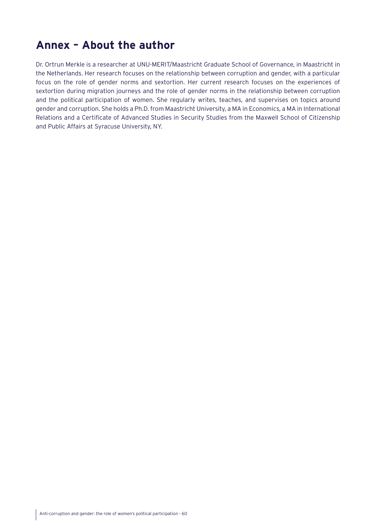## <span id="page-59-0"></span>**Annex – About the author**

Dr. Ortrun Merkle is a researcher at UNU-MERIT/Maastricht Graduate School of Governance, in Maastricht in the Netherlands. Her research focuses on the relationship between corruption and gender, with a particular focus on the role of gender norms and sextortion. Her current research focuses on the experiences of sextortion during migration journeys and the role of gender norms in the relationship between corruption and the political participation of women. She regularly writes, teaches, and supervises on topics around gender and corruption. She holds a Ph.D. from Maastricht University, a MA in Economics, a MA in International Relations and a Certificate of Advanced Studies in Security Studies from the Maxwell School of Citizenship and Public Affairs at Syracuse University, NY.